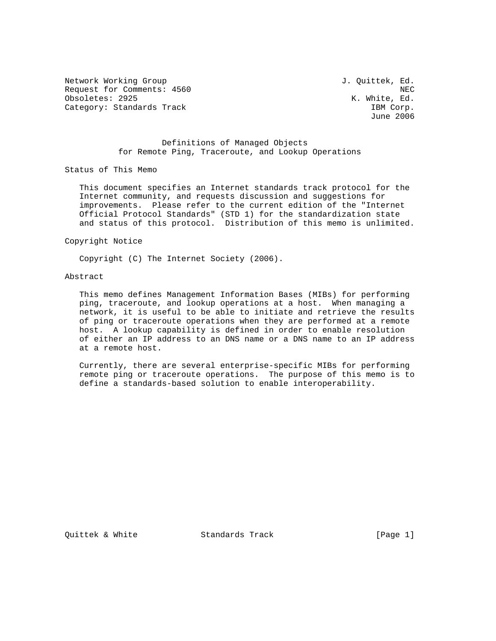Network Working Group 3. Quittek, Ed. Request for Comments: 4560 NEC<br>
Obsoletes: 2925 NEC (Note that is not the set of the set of the set of the set of the set of the set of the s Obsoletes: 2925 Category: Standards Track IBM Corp.

June 2006

## Definitions of Managed Objects for Remote Ping, Traceroute, and Lookup Operations

Status of This Memo

 This document specifies an Internet standards track protocol for the Internet community, and requests discussion and suggestions for improvements. Please refer to the current edition of the "Internet Official Protocol Standards" (STD 1) for the standardization state and status of this protocol. Distribution of this memo is unlimited.

Copyright Notice

Copyright (C) The Internet Society (2006).

# Abstract

 This memo defines Management Information Bases (MIBs) for performing ping, traceroute, and lookup operations at a host. When managing a network, it is useful to be able to initiate and retrieve the results of ping or traceroute operations when they are performed at a remote host. A lookup capability is defined in order to enable resolution of either an IP address to an DNS name or a DNS name to an IP address at a remote host.

 Currently, there are several enterprise-specific MIBs for performing remote ping or traceroute operations. The purpose of this memo is to define a standards-based solution to enable interoperability.

Quittek & White  $S$  Standards Track [Page 1]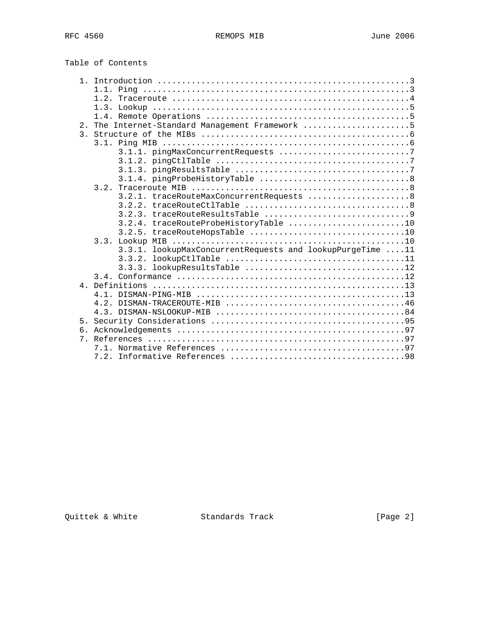|  | Table of Contents |
|--|-------------------|
|--|-------------------|

|             | 1.2.                                                      |  |
|-------------|-----------------------------------------------------------|--|
|             |                                                           |  |
|             |                                                           |  |
|             | 2. The Internet-Standard Management Framework 5           |  |
|             |                                                           |  |
|             |                                                           |  |
|             |                                                           |  |
|             |                                                           |  |
|             |                                                           |  |
|             |                                                           |  |
|             |                                                           |  |
|             | 3.2.1. traceRouteMaxConcurrentRequests  8                 |  |
|             |                                                           |  |
|             |                                                           |  |
|             | 3.2.4. traceRouteProbeHistoryTable 10                     |  |
|             |                                                           |  |
|             |                                                           |  |
|             | 3.3.1. lookupMaxConcurrentRequests and lookupPurgeTime 11 |  |
|             |                                                           |  |
|             | lookupResultsTable 12<br>3.3.3.                           |  |
|             |                                                           |  |
|             |                                                           |  |
|             |                                                           |  |
|             |                                                           |  |
|             |                                                           |  |
| 5.          |                                                           |  |
| б.          |                                                           |  |
| $7_{\circ}$ |                                                           |  |
|             |                                                           |  |
|             |                                                           |  |

Quittek & White Standards Track [Page 2]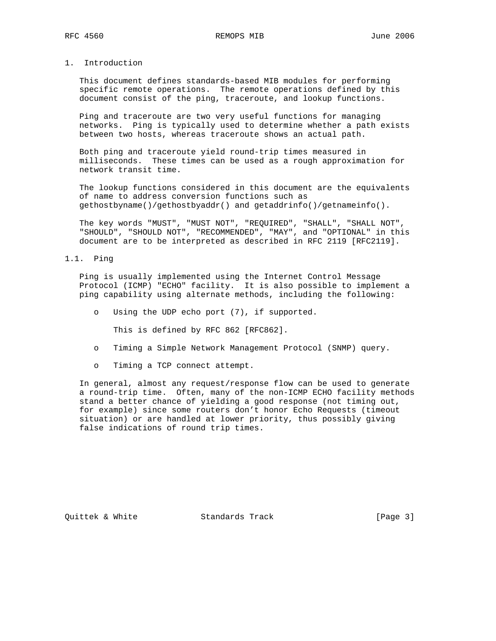# 1. Introduction

 This document defines standards-based MIB modules for performing specific remote operations. The remote operations defined by this document consist of the ping, traceroute, and lookup functions.

 Ping and traceroute are two very useful functions for managing networks. Ping is typically used to determine whether a path exists between two hosts, whereas traceroute shows an actual path.

 Both ping and traceroute yield round-trip times measured in milliseconds. These times can be used as a rough approximation for network transit time.

 The lookup functions considered in this document are the equivalents of name to address conversion functions such as gethostbyname()/gethostbyaddr() and getaddrinfo()/getnameinfo().

 The key words "MUST", "MUST NOT", "REQUIRED", "SHALL", "SHALL NOT", "SHOULD", "SHOULD NOT", "RECOMMENDED", "MAY", and "OPTIONAL" in this document are to be interpreted as described in RFC 2119 [RFC2119].

#### 1.1. Ping

 Ping is usually implemented using the Internet Control Message Protocol (ICMP) "ECHO" facility. It is also possible to implement a ping capability using alternate methods, including the following:

o Using the UDP echo port (7), if supported.

This is defined by RFC 862 [RFC862].

- o Timing a Simple Network Management Protocol (SNMP) query.
- o Timing a TCP connect attempt.

 In general, almost any request/response flow can be used to generate a round-trip time. Often, many of the non-ICMP ECHO facility methods stand a better chance of yielding a good response (not timing out, for example) since some routers don't honor Echo Requests (timeout situation) or are handled at lower priority, thus possibly giving false indications of round trip times.

Quittek & White Standards Track [Page 3]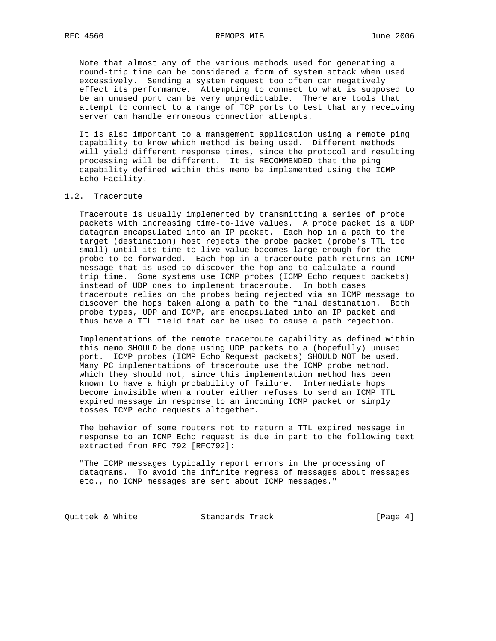Note that almost any of the various methods used for generating a round-trip time can be considered a form of system attack when used excessively. Sending a system request too often can negatively effect its performance. Attempting to connect to what is supposed to be an unused port can be very unpredictable. There are tools that attempt to connect to a range of TCP ports to test that any receiving server can handle erroneous connection attempts.

 It is also important to a management application using a remote ping capability to know which method is being used. Different methods will yield different response times, since the protocol and resulting processing will be different. It is RECOMMENDED that the ping capability defined within this memo be implemented using the ICMP Echo Facility.

#### 1.2. Traceroute

 Traceroute is usually implemented by transmitting a series of probe packets with increasing time-to-live values. A probe packet is a UDP datagram encapsulated into an IP packet. Each hop in a path to the target (destination) host rejects the probe packet (probe's TTL too small) until its time-to-live value becomes large enough for the probe to be forwarded. Each hop in a traceroute path returns an ICMP message that is used to discover the hop and to calculate a round trip time. Some systems use ICMP probes (ICMP Echo request packets) instead of UDP ones to implement traceroute. In both cases traceroute relies on the probes being rejected via an ICMP message to discover the hops taken along a path to the final destination. Both probe types, UDP and ICMP, are encapsulated into an IP packet and thus have a TTL field that can be used to cause a path rejection.

 Implementations of the remote traceroute capability as defined within this memo SHOULD be done using UDP packets to a (hopefully) unused port. ICMP probes (ICMP Echo Request packets) SHOULD NOT be used. Many PC implementations of traceroute use the ICMP probe method, which they should not, since this implementation method has been known to have a high probability of failure. Intermediate hops become invisible when a router either refuses to send an ICMP TTL expired message in response to an incoming ICMP packet or simply tosses ICMP echo requests altogether.

 The behavior of some routers not to return a TTL expired message in response to an ICMP Echo request is due in part to the following text extracted from RFC 792 [RFC792]:

 "The ICMP messages typically report errors in the processing of datagrams. To avoid the infinite regress of messages about messages etc., no ICMP messages are sent about ICMP messages."

Quittek & White  $S$ tandards Track  $[Page 4]$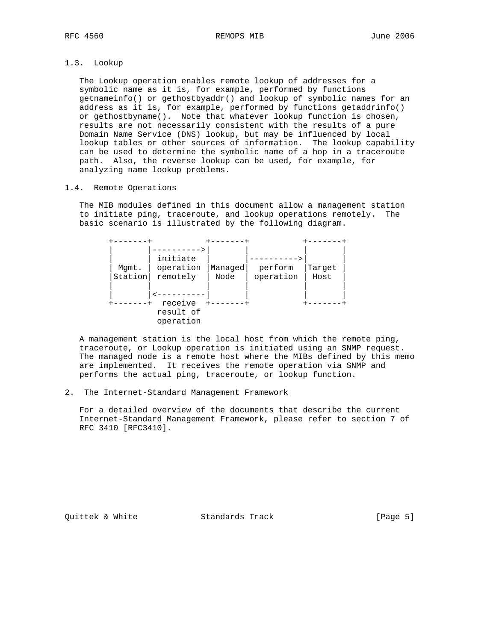# 1.3. Lookup

 The Lookup operation enables remote lookup of addresses for a symbolic name as it is, for example, performed by functions getnameinfo() or gethostbyaddr() and lookup of symbolic names for an address as it is, for example, performed by functions getaddrinfo() or gethostbyname(). Note that whatever lookup function is chosen, results are not necessarily consistent with the results of a pure Domain Name Service (DNS) lookup, but may be influenced by local lookup tables or other sources of information. The lookup capability can be used to determine the symbolic name of a hop in a traceroute path. Also, the reverse lookup can be used, for example, for analyzing name lookup problems.

## 1.4. Remote Operations

 The MIB modules defined in this document allow a management station to initiate ping, traceroute, and lookup operations remotely. The basic scenario is illustrated by the following diagram.

| Mgmt.<br>Station | initiate<br>operation<br>remotely | Managed<br>Node | perform<br>operation | Target<br>Host |  |
|------------------|-----------------------------------|-----------------|----------------------|----------------|--|
|                  |                                   |                 |                      |                |  |
|                  | receive<br>result of<br>operation |                 |                      |                |  |

 A management station is the local host from which the remote ping, traceroute, or Lookup operation is initiated using an SNMP request. The managed node is a remote host where the MIBs defined by this memo are implemented. It receives the remote operation via SNMP and performs the actual ping, traceroute, or lookup function.

#### 2. The Internet-Standard Management Framework

 For a detailed overview of the documents that describe the current Internet-Standard Management Framework, please refer to section 7 of RFC 3410 [RFC3410].

Quittek & White Standards Track [Page 5]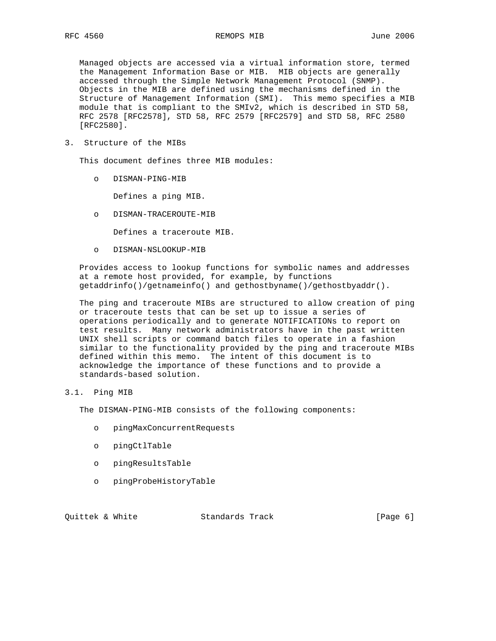Managed objects are accessed via a virtual information store, termed the Management Information Base or MIB. MIB objects are generally accessed through the Simple Network Management Protocol (SNMP). Objects in the MIB are defined using the mechanisms defined in the Structure of Management Information (SMI). This memo specifies a MIB module that is compliant to the SMIv2, which is described in STD 58, RFC 2578 [RFC2578], STD 58, RFC 2579 [RFC2579] and STD 58, RFC 2580 [RFC2580].

3. Structure of the MIBs

This document defines three MIB modules:

o DISMAN-PING-MIB

Defines a ping MIB.

o DISMAN-TRACEROUTE-MIB

Defines a traceroute MIB.

o DISMAN-NSLOOKUP-MIB

 Provides access to lookup functions for symbolic names and addresses at a remote host provided, for example, by functions getaddrinfo()/getnameinfo() and gethostbyname()/gethostbyaddr().

 The ping and traceroute MIBs are structured to allow creation of ping or traceroute tests that can be set up to issue a series of operations periodically and to generate NOTIFICATIONs to report on test results. Many network administrators have in the past written UNIX shell scripts or command batch files to operate in a fashion similar to the functionality provided by the ping and traceroute MIBs defined within this memo. The intent of this document is to acknowledge the importance of these functions and to provide a standards-based solution.

## 3.1. Ping MIB

The DISMAN-PING-MIB consists of the following components:

- o pingMaxConcurrentRequests
- o pingCtlTable
- o pingResultsTable
- o pingProbeHistoryTable

Quittek & White  $S$  Standards Track [Page 6]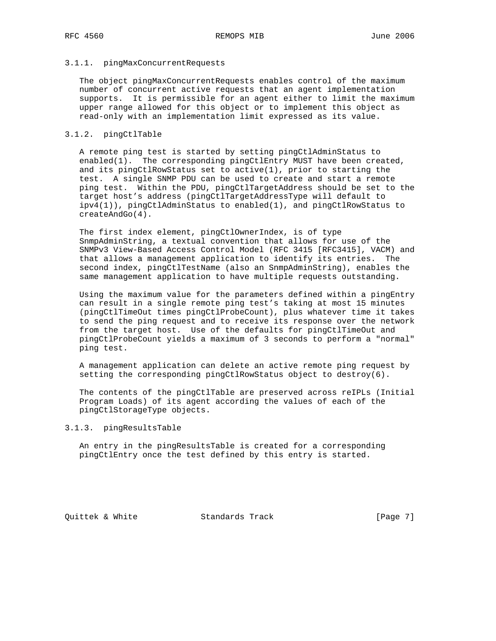## 3.1.1. pingMaxConcurrentRequests

 The object pingMaxConcurrentRequests enables control of the maximum number of concurrent active requests that an agent implementation supports. It is permissible for an agent either to limit the maximum upper range allowed for this object or to implement this object as read-only with an implementation limit expressed as its value.

## 3.1.2. pingCtlTable

 A remote ping test is started by setting pingCtlAdminStatus to enabled(1). The corresponding pingCtlEntry MUST have been created, and its pingCtlRowStatus set to active(1), prior to starting the test. A single SNMP PDU can be used to create and start a remote ping test. Within the PDU, pingCtlTargetAddress should be set to the target host's address (pingCtlTargetAddressType will default to ipv4(1)), pingCtlAdminStatus to enabled(1), and pingCtlRowStatus to createAndGo(4).

 The first index element, pingCtlOwnerIndex, is of type SnmpAdminString, a textual convention that allows for use of the SNMPv3 View-Based Access Control Model (RFC 3415 [RFC3415], VACM) and that allows a management application to identify its entries. The second index, pingCtlTestName (also an SnmpAdminString), enables the same management application to have multiple requests outstanding.

 Using the maximum value for the parameters defined within a pingEntry can result in a single remote ping test's taking at most 15 minutes (pingCtlTimeOut times pingCtlProbeCount), plus whatever time it takes to send the ping request and to receive its response over the network from the target host. Use of the defaults for pingCtlTimeOut and pingCtlProbeCount yields a maximum of 3 seconds to perform a "normal" ping test.

 A management application can delete an active remote ping request by setting the corresponding pingCtlRowStatus object to destroy(6).

 The contents of the pingCtlTable are preserved across reIPLs (Initial Program Loads) of its agent according the values of each of the pingCtlStorageType objects.

## 3.1.3. pingResultsTable

 An entry in the pingResultsTable is created for a corresponding pingCtlEntry once the test defined by this entry is started.

Quittek & White Standards Track [Page 7]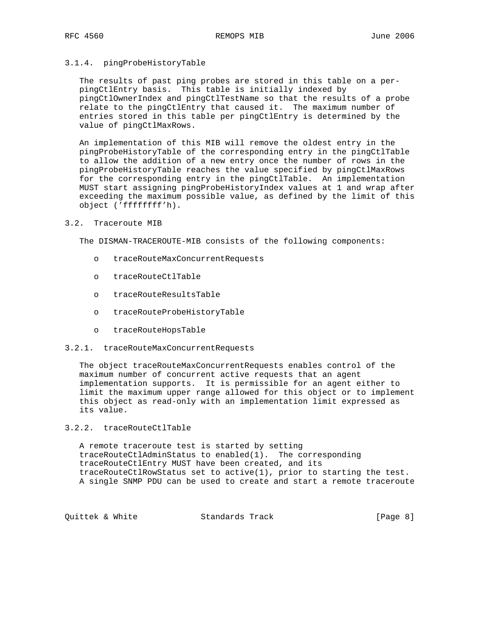## 3.1.4. pingProbeHistoryTable

 The results of past ping probes are stored in this table on a per pingCtlEntry basis. This table is initially indexed by pingCtlOwnerIndex and pingCtlTestName so that the results of a probe relate to the pingCtlEntry that caused it. The maximum number of entries stored in this table per pingCtlEntry is determined by the value of pingCtlMaxRows.

 An implementation of this MIB will remove the oldest entry in the pingProbeHistoryTable of the corresponding entry in the pingCtlTable to allow the addition of a new entry once the number of rows in the pingProbeHistoryTable reaches the value specified by pingCtlMaxRows for the corresponding entry in the pingCtlTable. An implementation MUST start assigning pingProbeHistoryIndex values at 1 and wrap after exceeding the maximum possible value, as defined by the limit of this object ('ffffffff'h).

### 3.2. Traceroute MIB

The DISMAN-TRACEROUTE-MIB consists of the following components:

- o traceRouteMaxConcurrentRequests
- o traceRouteCtlTable
- o traceRouteResultsTable
- o traceRouteProbeHistoryTable
- o traceRouteHopsTable
- 3.2.1. traceRouteMaxConcurrentRequests

 The object traceRouteMaxConcurrentRequests enables control of the maximum number of concurrent active requests that an agent implementation supports. It is permissible for an agent either to limit the maximum upper range allowed for this object or to implement this object as read-only with an implementation limit expressed as its value.

## 3.2.2. traceRouteCtlTable

 A remote traceroute test is started by setting traceRouteCtlAdminStatus to enabled(1). The corresponding traceRouteCtlEntry MUST have been created, and its traceRouteCtlRowStatus set to active(1), prior to starting the test. A single SNMP PDU can be used to create and start a remote traceroute

Quittek & White  $S$  Standards Track [Page 8]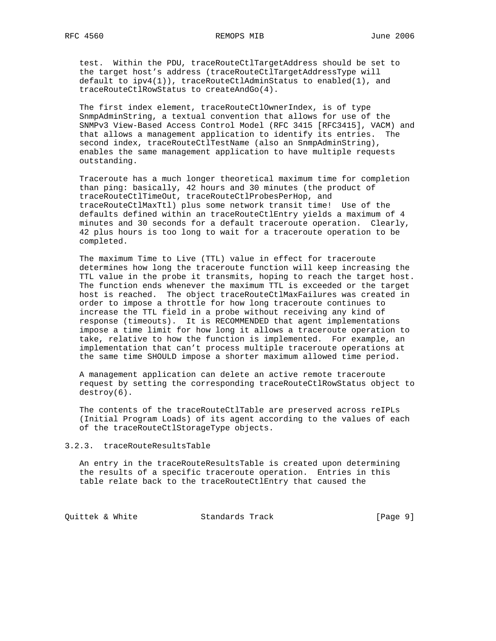test. Within the PDU, traceRouteCtlTargetAddress should be set to the target host's address (traceRouteCtlTargetAddressType will default to  $ipy4(1)$ , traceRouteCtlAdminStatus to enabled(1), and traceRouteCtlRowStatus to createAndGo(4).

 The first index element, traceRouteCtlOwnerIndex, is of type SnmpAdminString, a textual convention that allows for use of the SNMPv3 View-Based Access Control Model (RFC 3415 [RFC3415], VACM) and that allows a management application to identify its entries. The second index, traceRouteCtlTestName (also an SnmpAdminString), enables the same management application to have multiple requests outstanding.

 Traceroute has a much longer theoretical maximum time for completion than ping: basically, 42 hours and 30 minutes (the product of traceRouteCtlTimeOut, traceRouteCtlProbesPerHop, and traceRouteCtlMaxTtl) plus some network transit time! Use of the defaults defined within an traceRouteCtlEntry yields a maximum of 4 minutes and 30 seconds for a default traceroute operation. Clearly, 42 plus hours is too long to wait for a traceroute operation to be completed.

 The maximum Time to Live (TTL) value in effect for traceroute determines how long the traceroute function will keep increasing the TTL value in the probe it transmits, hoping to reach the target host. The function ends whenever the maximum TTL is exceeded or the target host is reached. The object traceRouteCtlMaxFailures was created in order to impose a throttle for how long traceroute continues to increase the TTL field in a probe without receiving any kind of response (timeouts). It is RECOMMENDED that agent implementations impose a time limit for how long it allows a traceroute operation to take, relative to how the function is implemented. For example, an implementation that can't process multiple traceroute operations at the same time SHOULD impose a shorter maximum allowed time period.

 A management application can delete an active remote traceroute request by setting the corresponding traceRouteCtlRowStatus object to destroy(6).

 The contents of the traceRouteCtlTable are preserved across reIPLs (Initial Program Loads) of its agent according to the values of each of the traceRouteCtlStorageType objects.

3.2.3. traceRouteResultsTable

 An entry in the traceRouteResultsTable is created upon determining the results of a specific traceroute operation. Entries in this table relate back to the traceRouteCtlEntry that caused the

Quittek & White  $S$ tandards Track [Page 9]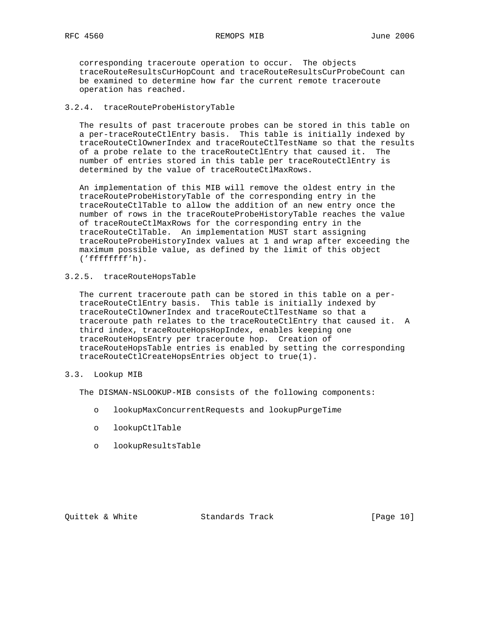corresponding traceroute operation to occur. The objects traceRouteResultsCurHopCount and traceRouteResultsCurProbeCount can be examined to determine how far the current remote traceroute operation has reached.

## 3.2.4. traceRouteProbeHistoryTable

 The results of past traceroute probes can be stored in this table on a per-traceRouteCtlEntry basis. This table is initially indexed by traceRouteCtlOwnerIndex and traceRouteCtlTestName so that the results of a probe relate to the traceRouteCtlEntry that caused it. The number of entries stored in this table per traceRouteCtlEntry is determined by the value of traceRouteCtlMaxRows.

 An implementation of this MIB will remove the oldest entry in the traceRouteProbeHistoryTable of the corresponding entry in the traceRouteCtlTable to allow the addition of an new entry once the number of rows in the traceRouteProbeHistoryTable reaches the value of traceRouteCtlMaxRows for the corresponding entry in the traceRouteCtlTable. An implementation MUST start assigning traceRouteProbeHistoryIndex values at 1 and wrap after exceeding the maximum possible value, as defined by the limit of this object ('ffffffff'h).

3.2.5. traceRouteHopsTable

 The current traceroute path can be stored in this table on a per traceRouteCtlEntry basis. This table is initially indexed by traceRouteCtlOwnerIndex and traceRouteCtlTestName so that a traceroute path relates to the traceRouteCtlEntry that caused it. A third index, traceRouteHopsHopIndex, enables keeping one traceRouteHopsEntry per traceroute hop. Creation of traceRouteHopsTable entries is enabled by setting the corresponding traceRouteCtlCreateHopsEntries object to true(1).

## 3.3. Lookup MIB

The DISMAN-NSLOOKUP-MIB consists of the following components:

- o lookupMaxConcurrentRequests and lookupPurgeTime
- o lookupCtlTable
- o lookupResultsTable

Quittek & White Standards Track [Page 10]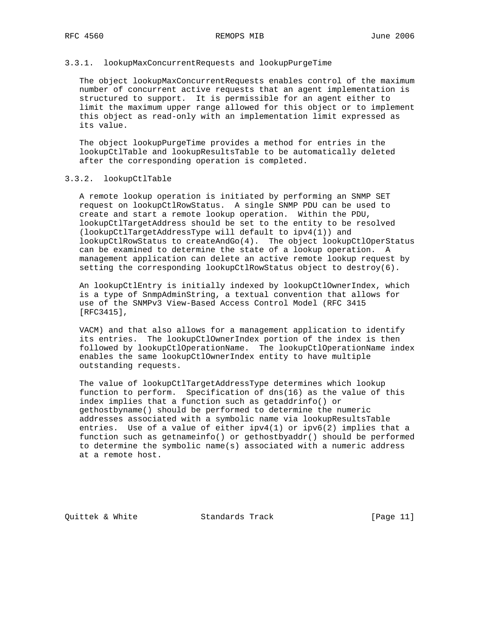### 3.3.1. lookupMaxConcurrentRequests and lookupPurgeTime

 The object lookupMaxConcurrentRequests enables control of the maximum number of concurrent active requests that an agent implementation is structured to support. It is permissible for an agent either to limit the maximum upper range allowed for this object or to implement this object as read-only with an implementation limit expressed as its value.

 The object lookupPurgeTime provides a method for entries in the lookupCtlTable and lookupResultsTable to be automatically deleted after the corresponding operation is completed.

#### 3.3.2. lookupCtlTable

 A remote lookup operation is initiated by performing an SNMP SET request on lookupCtlRowStatus. A single SNMP PDU can be used to create and start a remote lookup operation. Within the PDU, lookupCtlTargetAddress should be set to the entity to be resolved (lookupCtlTargetAddressType will default to ipv4(1)) and lookupCtlRowStatus to createAndGo(4). The object lookupCtlOperStatus can be examined to determine the state of a lookup operation. A management application can delete an active remote lookup request by setting the corresponding lookupCtlRowStatus object to destroy(6).

 An lookupCtlEntry is initially indexed by lookupCtlOwnerIndex, which is a type of SnmpAdminString, a textual convention that allows for use of the SNMPv3 View-Based Access Control Model (RFC 3415 [RFC3415],

 VACM) and that also allows for a management application to identify its entries. The lookupCtlOwnerIndex portion of the index is then followed by lookupCtlOperationName. The lookupCtlOperationName index enables the same lookupCtlOwnerIndex entity to have multiple outstanding requests.

 The value of lookupCtlTargetAddressType determines which lookup function to perform. Specification of dns(16) as the value of this index implies that a function such as getaddrinfo() or gethostbyname() should be performed to determine the numeric addresses associated with a symbolic name via lookupResultsTable entries. Use of a value of either  $ipv4(1)$  or  $ipv6(2)$  implies that a function such as getnameinfo() or gethostbyaddr() should be performed to determine the symbolic name(s) associated with a numeric address at a remote host.

Quittek & White Standards Track [Page 11]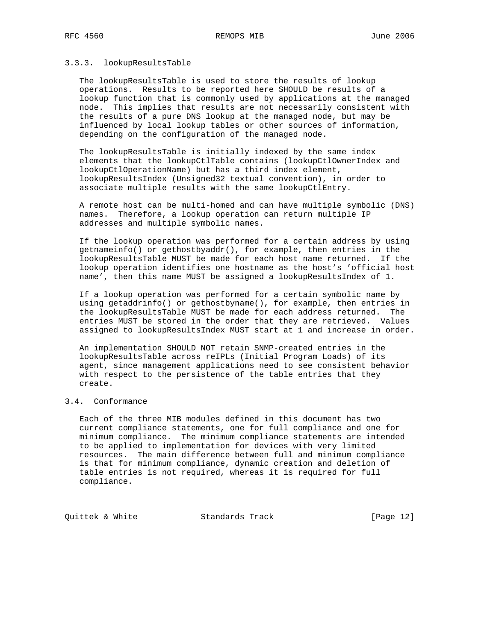### 3.3.3. lookupResultsTable

 The lookupResultsTable is used to store the results of lookup operations. Results to be reported here SHOULD be results of a lookup function that is commonly used by applications at the managed node. This implies that results are not necessarily consistent with the results of a pure DNS lookup at the managed node, but may be influenced by local lookup tables or other sources of information, depending on the configuration of the managed node.

 The lookupResultsTable is initially indexed by the same index elements that the lookupCtlTable contains (lookupCtlOwnerIndex and lookupCtlOperationName) but has a third index element, lookupResultsIndex (Unsigned32 textual convention), in order to associate multiple results with the same lookupCtlEntry.

 A remote host can be multi-homed and can have multiple symbolic (DNS) names. Therefore, a lookup operation can return multiple IP addresses and multiple symbolic names.

 If the lookup operation was performed for a certain address by using getnameinfo() or gethostbyaddr(), for example, then entries in the lookupResultsTable MUST be made for each host name returned. If the lookup operation identifies one hostname as the host's 'official host name', then this name MUST be assigned a lookupResultsIndex of 1.

 If a lookup operation was performed for a certain symbolic name by using getaddrinfo() or gethostbyname(), for example, then entries in the lookupResultsTable MUST be made for each address returned. The entries MUST be stored in the order that they are retrieved. Values assigned to lookupResultsIndex MUST start at 1 and increase in order.

 An implementation SHOULD NOT retain SNMP-created entries in the lookupResultsTable across reIPLs (Initial Program Loads) of its agent, since management applications need to see consistent behavior with respect to the persistence of the table entries that they create.

# 3.4. Conformance

 Each of the three MIB modules defined in this document has two current compliance statements, one for full compliance and one for minimum compliance. The minimum compliance statements are intended to be applied to implementation for devices with very limited resources. The main difference between full and minimum compliance is that for minimum compliance, dynamic creation and deletion of table entries is not required, whereas it is required for full compliance.

Quittek & White Standards Track [Page 12]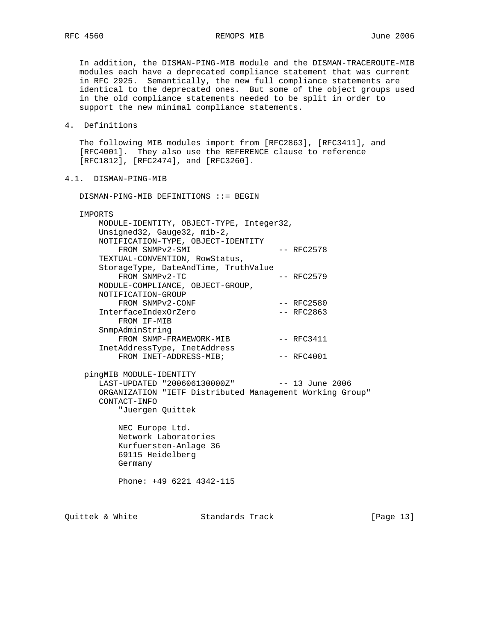# RFC 4560 REMOPS MIB REMOPS MID June 2006

 In addition, the DISMAN-PING-MIB module and the DISMAN-TRACEROUTE-MIB modules each have a deprecated compliance statement that was current in RFC 2925. Semantically, the new full compliance statements are identical to the deprecated ones. But some of the object groups used in the old compliance statements needed to be split in order to support the new minimal compliance statements.

4. Definitions

 The following MIB modules import from [RFC2863], [RFC3411], and [RFC4001]. They also use the REFERENCE clause to reference [RFC1812], [RFC2474], and [RFC3260].

4.1. DISMAN-PING-MIB

DISMAN-PING-MIB DEFINITIONS ::= BEGIN

IMPORTS

| MODULE-IDENTITY, OBJECT-TYPE, Integer32,<br>Unsigned32, Gauge32, mib-2,<br>NOTIFICATION-TYPE, OBJECT-IDENTITY |              |
|---------------------------------------------------------------------------------------------------------------|--------------|
| FROM SNMPv2-SMI                                                                                               | $--$ RFC2578 |
| TEXTUAL-CONVENTION, RowStatus,                                                                                |              |
| StorageType, DateAndTime, TruthValue                                                                          |              |
| FROM SNMPv2-TC                                                                                                | $--$ RFC2579 |
| MODULE-COMPLIANCE, OBJECT-GROUP,                                                                              |              |
| NOTIFICATION-GROUP                                                                                            |              |
| FROM SNMPv2-CONF                                                                                              | $--$ RFC2580 |
| InterfaceIndexOrZero                                                                                          | $--$ RFC2863 |
| FROM IF-MIB                                                                                                   |              |
| SnmpAdminString                                                                                               |              |
| FROM SNMP-FRAMEWORK-MIB                                                                                       | $--$ RFC3411 |
| InetAddressType, InetAddress                                                                                  |              |
| FROM INET-ADDRESS-MIB;                                                                                        | $--$ RFC4001 |

 pingMIB MODULE-IDENTITY LAST-UPDATED "200606130000Z" -- 13 June 2006 ORGANIZATION "IETF Distributed Management Working Group" CONTACT-INFO "Juergen Quittek

> NEC Europe Ltd. Network Laboratories Kurfuersten-Anlage 36 69115 Heidelberg Germany

Phone: +49 6221 4342-115

Quittek & White  $\sim$  Standards Track [Page 13]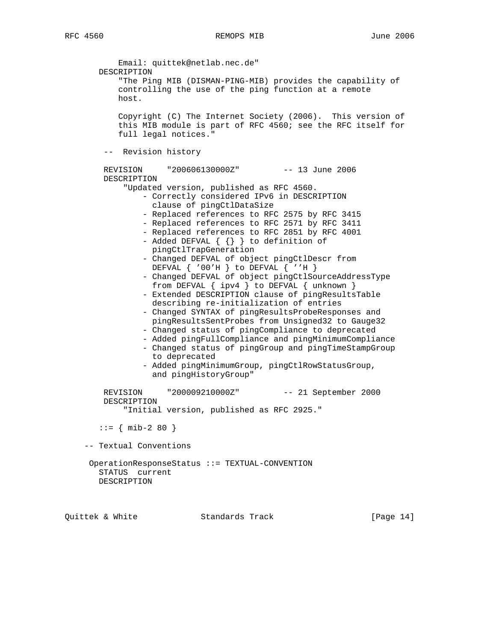Email: quittek@netlab.nec.de" DESCRIPTION "The Ping MIB (DISMAN-PING-MIB) provides the capability of controlling the use of the ping function at a remote host. Copyright (C) The Internet Society (2006). This version of this MIB module is part of RFC 4560; see the RFC itself for full legal notices." -- Revision history REVISION "200606130000Z" -- 13 June 2006 DESCRIPTION "Updated version, published as RFC 4560. - Correctly considered IPv6 in DESCRIPTION clause of pingCtlDataSize - Replaced references to RFC 2575 by RFC 3415 - Replaced references to RFC 2571 by RFC 3411 - Replaced references to RFC 2851 by RFC 4001 - Added DEFVAL  $\{ \} \}$  to definition of pingCtlTrapGeneration - Changed DEFVAL of object pingCtlDescr from DEFVAL  $\{ '00'$ H  $\}$  to DEFVAL  $\{ 'H \}$  - Changed DEFVAL of object pingCtlSourceAddressType from DEFVAL { ipv4 } to DEFVAL { unknown } - Extended DESCRIPTION clause of pingResultsTable describing re-initialization of entries - Changed SYNTAX of pingResultsProbeResponses and pingResultsSentProbes from Unsigned32 to Gauge32 - Changed status of pingCompliance to deprecated - Added pingFullCompliance and pingMinimumCompliance - Changed status of pingGroup and pingTimeStampGroup to deprecated - Added pingMinimumGroup, pingCtlRowStatusGroup, and pingHistoryGroup" REVISION "200009210000Z" -- 21 September 2000 DESCRIPTION "Initial version, published as RFC 2925."  $::=$  { mib-2 80 } -- Textual Conventions OperationResponseStatus ::= TEXTUAL-CONVENTION STATUS current DESCRIPTION

Quittek & White Standards Track [Page 14]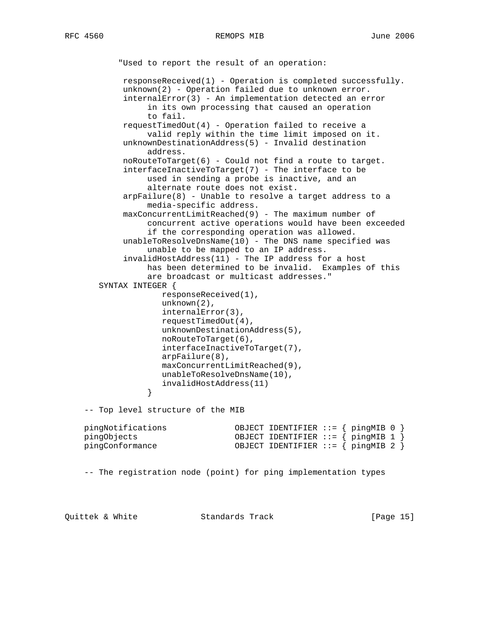```
 "Used to report the result of an operation:
            responseReceived(1) - Operation is completed successfully.
            unknown(2) - Operation failed due to unknown error.
            internalError(3) - An implementation detected an error
                 in its own processing that caused an operation
                 to fail.
           requestTimedOut(4) - Operation failed to receive a
                 valid reply within the time limit imposed on it.
           unknownDestinationAddress(5) - Invalid destination
                 address.
            noRouteToTarget(6) - Could not find a route to target.
            interfaceInactiveToTarget(7) - The interface to be
                 used in sending a probe is inactive, and an
                 alternate route does not exist.
            arpFailure(8) - Unable to resolve a target address to a
                 media-specific address.
           maxConcurrentLimitRead(9) - The maximum number of concurrent active operations would have been exceeded
                 if the corresponding operation was allowed.
            unableToResolveDnsName(10) - The DNS name specified was
                 unable to be mapped to an IP address.
            invalidHostAddress(11) - The IP address for a host
                 has been determined to be invalid. Examples of this
                 are broadcast or multicast addresses."
       SYNTAX INTEGER {
                    responseReceived(1),
                    unknown(2),
                    internalError(3),
                    requestTimedOut(4),
                    unknownDestinationAddress(5),
                    noRouteToTarget(6),
                    interfaceInactiveToTarget(7),
                    arpFailure(8),
                    maxConcurrentLimitReached(9),
                    unableToResolveDnsName(10),
                invalidHostAddress(11)<br>}
 }
    -- Top level structure of the MIB
    pingNotifications OBJECT IDENTIFIER ::= { pingMIB 0 }
    pingObjects OBJECT IDENTIFIER ::= { pingMIB 1 }
    pingConformance OBJECT IDENTIFIER ::= { pingMIB 2 }
    -- The registration node (point) for ping implementation types
```
Quittek & White Standards Track [Page 15]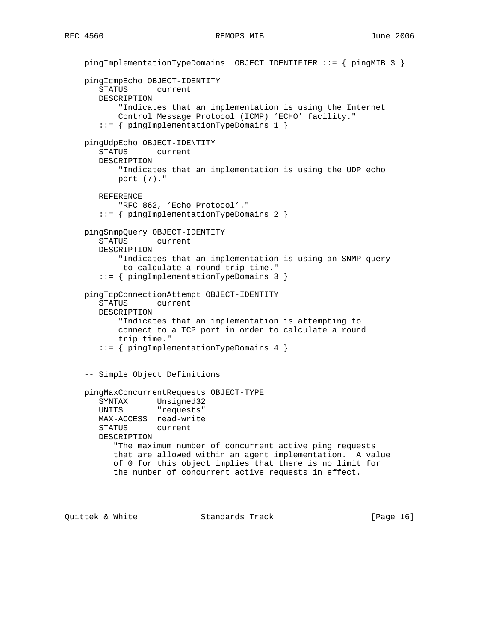```
 pingImplementationTypeDomains OBJECT IDENTIFIER ::= { pingMIB 3 }
 pingIcmpEcho OBJECT-IDENTITY
    STATUS current
   DESCRIPTION
        "Indicates that an implementation is using the Internet
        Control Message Protocol (ICMP) 'ECHO' facility."
    ::= { pingImplementationTypeDomains 1 }
 pingUdpEcho OBJECT-IDENTITY
    STATUS current
   DESCRIPTION
        "Indicates that an implementation is using the UDP echo
        port (7)."
    REFERENCE
        "RFC 862, 'Echo Protocol'."
    ::= { pingImplementationTypeDomains 2 }
 pingSnmpQuery OBJECT-IDENTITY
   STATUS current
    DESCRIPTION
        "Indicates that an implementation is using an SNMP query
        to calculate a round trip time."
    ::= { pingImplementationTypeDomains 3 }
 pingTcpConnectionAttempt OBJECT-IDENTITY
    STATUS current
   DESCRIPTION
        "Indicates that an implementation is attempting to
        connect to a TCP port in order to calculate a round
        trip time."
    ::= { pingImplementationTypeDomains 4 }
 -- Simple Object Definitions
 pingMaxConcurrentRequests OBJECT-TYPE
    SYNTAX Unsigned32
   UNITS "requests"
   MAX-ACCESS read-write
    STATUS current
   DESCRIPTION
       "The maximum number of concurrent active ping requests
       that are allowed within an agent implementation. A value
       of 0 for this object implies that there is no limit for
       the number of concurrent active requests in effect.
```
Quittek & White Standards Track [Page 16]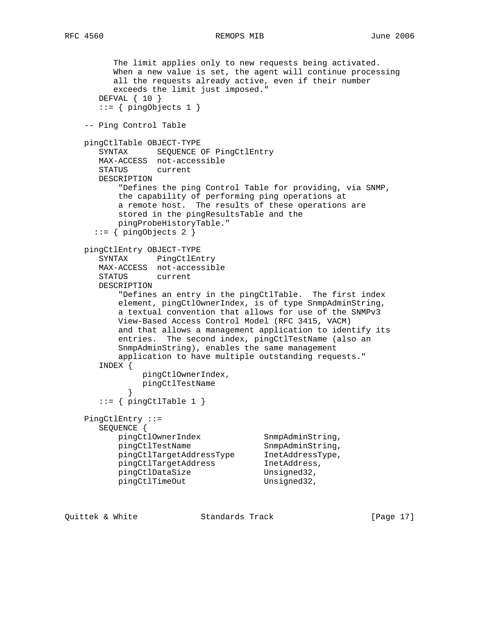```
 The limit applies only to new requests being activated.
          When a new value is set, the agent will continue processing
          all the requests already active, even if their number
          exceeds the limit just imposed."
       DEFVAL { 10 }
       ::= { pingObjects 1 }
    -- Ping Control Table
    pingCtlTable OBJECT-TYPE
       SYNTAX SEQUENCE OF PingCtlEntry
       MAX-ACCESS not-accessible
       STATUS current
       DESCRIPTION
           "Defines the ping Control Table for providing, via SNMP,
           the capability of performing ping operations at
           a remote host. The results of these operations are
           stored in the pingResultsTable and the
          pingProbeHistoryTable."
      ::= \{ \text{pingObjects 2 } \} pingCtlEntry OBJECT-TYPE
       SYNTAX PingCtlEntry
       MAX-ACCESS not-accessible
       STATUS current
       DESCRIPTION
           "Defines an entry in the pingCtlTable. The first index
           element, pingCtlOwnerIndex, is of type SnmpAdminString,
           a textual convention that allows for use of the SNMPv3
           View-Based Access Control Model (RFC 3415, VACM)
           and that allows a management application to identify its
           entries. The second index, pingCtlTestName (also an
           SnmpAdminString), enables the same management
           application to have multiple outstanding requests."
       INDEX {
               pingCtlOwnerIndex,
               pingCtlTestName
 }
      ::= { pingCtlTable 1 }
    PingCtlEntry ::=
       SEQUENCE {
pingCtlOwnerIndex SnmpAdminString,
pingCtlTestName SnmpAdminString,
 pingCtlTargetAddressType InetAddressType,
 pingCtlTargetAddress InetAddress,
pingCtlDataSize Unsigned32,
         pingCtlTimeOut Unsigned32,
```
Quittek & White Standards Track [Page 17]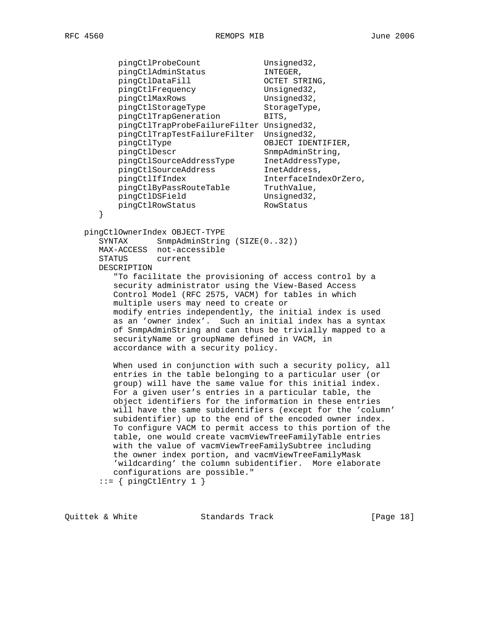}

pingCtlProbeCount Unsigned32, pingCtlAdminStatus INTEGER, pingCtlDataFill OCTET STRING,<br>pingCtlFrequency Unsigned32, pingctibatariii<br>
pingCtlFrequency Unsigned32,<br>
pingCtlMaxRows Unsigned32, pingCtlMaxRows 6. Unsigned32, pingCtlStorageType StorageType, pingCtlTrapGeneration BITS, pingCtlTrapProbeFailureFilter Unsigned32, pingCtlTrapTestFailureFilter Unsigned32, pingCtlType OBJECT IDENTIFIER, pingCtlDescr SnmpAdminString, pingCtlSourceAddressType InetAddressType, pingCtlSourceAddress InetAddress, pingCtlIfIndex interfaceIndexOrZero, pingCtlByPassRouteTable TruthValue, pingCtlDSField Unsigned32, pingCtlRowStatus RowStatus

pingCtlOwnerIndex OBJECT-TYPE

SYNTAX SnmpAdminString (SIZE(0..32)) MAX-ACCESS not-accessible STATUS current DESCRIPTION

 "To facilitate the provisioning of access control by a security administrator using the View-Based Access Control Model (RFC 2575, VACM) for tables in which multiple users may need to create or modify entries independently, the initial index is used as an 'owner index'. Such an initial index has a syntax of SnmpAdminString and can thus be trivially mapped to a securityName or groupName defined in VACM, in accordance with a security policy.

 When used in conjunction with such a security policy, all entries in the table belonging to a particular user (or group) will have the same value for this initial index. For a given user's entries in a particular table, the object identifiers for the information in these entries will have the same subidentifiers (except for the 'column' subidentifier) up to the end of the encoded owner index. To configure VACM to permit access to this portion of the table, one would create vacmViewTreeFamilyTable entries with the value of vacmViewTreeFamilySubtree including the owner index portion, and vacmViewTreeFamilyMask 'wildcarding' the column subidentifier. More elaborate configurations are possible."

 $::=$  { pingCtlEntry 1 }

Quittek & White Standards Track [Page 18]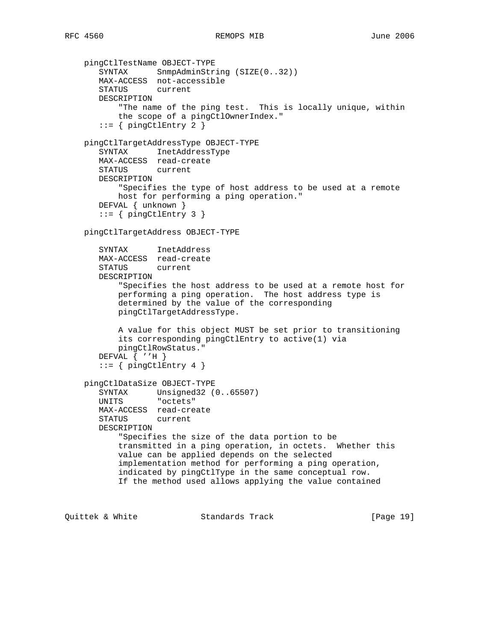```
 pingCtlTestName OBJECT-TYPE
   SYNTAX SnmpAdminString (SIZE(0..32))
   MAX-ACCESS not-accessible
    STATUS current
   DESCRIPTION
        "The name of the ping test. This is locally unique, within
        the scope of a pingCtlOwnerIndex."
   ::= { pingCtlEntry 2 }
 pingCtlTargetAddressType OBJECT-TYPE
    SYNTAX InetAddressType
   MAX-ACCESS read-create
   STATUS current
   DESCRIPTION
        "Specifies the type of host address to be used at a remote
       host for performing a ping operation."
    DEFVAL { unknown }
   ::= { pingCtlEntry 3 }
 pingCtlTargetAddress OBJECT-TYPE
    SYNTAX InetAddress
   MAX-ACCESS read-create
   STATUS current
   DESCRIPTION
        "Specifies the host address to be used at a remote host for
        performing a ping operation. The host address type is
        determined by the value of the corresponding
        pingCtlTargetAddressType.
        A value for this object MUST be set prior to transitioning
        its corresponding pingCtlEntry to active(1) via
        pingCtlRowStatus."
    DEFVAL { ''H }
   ::= \{ pingCtlEntry 4 \} pingCtlDataSize OBJECT-TYPE
   SYNTAX Unsigned32 (0..65507)
    UNITS "octets"
    MAX-ACCESS read-create
    STATUS current
   DESCRIPTION
        "Specifies the size of the data portion to be
        transmitted in a ping operation, in octets. Whether this
        value can be applied depends on the selected
        implementation method for performing a ping operation,
        indicated by pingCtlType in the same conceptual row.
        If the method used allows applying the value contained
```
Quittek & White Standards Track [Page 19]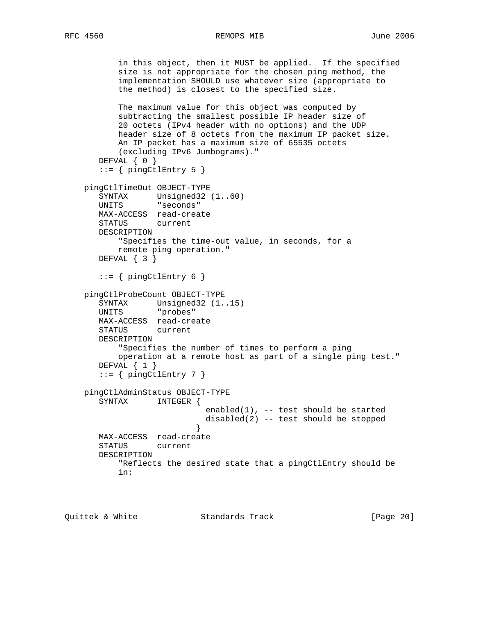```
 in this object, then it MUST be applied. If the specified
           size is not appropriate for the chosen ping method, the
           implementation SHOULD use whatever size (appropriate to
           the method) is closest to the specified size.
           The maximum value for this object was computed by
           subtracting the smallest possible IP header size of
           20 octets (IPv4 header with no options) and the UDP
           header size of 8 octets from the maximum IP packet size.
           An IP packet has a maximum size of 65535 octets
           (excluding IPv6 Jumbograms)."
      DEFVAL { 0 }
       ::= { pingCtlEntry 5 }
    pingCtlTimeOut OBJECT-TYPE
      SYNTAX Unsigned32 (1..60)
       UNITS "seconds"
       MAX-ACCESS read-create
       STATUS current
       DESCRIPTION
           "Specifies the time-out value, in seconds, for a
           remote ping operation."
       DEFVAL { 3 }
      ::= { pingCtlEntry 6 }
    pingCtlProbeCount OBJECT-TYPE
 SYNTAX Unsigned32 (1..15)
 UNITS "probes"
       MAX-ACCESS read-create
       STATUS current
       DESCRIPTION
           "Specifies the number of times to perform a ping
           operation at a remote host as part of a single ping test."
      DEFVAL \{ 1 \}::= { pingCtlEntry 7 }
    pingCtlAdminStatus OBJECT-TYPE
       SYNTAX INTEGER {
                             enabled(1), -- test should be started
                            disabled(2) -- test should be stopped
 }
       MAX-ACCESS read-create
       STATUS current
       DESCRIPTION
           "Reflects the desired state that a pingCtlEntry should be
           in:
```
Quittek & White Standards Track [Page 20]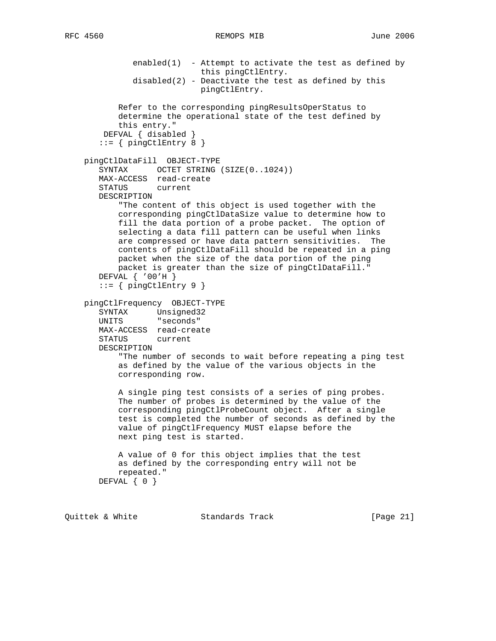```
enabled(1) - Attempt to activate the test as defined by
                         this pingCtlEntry.
          disabled(2) - Deactivate the test as defined by this
                         pingCtlEntry.
        Refer to the corresponding pingResultsOperStatus to
        determine the operational state of the test defined by
        this entry."
     DEFVAL { disabled }
    ::= { \n  pingCtlEntry 8 } pingCtlDataFill OBJECT-TYPE
   SYNTAX OCTET STRING (SIZE(0..1024))
    MAX-ACCESS read-create
    STATUS current
    DESCRIPTION
        "The content of this object is used together with the
        corresponding pingCtlDataSize value to determine how to
        fill the data portion of a probe packet. The option of
        selecting a data fill pattern can be useful when links
        are compressed or have data pattern sensitivities. The
        contents of pingCtlDataFill should be repeated in a ping
       packet when the size of the data portion of the ping
       packet is greater than the size of pingCtlDataFill."
    DEFVAL { '00'H }
   ::= { pingCtlEntry 9 }
 pingCtlFrequency OBJECT-TYPE
   SYNTAX Unsigned32
    UNITS "seconds"
   MAX-ACCESS read-create
   STATUS current
   DESCRIPTION
        "The number of seconds to wait before repeating a ping test
        as defined by the value of the various objects in the
       corresponding row.
        A single ping test consists of a series of ping probes.
        The number of probes is determined by the value of the
        corresponding pingCtlProbeCount object. After a single
        test is completed the number of seconds as defined by the
        value of pingCtlFrequency MUST elapse before the
       next ping test is started.
        A value of 0 for this object implies that the test
        as defined by the corresponding entry will not be
       repeated."
  DEFVAL { 0 }
```
Quittek & White Standards Track [Page 21]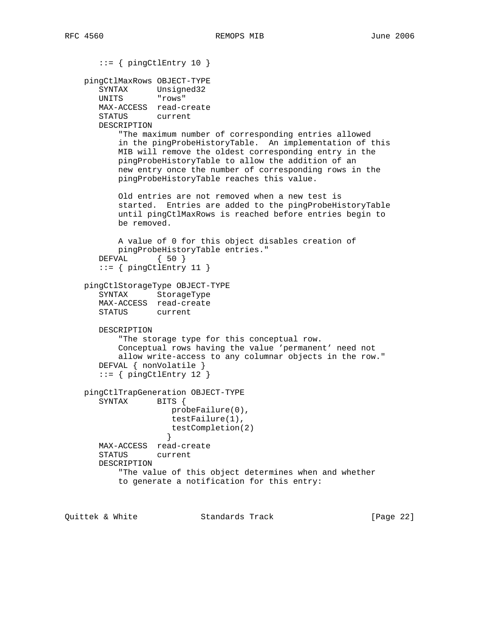```
 ::= { pingCtlEntry 10 }
    pingCtlMaxRows OBJECT-TYPE
 SYNTAX Unsigned32
 UNITS "rows"
       MAX-ACCESS read-create
       STATUS current
       DESCRIPTION
           "The maximum number of corresponding entries allowed
           in the pingProbeHistoryTable. An implementation of this
           MIB will remove the oldest corresponding entry in the
           pingProbeHistoryTable to allow the addition of an
           new entry once the number of corresponding rows in the
           pingProbeHistoryTable reaches this value.
           Old entries are not removed when a new test is
          started. Entries are added to the pingProbeHistoryTable
           until pingCtlMaxRows is reached before entries begin to
           be removed.
           A value of 0 for this object disables creation of
           pingProbeHistoryTable entries."
       DEFVAL { 50 }
      ::= { pingCtlEntry 11 }
    pingCtlStorageType OBJECT-TYPE
       SYNTAX StorageType
       MAX-ACCESS read-create
       STATUS current
       DESCRIPTION
           "The storage type for this conceptual row.
           Conceptual rows having the value 'permanent' need not
           allow write-access to any columnar objects in the row."
       DEFVAL { nonVolatile }
      ::= { pingCtlEntry 12 }
    pingCtlTrapGeneration OBJECT-TYPE
      SYNTAX BITS {
                     probeFailure(0),
                     testFailure(1),
                     testCompletion(2)
 }
       MAX-ACCESS read-create
       STATUS current
       DESCRIPTION
           "The value of this object determines when and whether
           to generate a notification for this entry:
```
Quittek & White Standards Track [Page 22]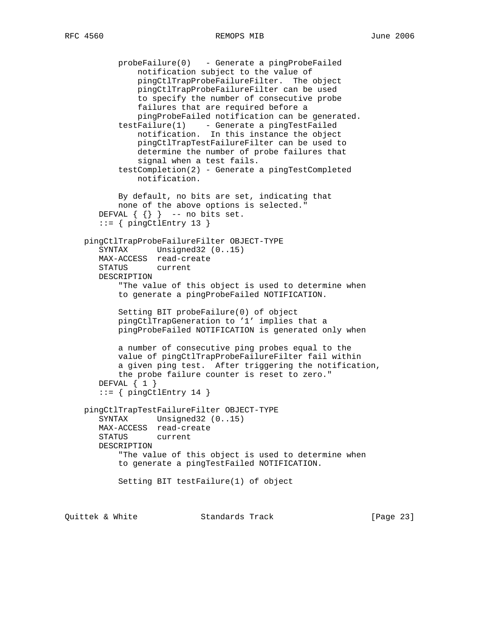probeFailure(0) - Generate a pingProbeFailed notification subject to the value of pingCtlTrapProbeFailureFilter. The object pingCtlTrapProbeFailureFilter can be used to specify the number of consecutive probe failures that are required before a pingProbeFailed notification can be generated. testFailure(1) - Generate a pingTestFailed notification. In this instance the object pingCtlTrapTestFailureFilter can be used to determine the number of probe failures that signal when a test fails. testCompletion(2) - Generate a pingTestCompleted notification. By default, no bits are set, indicating that none of the above options is selected." DEFVAL  $\{ \}$  -- no bits set.  $::=$  { pingCtlEntry 13 } pingCtlTrapProbeFailureFilter OBJECT-TYPE SYNTAX Unsigned32 (0..15) MAX-ACCESS read-create STATUS current DESCRIPTION "The value of this object is used to determine when to generate a pingProbeFailed NOTIFICATION. Setting BIT probeFailure(0) of object pingCtlTrapGeneration to '1' implies that a pingProbeFailed NOTIFICATION is generated only when a number of consecutive ping probes equal to the value of pingCtlTrapProbeFailureFilter fail within a given ping test. After triggering the notification, the probe failure counter is reset to zero." DEFVAL { 1 }  $::=$  { pingCtlEntry 14 } pingCtlTrapTestFailureFilter OBJECT-TYPE SYNTAX Unsigned32 (0..15) MAX-ACCESS read-create<br>STATUS current STATUS DESCRIPTION "The value of this object is used to determine when to generate a pingTestFailed NOTIFICATION. Setting BIT testFailure(1) of object

Quittek & White Standards Track [Page 23]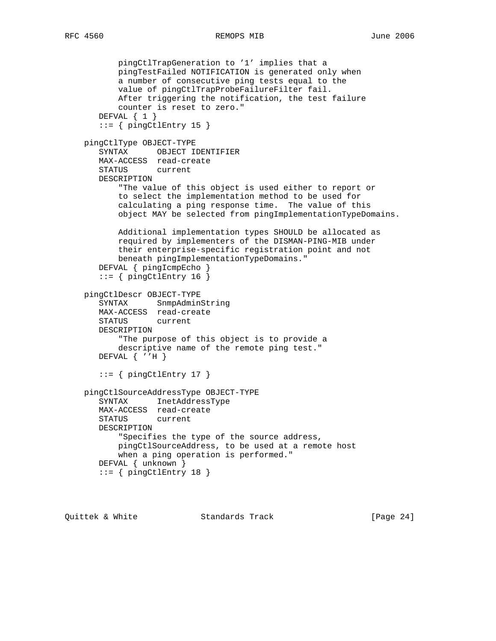```
 pingCtlTrapGeneration to '1' implies that a
        pingTestFailed NOTIFICATION is generated only when
        a number of consecutive ping tests equal to the
        value of pingCtlTrapProbeFailureFilter fail.
        After triggering the notification, the test failure
        counter is reset to zero."
    DEFVAL { 1 }
   ::= { pingCtlEntry 15 }
 pingCtlType OBJECT-TYPE
    SYNTAX OBJECT IDENTIFIER
   MAX-ACCESS read-create
    STATUS current
   DESCRIPTION
        "The value of this object is used either to report or
        to select the implementation method to be used for
        calculating a ping response time. The value of this
        object MAY be selected from pingImplementationTypeDomains.
        Additional implementation types SHOULD be allocated as
        required by implementers of the DISMAN-PING-MIB under
        their enterprise-specific registration point and not
        beneath pingImplementationTypeDomains."
    DEFVAL { pingIcmpEcho }
   ::= { pingCtlEntry 16 }
 pingCtlDescr OBJECT-TYPE
    SYNTAX SnmpAdminString
   MAX-ACCESS read-create
   STATUS current
   DESCRIPTION
        "The purpose of this object is to provide a
        descriptive name of the remote ping test."
   DEFVAL { ''H }
   ::= { pingCtlEntry 17 }
 pingCtlSourceAddressType OBJECT-TYPE
    SYNTAX InetAddressType
    MAX-ACCESS read-create
    STATUS current
   DESCRIPTION
        "Specifies the type of the source address,
        pingCtlSourceAddress, to be used at a remote host
        when a ping operation is performed."
    DEFVAL { unknown }
   ::= { pingCtlEntry 18 }
```
Quittek & White Standards Track [Page 24]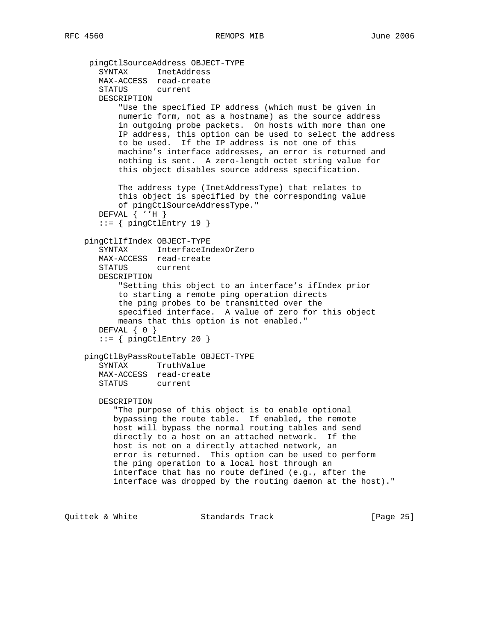```
 pingCtlSourceAddress OBJECT-TYPE
    SYNTAX InetAddress
   MAX-ACCESS read-create
    STATUS current
   DESCRIPTION
        "Use the specified IP address (which must be given in
        numeric form, not as a hostname) as the source address
        in outgoing probe packets. On hosts with more than one
        IP address, this option can be used to select the address
        to be used. If the IP address is not one of this
        machine's interface addresses, an error is returned and
       nothing is sent. A zero-length octet string value for
        this object disables source address specification.
        The address type (InetAddressType) that relates to
        this object is specified by the corresponding value
        of pingCtlSourceAddressType."
    DEFVAL { ''H }
   ::= { pingCtlEntry 19 }
 pingCtlIfIndex OBJECT-TYPE
    SYNTAX InterfaceIndexOrZero
   MAX-ACCESS read-create
   STATUS current
   DESCRIPTION
        "Setting this object to an interface's ifIndex prior
        to starting a remote ping operation directs
        the ping probes to be transmitted over the
        specified interface. A value of zero for this object
        means that this option is not enabled."
    DEFVAL { 0 }
   ::= { pingCtlEntry 20 }
 pingCtlByPassRouteTable OBJECT-TYPE
    SYNTAX TruthValue
    MAX-ACCESS read-create
    STATUS current
   DESCRIPTION
       "The purpose of this object is to enable optional
      bypassing the route table. If enabled, the remote
       host will bypass the normal routing tables and send
       directly to a host on an attached network. If the
      host is not on a directly attached network, an
       error is returned. This option can be used to perform
       the ping operation to a local host through an
       interface that has no route defined (e.g., after the
       interface was dropped by the routing daemon at the host)."
```
Quittek & White Standards Track [Page 25]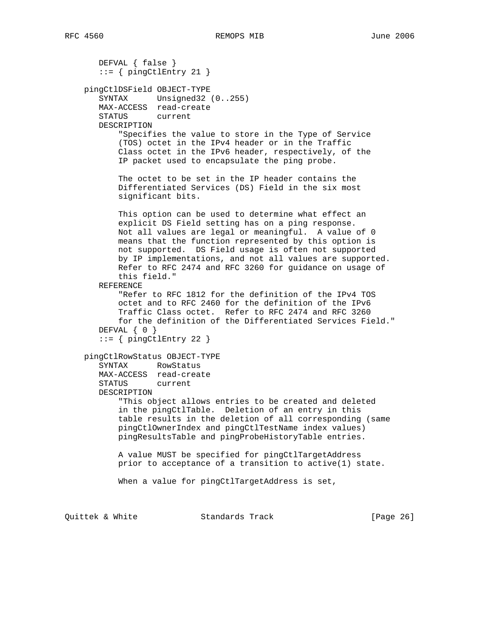DEFVAL { false }  $::=$  { pingCtlEntry 21 } pingCtlDSField OBJECT-TYPE SYNTAX Unsigned32 (0..255) MAX-ACCESS read-create STATUS current DESCRIPTION "Specifies the value to store in the Type of Service (TOS) octet in the IPv4 header or in the Traffic Class octet in the IPv6 header, respectively, of the IP packet used to encapsulate the ping probe. The octet to be set in the IP header contains the Differentiated Services (DS) Field in the six most significant bits. This option can be used to determine what effect an explicit DS Field setting has on a ping response. Not all values are legal or meaningful. A value of 0 means that the function represented by this option is not supported. DS Field usage is often not supported by IP implementations, and not all values are supported. Refer to RFC 2474 and RFC 3260 for guidance on usage of this field." REFERENCE "Refer to RFC 1812 for the definition of the IPv4 TOS octet and to RFC 2460 for the definition of the IPv6 Traffic Class octet. Refer to RFC 2474 and RFC 3260 for the definition of the Differentiated Services Field." DEFVAL { 0 } ::= { pingCtlEntry 22 } pingCtlRowStatus OBJECT-TYPE SYNTAX RowStatus MAX-ACCESS read-create STATUS current DESCRIPTION "This object allows entries to be created and deleted in the pingCtlTable. Deletion of an entry in this table results in the deletion of all corresponding (same pingCtlOwnerIndex and pingCtlTestName index values) pingResultsTable and pingProbeHistoryTable entries. A value MUST be specified for pingCtlTargetAddress prior to acceptance of a transition to active(1) state. When a value for pingCtlTargetAddress is set,

Quittek & White Standards Track [Page 26]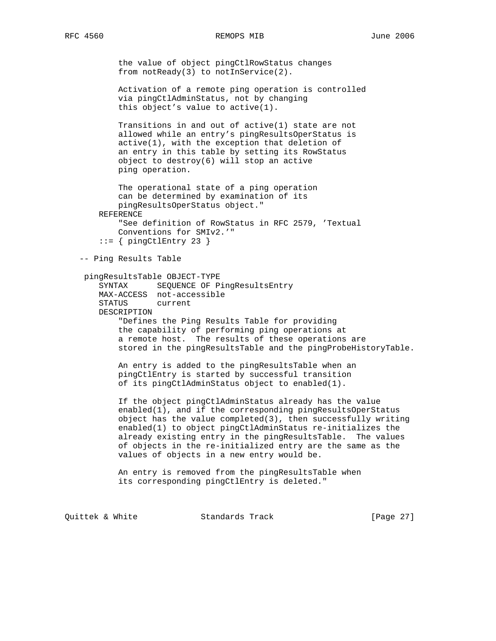the value of object pingCtlRowStatus changes from notReady(3) to notInService(2).

 Activation of a remote ping operation is controlled via pingCtlAdminStatus, not by changing this object's value to active(1).

 Transitions in and out of active(1) state are not allowed while an entry's pingResultsOperStatus is active(1), with the exception that deletion of an entry in this table by setting its RowStatus object to destroy(6) will stop an active ping operation.

 The operational state of a ping operation can be determined by examination of its pingResultsOperStatus object." REFERENCE "See definition of RowStatus in RFC 2579, 'Textual Conventions for SMIv2.'"  $::=$  { pingCtlEntry 23 }

-- Ping Results Table

```
 pingResultsTable OBJECT-TYPE
```
 SYNTAX SEQUENCE OF PingResultsEntry MAX-ACCESS not-accessible STATUS current DESCRIPTION "Defines the Ping Results Table for providing the capability of performing ping operations at a remote host. The results of these operations are stored in the pingResultsTable and the pingProbeHistoryTable.

 An entry is added to the pingResultsTable when an pingCtlEntry is started by successful transition of its pingCtlAdminStatus object to enabled(1).

 If the object pingCtlAdminStatus already has the value enabled(1), and if the corresponding pingResultsOperStatus object has the value completed(3), then successfully writing enabled(1) to object pingCtlAdminStatus re-initializes the already existing entry in the pingResultsTable. The values of objects in the re-initialized entry are the same as the values of objects in a new entry would be.

 An entry is removed from the pingResultsTable when its corresponding pingCtlEntry is deleted."

Quittek & White Standards Track [Page 27]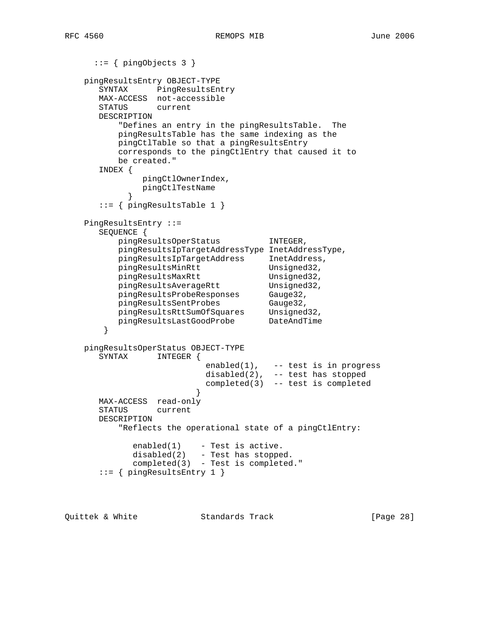```
 ::= { pingObjects 3 }
    pingResultsEntry OBJECT-TYPE
      SYNTAX PingResultsEntry
      MAX-ACCESS not-accessible
      STATUS current
      DESCRIPTION
          "Defines an entry in the pingResultsTable. The
         pingResultsTable has the same indexing as the
         pingCtlTable so that a pingResultsEntry
         corresponds to the pingCtlEntry that caused it to
         be created."
      INDEX {
              pingCtlOwnerIndex,
              pingCtlTestName
 }
      ::= { pingResultsTable 1 }
    PingResultsEntry ::=
      SEQUENCE {
         pingResultsOperStatus INTEGER,
         pingResultsIpTargetAddressType InetAddressType,
 pingResultsIpTargetAddress InetAddress,
pingResultsMinRtt Unsigned32,
pingResultsMaxRtt Unsigned32,
pingResultsAverageRtt Unsigned32,
 pingResultsProbeResponses Gauge32,
pingResultsSentProbes Gauge32,
 pingResultsRttSumOfSquares Unsigned32,
 pingResultsLastGoodProbe DateAndTime
       }
    pingResultsOperStatus OBJECT-TYPE
      SYNTAX INTEGER {
enabled(1), -- test is in progress
 disabled(2), -- test has stopped
                         completed(3) -- test is completed
 }
      MAX-ACCESS read-only
      STATUS current
      DESCRIPTION
          "Reflects the operational state of a pingCtlEntry:
           enabeled(1) - Test is active.
           disabled(2) - Test has stopped.
            completed(3) - Test is completed."
      ::= { pingResultsEntry 1 }
```
Quittek & White Standards Track [Page 28]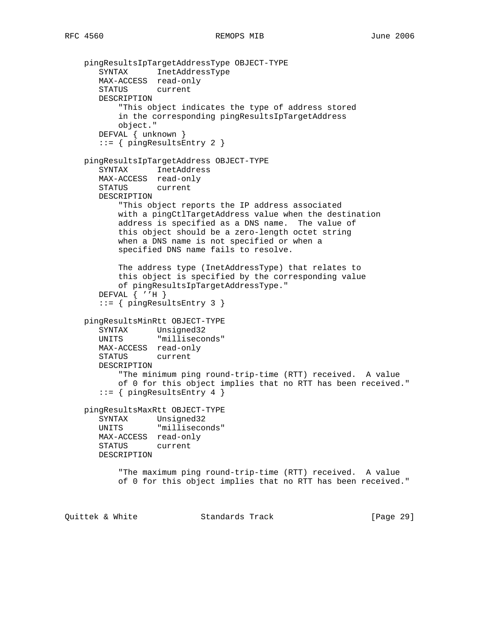```
 pingResultsIpTargetAddressType OBJECT-TYPE
 SYNTAX InetAddressType
 MAX-ACCESS read-only
       STATUS current
       DESCRIPTION
           "This object indicates the type of address stored
           in the corresponding pingResultsIpTargetAddress
           object."
       DEFVAL { unknown }
       ::= { pingResultsEntry 2 }
    pingResultsIpTargetAddress OBJECT-TYPE
       SYNTAX InetAddress
       MAX-ACCESS read-only
       STATUS current
       DESCRIPTION
           "This object reports the IP address associated
           with a pingCtlTargetAddress value when the destination
           address is specified as a DNS name. The value of
           this object should be a zero-length octet string
           when a DNS name is not specified or when a
           specified DNS name fails to resolve.
           The address type (InetAddressType) that relates to
           this object is specified by the corresponding value
           of pingResultsIpTargetAddressType."
       DEFVAL { ''H }
       ::= { pingResultsEntry 3 }
    pingResultsMinRtt OBJECT-TYPE
       SYNTAX Unsigned32
       UNITS "milliseconds"
       MAX-ACCESS read-only
       STATUS current
       DESCRIPTION
           "The minimum ping round-trip-time (RTT) received. A value
           of 0 for this object implies that no RTT has been received."
       ::= \{ \text{pingResultsEntry 4} \} pingResultsMaxRtt OBJECT-TYPE
       SYNTAX Unsigned32
       UNITS "milliseconds"
       MAX-ACCESS read-only
       STATUS current
       DESCRIPTION
           "The maximum ping round-trip-time (RTT) received. A value
           of 0 for this object implies that no RTT has been received."
Quittek & White Standards Track [Page 29]
```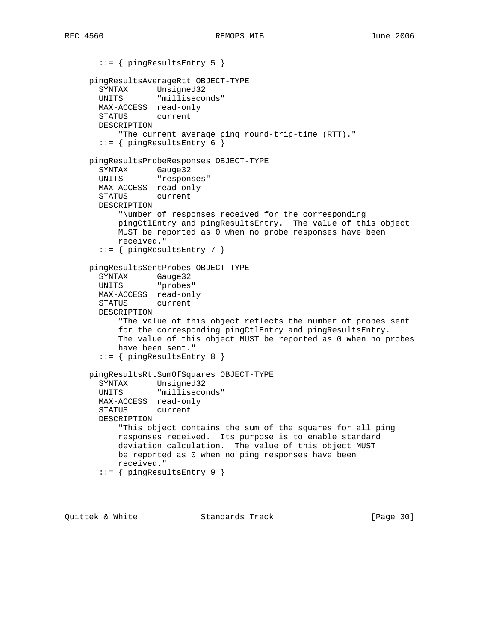```
 ::= { pingResultsEntry 5 }
     pingResultsAverageRtt OBJECT-TYPE
 SYNTAX Unsigned32
 UNITS "milliseconds"
       MAX-ACCESS read-only
       STATUS current
       DESCRIPTION
           "The current average ping round-trip-time (RTT)."
      ::= { pingResultsEntry 6 }
     pingResultsProbeResponses OBJECT-TYPE
 SYNTAX Gauge32
 UNITS "responses"
       MAX-ACCESS read-only
       STATUS current
       DESCRIPTION
           "Number of responses received for the corresponding
           pingCtlEntry and pingResultsEntry. The value of this object
           MUST be reported as 0 when no probe responses have been
           received."
       ::= { pingResultsEntry 7 }
     pingResultsSentProbes OBJECT-TYPE
 SYNTAX Gauge32
 UNITS "probes"
       MAX-ACCESS read-only
       STATUS current
       DESCRIPTION
           "The value of this object reflects the number of probes sent
           for the corresponding pingCtlEntry and pingResultsEntry.
           The value of this object MUST be reported as 0 when no probes
           have been sent."
       ::= { pingResultsEntry 8 }
     pingResultsRttSumOfSquares OBJECT-TYPE
       SYNTAX Unsigned32
       UNITS "milliseconds"
       MAX-ACCESS read-only
       STATUS current
       DESCRIPTION
           "This object contains the sum of the squares for all ping
           responses received. Its purpose is to enable standard
           deviation calculation. The value of this object MUST
           be reported as 0 when no ping responses have been
           received."
       ::= { pingResultsEntry 9 }
```
Quittek & White Standards Track [Page 30]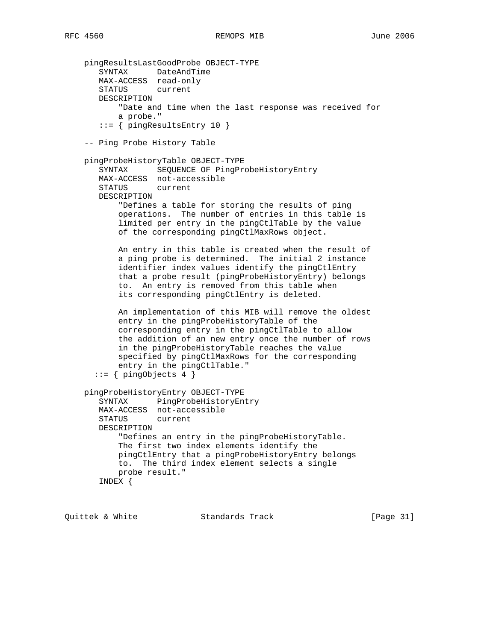```
 pingResultsLastGoodProbe OBJECT-TYPE
 SYNTAX DateAndTime
 MAX-ACCESS read-only
       STATUS current
       DESCRIPTION
            "Date and time when the last response was received for
           a probe."
        ::= \{ \text{pingResultsEntry 10 } \} -- Ping Probe History Table
    pingProbeHistoryTable OBJECT-TYPE
       SYNTAX SEQUENCE OF PingProbeHistoryEntry
       MAX-ACCESS not-accessible
       STATUS current
       DESCRIPTION
            "Defines a table for storing the results of ping
           operations. The number of entries in this table is
            limited per entry in the pingCtlTable by the value
            of the corresponding pingCtlMaxRows object.
           An entry in this table is created when the result of
           a ping probe is determined. The initial 2 instance
           identifier index values identify the pingCtlEntry
           that a probe result (pingProbeHistoryEntry) belongs
            to. An entry is removed from this table when
            its corresponding pingCtlEntry is deleted.
           An implementation of this MIB will remove the oldest
           entry in the pingProbeHistoryTable of the
           corresponding entry in the pingCtlTable to allow
            the addition of an new entry once the number of rows
            in the pingProbeHistoryTable reaches the value
            specified by pingCtlMaxRows for the corresponding
           entry in the pingCtlTable."
       ::= \{ \text{pingObjects } 4 \} pingProbeHistoryEntry OBJECT-TYPE
       SYNTAX PingProbeHistoryEntry
       MAX-ACCESS not-accessible
       STATUS current
       DESCRIPTION
            "Defines an entry in the pingProbeHistoryTable.
           The first two index elements identify the
           pingCtlEntry that a pingProbeHistoryEntry belongs
           to. The third index element selects a single
           probe result."
       INDEX {
```
Quittek & White Standards Track [Page 31]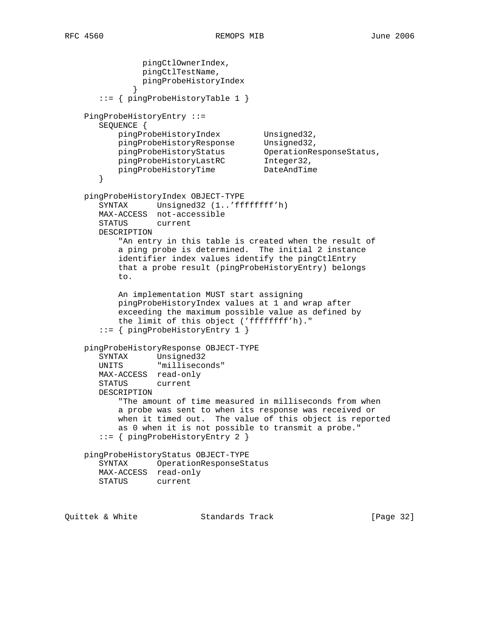```
 pingCtlOwnerIndex,
               pingCtlTestName,
               pingProbeHistoryIndex
 }
       ::= { pingProbeHistoryTable 1 }
    PingProbeHistoryEntry ::=
       SEQUENCE {
           pingProbeHistoryIndex Unsigned32,
 pingProbeHistoryResponse Unsigned32,
 pingProbeHistoryStatus OperationResponseStatus,
 pingProbeHistoryLastRC Integer32,
           pingProbeHistoryTime DateAndTime
       }
    pingProbeHistoryIndex OBJECT-TYPE
       SYNTAX Unsigned32 (1..'ffffffff'h)
       MAX-ACCESS not-accessible
       STATUS current
       DESCRIPTION
           "An entry in this table is created when the result of
           a ping probe is determined. The initial 2 instance
           identifier index values identify the pingCtlEntry
           that a probe result (pingProbeHistoryEntry) belongs
           to.
           An implementation MUST start assigning
           pingProbeHistoryIndex values at 1 and wrap after
           exceeding the maximum possible value as defined by
           the limit of this object ('ffffffff'h)."
       ::= { pingProbeHistoryEntry 1 }
    pingProbeHistoryResponse OBJECT-TYPE
       SYNTAX Unsigned32
       UNITS "milliseconds"
       MAX-ACCESS read-only
       STATUS current
       DESCRIPTION
           "The amount of time measured in milliseconds from when
           a probe was sent to when its response was received or
           when it timed out. The value of this object is reported
           as 0 when it is not possible to transmit a probe."
       ::= { pingProbeHistoryEntry 2 }
    pingProbeHistoryStatus OBJECT-TYPE
       SYNTAX OperationResponseStatus
       MAX-ACCESS read-only
       STATUS current
Quittek & White Standards Track [Page 32]
```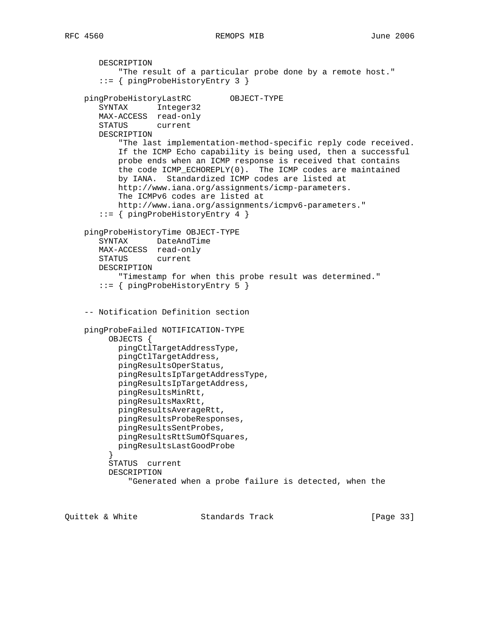DESCRIPTION "The result of a particular probe done by a remote host." ::= { pingProbeHistoryEntry 3 } pingProbeHistoryLastRC OBJECT-TYPE SYNTAX Integer32 MAX-ACCESS read-only STATUS current DESCRIPTION "The last implementation-method-specific reply code received. If the ICMP Echo capability is being used, then a successful probe ends when an ICMP response is received that contains the code ICMP\_ECHOREPLY(0). The ICMP codes are maintained by IANA. Standardized ICMP codes are listed at http://www.iana.org/assignments/icmp-parameters. The ICMPv6 codes are listed at http://www.iana.org/assignments/icmpv6-parameters." ::= { pingProbeHistoryEntry 4 } pingProbeHistoryTime OBJECT-TYPE SYNTAX DateAndTime MAX-ACCESS read-only STATUS current DESCRIPTION "Timestamp for when this probe result was determined." ::= { pingProbeHistoryEntry 5 } -- Notification Definition section pingProbeFailed NOTIFICATION-TYPE OBJECTS { pingCtlTargetAddressType, pingCtlTargetAddress, pingResultsOperStatus, pingResultsIpTargetAddressType, pingResultsIpTargetAddress, pingResultsMinRtt, pingResultsMaxRtt, pingResultsAverageRtt, pingResultsProbeResponses, pingResultsSentProbes, pingResultsRttSumOfSquares, pingResultsLastGoodProbe<br>} } STATUS current DESCRIPTION "Generated when a probe failure is detected, when the

Quittek & White Standards Track [Page 33]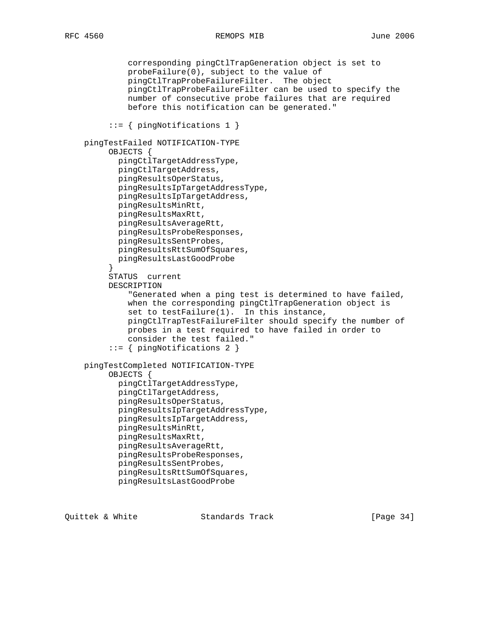```
 corresponding pingCtlTrapGeneration object is set to
              probeFailure(0), subject to the value of
              pingCtlTrapProbeFailureFilter. The object
              pingCtlTrapProbeFailureFilter can be used to specify the
              number of consecutive probe failures that are required
              before this notification can be generated."
          ::= { pingNotifications 1 }
    pingTestFailed NOTIFICATION-TYPE
          OBJECTS {
            pingCtlTargetAddressType,
            pingCtlTargetAddress,
            pingResultsOperStatus,
            pingResultsIpTargetAddressType,
            pingResultsIpTargetAddress,
            pingResultsMinRtt,
            pingResultsMaxRtt,
            pingResultsAverageRtt,
            pingResultsProbeResponses,
            pingResultsSentProbes,
            pingResultsRttSumOfSquares,
         pingResultsLastGoodProbe<br>}
 }
          STATUS current
          DESCRIPTION
              "Generated when a ping test is determined to have failed,
              when the corresponding pingCtlTrapGeneration object is
              set to testFailure(1). In this instance,
              pingCtlTrapTestFailureFilter should specify the number of
              probes in a test required to have failed in order to
              consider the test failed."
          ::= { pingNotifications 2 }
    pingTestCompleted NOTIFICATION-TYPE
          OBJECTS {
            pingCtlTargetAddressType,
            pingCtlTargetAddress,
            pingResultsOperStatus,
            pingResultsIpTargetAddressType,
            pingResultsIpTargetAddress,
            pingResultsMinRtt,
            pingResultsMaxRtt,
            pingResultsAverageRtt,
            pingResultsProbeResponses,
            pingResultsSentProbes,
            pingResultsRttSumOfSquares,
            pingResultsLastGoodProbe
```
Quittek & White Standards Track [Page 34]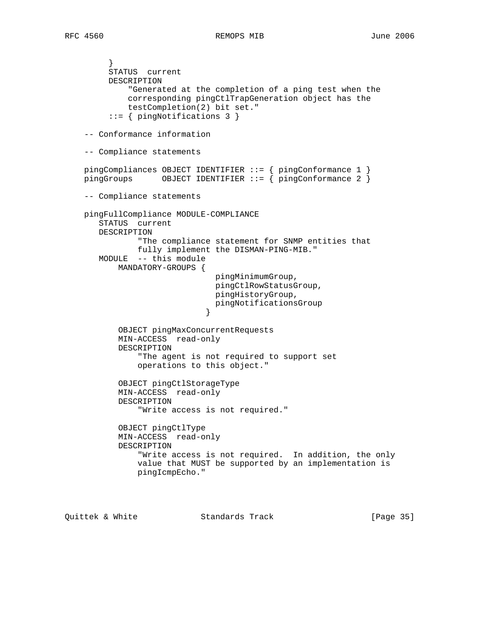} STATUS current DESCRIPTION "Generated at the completion of a ping test when the corresponding pingCtlTrapGeneration object has the testCompletion(2) bit set." ::= { pingNotifications 3 } -- Conformance information -- Compliance statements pingCompliances OBJECT IDENTIFIER ::= { pingConformance 1 } pingGroups 0BJECT IDENTIFIER ::=  $\{$  pingConformance 2  $\}$  -- Compliance statements pingFullCompliance MODULE-COMPLIANCE STATUS current DESCRIPTION "The compliance statement for SNMP entities that fully implement the DISMAN-PING-MIB." MODULE -- this module MANDATORY-GROUPS { pingMinimumGroup, pingCtlRowStatusGroup, pingHistoryGroup, pingNotificationsGroup<br>} } OBJECT pingMaxConcurrentRequests MIN-ACCESS read-only DESCRIPTION "The agent is not required to support set operations to this object." OBJECT pingCtlStorageType MIN-ACCESS read-only DESCRIPTION "Write access is not required." OBJECT pingCtlType MIN-ACCESS read-only DESCRIPTION "Write access is not required. In addition, the only value that MUST be supported by an implementation is pingIcmpEcho."

Quittek & White Standards Track [Page 35]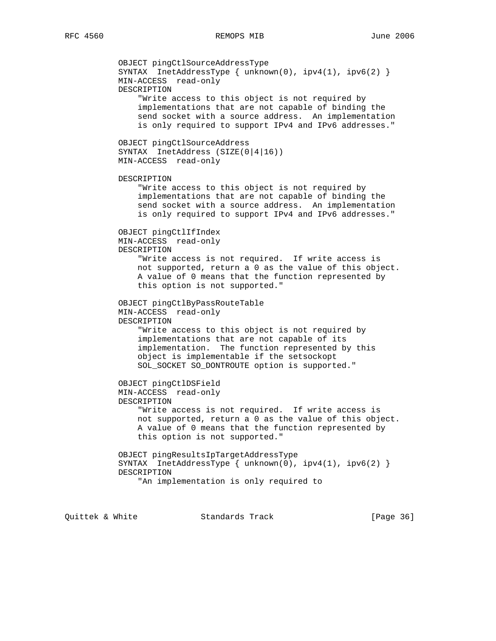OBJECT pingCtlSourceAddressType SYNTAX InetAddressType  $\{ \text{unknown}(0), \text{ipy4}(1), \text{ipy6}(2) \}$  MIN-ACCESS read-only DESCRIPTION "Write access to this object is not required by implementations that are not capable of binding the send socket with a source address. An implementation is only required to support IPv4 and IPv6 addresses." OBJECT pingCtlSourceAddress SYNTAX InetAddress (SIZE(0|4|16)) MIN-ACCESS read-only DESCRIPTION "Write access to this object is not required by implementations that are not capable of binding the send socket with a source address. An implementation is only required to support IPv4 and IPv6 addresses." OBJECT pingCtlIfIndex MIN-ACCESS read-only DESCRIPTION "Write access is not required. If write access is not supported, return a 0 as the value of this object. A value of 0 means that the function represented by this option is not supported." OBJECT pingCtlByPassRouteTable MIN-ACCESS read-only DESCRIPTION "Write access to this object is not required by implementations that are not capable of its implementation. The function represented by this object is implementable if the setsockopt SOL\_SOCKET SO\_DONTROUTE option is supported." OBJECT pingCtlDSField MIN-ACCESS read-only DESCRIPTION "Write access is not required. If write access is not supported, return a 0 as the value of this object. A value of 0 means that the function represented by this option is not supported." OBJECT pingResultsIpTargetAddressType SYNTAX InetAddressType { unknown(0), ipv4(1), ipv6(2) } DESCRIPTION "An implementation is only required to

Quittek & White Standards Track [Page 36]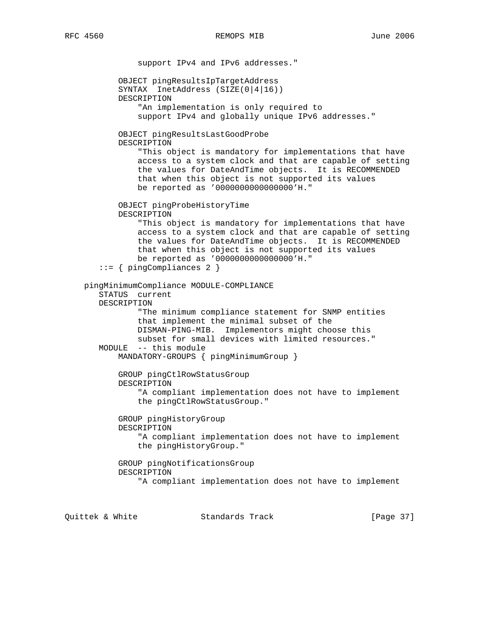support IPv4 and IPv6 addresses." OBJECT pingResultsIpTargetAddress SYNTAX InetAddress (SIZE(0|4|16)) DESCRIPTION "An implementation is only required to support IPv4 and globally unique IPv6 addresses." OBJECT pingResultsLastGoodProbe DESCRIPTION "This object is mandatory for implementations that have access to a system clock and that are capable of setting the values for DateAndTime objects. It is RECOMMENDED that when this object is not supported its values be reported as '0000000000000000'H." OBJECT pingProbeHistoryTime DESCRIPTION "This object is mandatory for implementations that have access to a system clock and that are capable of setting the values for DateAndTime objects. It is RECOMMENDED that when this object is not supported its values be reported as '0000000000000000'H." ::= { pingCompliances 2 } pingMinimumCompliance MODULE-COMPLIANCE STATUS current DESCRIPTION "The minimum compliance statement for SNMP entities that implement the minimal subset of the DISMAN-PING-MIB. Implementors might choose this subset for small devices with limited resources." MODULE -- this module MANDATORY-GROUPS { pingMinimumGroup } GROUP pingCtlRowStatusGroup DESCRIPTION "A compliant implementation does not have to implement the pingCtlRowStatusGroup." GROUP pingHistoryGroup DESCRIPTION "A compliant implementation does not have to implement the pingHistoryGroup." GROUP pingNotificationsGroup DESCRIPTION "A compliant implementation does not have to implement

Quittek & White Standards Track [Page 37]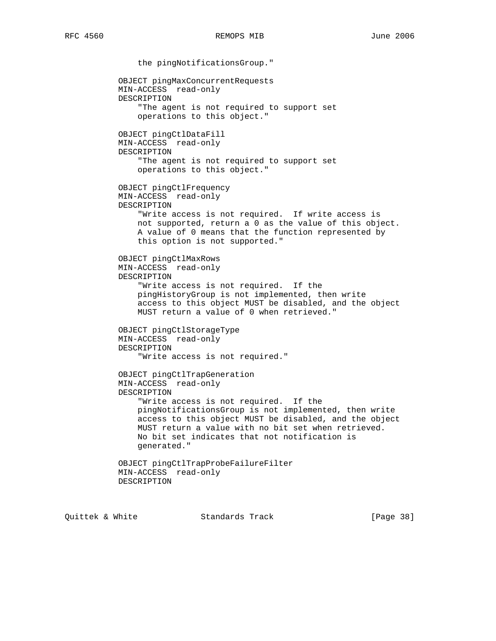the pingNotificationsGroup." OBJECT pingMaxConcurrentRequests MIN-ACCESS read-only DESCRIPTION "The agent is not required to support set operations to this object." OBJECT pingCtlDataFill MIN-ACCESS read-only DESCRIPTION "The agent is not required to support set operations to this object." OBJECT pingCtlFrequency MIN-ACCESS read-only DESCRIPTION "Write access is not required. If write access is not supported, return a 0 as the value of this object. A value of 0 means that the function represented by this option is not supported." OBJECT pingCtlMaxRows MIN-ACCESS read-only DESCRIPTION "Write access is not required. If the pingHistoryGroup is not implemented, then write access to this object MUST be disabled, and the object MUST return a value of 0 when retrieved." OBJECT pingCtlStorageType MIN-ACCESS read-only DESCRIPTION "Write access is not required." OBJECT pingCtlTrapGeneration MIN-ACCESS read-only DESCRIPTION "Write access is not required. If the pingNotificationsGroup is not implemented, then write access to this object MUST be disabled, and the object MUST return a value with no bit set when retrieved. No bit set indicates that not notification is generated." OBJECT pingCtlTrapProbeFailureFilter MIN-ACCESS read-only DESCRIPTION

Quittek & White Standards Track [Page 38]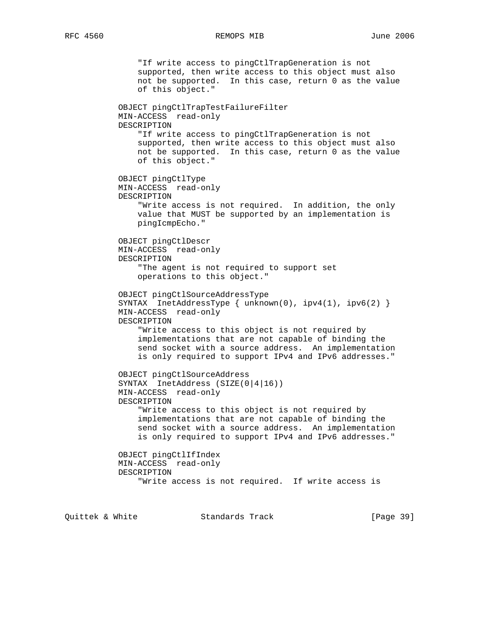## RFC 4560 REMOPS MIB June 2006

 "If write access to pingCtlTrapGeneration is not supported, then write access to this object must also not be supported. In this case, return 0 as the value of this object." OBJECT pingCtlTrapTestFailureFilter MIN-ACCESS read-only DESCRIPTION "If write access to pingCtlTrapGeneration is not supported, then write access to this object must also not be supported. In this case, return 0 as the value of this object." OBJECT pingCtlType MIN-ACCESS read-only DESCRIPTION "Write access is not required. In addition, the only value that MUST be supported by an implementation is pingIcmpEcho." OBJECT pingCtlDescr MIN-ACCESS read-only DESCRIPTION "The agent is not required to support set operations to this object." OBJECT pingCtlSourceAddressType SYNTAX InetAddressType { unknown(0), ipv4(1), ipv6(2) } MIN-ACCESS read-only DESCRIPTION "Write access to this object is not required by implementations that are not capable of binding the send socket with a source address. An implementation is only required to support IPv4 and IPv6 addresses." OBJECT pingCtlSourceAddress SYNTAX InetAddress (SIZE(0|4|16)) MIN-ACCESS read-only DESCRIPTION "Write access to this object is not required by implementations that are not capable of binding the send socket with a source address. An implementation is only required to support IPv4 and IPv6 addresses." OBJECT pingCtlIfIndex MIN-ACCESS read-only DESCRIPTION "Write access is not required. If write access is

Quittek & White Standards Track [Page 39]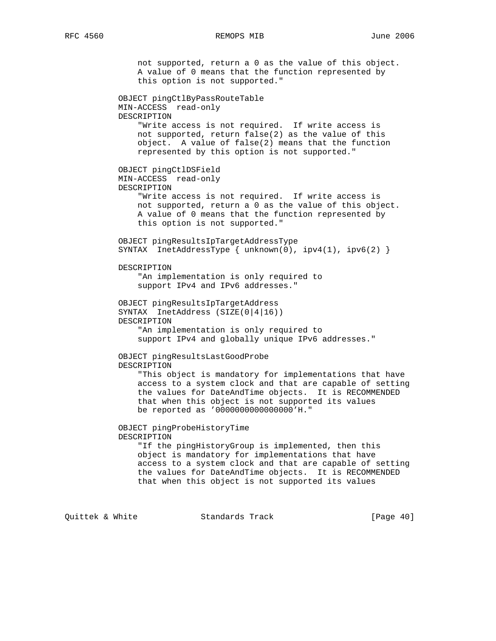not supported, return a 0 as the value of this object. A value of 0 means that the function represented by this option is not supported." OBJECT pingCtlByPassRouteTable MIN-ACCESS read-only DESCRIPTION "Write access is not required. If write access is not supported, return false(2) as the value of this object. A value of false(2) means that the function represented by this option is not supported." OBJECT pingCtlDSField MIN-ACCESS read-only DESCRIPTION "Write access is not required. If write access is not supported, return a 0 as the value of this object. A value of 0 means that the function represented by this option is not supported." OBJECT pingResultsIpTargetAddressType SYNTAX InetAddressType { unknown(0), ipv4(1), ipv6(2) } DESCRIPTION "An implementation is only required to support IPv4 and IPv6 addresses." OBJECT pingResultsIpTargetAddress SYNTAX InetAddress (SIZE(0|4|16)) DESCRIPTION "An implementation is only required to support IPv4 and globally unique IPv6 addresses." OBJECT pingResultsLastGoodProbe DESCRIPTION "This object is mandatory for implementations that have access to a system clock and that are capable of setting the values for DateAndTime objects. It is RECOMMENDED that when this object is not supported its values be reported as '0000000000000000'H." OBJECT pingProbeHistoryTime DESCRIPTION "If the pingHistoryGroup is implemented, then this object is mandatory for implementations that have access to a system clock and that are capable of setting the values for DateAndTime objects. It is RECOMMENDED that when this object is not supported its values

Quittek & White Standards Track [Page 40]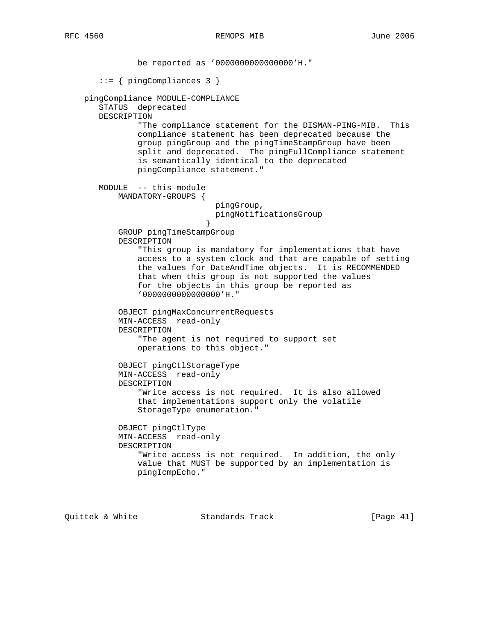be reported as '0000000000000000'H." ::= { pingCompliances 3 } pingCompliance MODULE-COMPLIANCE STATUS deprecated DESCRIPTION "The compliance statement for the DISMAN-PING-MIB. This compliance statement has been deprecated because the group pingGroup and the pingTimeStampGroup have been split and deprecated. The pingFullCompliance statement is semantically identical to the deprecated pingCompliance statement." MODULE -- this module MANDATORY-GROUPS { pingGroup, pingNotificationsGroup } GROUP pingTimeStampGroup DESCRIPTION "This group is mandatory for implementations that have access to a system clock and that are capable of setting the values for DateAndTime objects. It is RECOMMENDED that when this group is not supported the values for the objects in this group be reported as '0000000000000000'H." OBJECT pingMaxConcurrentRequests MIN-ACCESS read-only DESCRIPTION "The agent is not required to support set operations to this object." OBJECT pingCtlStorageType MIN-ACCESS read-only DESCRIPTION "Write access is not required. It is also allowed that implementations support only the volatile StorageType enumeration." OBJECT pingCtlType MIN-ACCESS read-only DESCRIPTION "Write access is not required. In addition, the only value that MUST be supported by an implementation is pingIcmpEcho."

Quittek & White Standards Track [Page 41]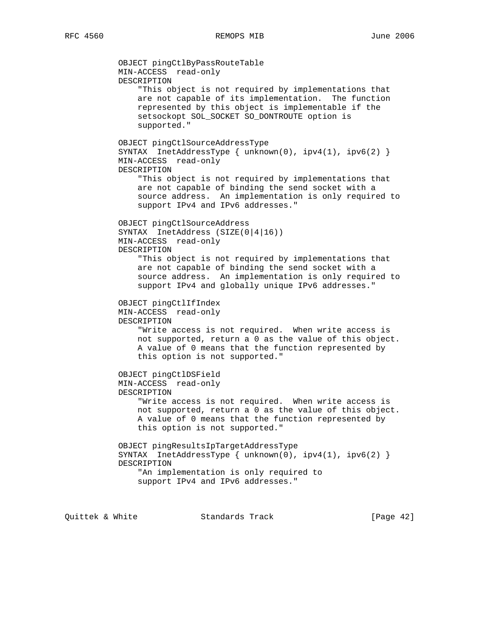OBJECT pingCtlByPassRouteTable MIN-ACCESS read-only DESCRIPTION "This object is not required by implementations that are not capable of its implementation. The function represented by this object is implementable if the setsockopt SOL\_SOCKET SO\_DONTROUTE option is supported." OBJECT pingCtlSourceAddressType SYNTAX InetAddressType { unknown(0), ipv4(1), ipv6(2) } MIN-ACCESS read-only DESCRIPTION "This object is not required by implementations that are not capable of binding the send socket with a source address. An implementation is only required to support IPv4 and IPv6 addresses." OBJECT pingCtlSourceAddress SYNTAX InetAddress (SIZE(0|4|16)) MIN-ACCESS read-only DESCRIPTION "This object is not required by implementations that are not capable of binding the send socket with a source address. An implementation is only required to support IPv4 and globally unique IPv6 addresses." OBJECT pingCtlIfIndex MIN-ACCESS read-only DESCRIPTION "Write access is not required. When write access is not supported, return a 0 as the value of this object. A value of 0 means that the function represented by this option is not supported." OBJECT pingCtlDSField MIN-ACCESS read-only DESCRIPTION "Write access is not required. When write access is not supported, return a 0 as the value of this object. A value of 0 means that the function represented by this option is not supported." OBJECT pingResultsIpTargetAddressType SYNTAX InetAddressType  $\{ \text{unknown}(0), \text{ipv4}(1), \text{ipv6}(2) \}$  DESCRIPTION "An implementation is only required to support IPv4 and IPv6 addresses."

Quittek & White Standards Track [Page 42]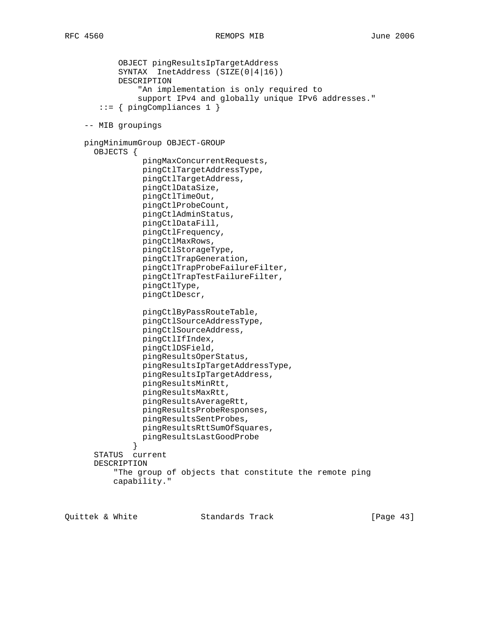OBJECT pingResultsIpTargetAddress SYNTAX InetAddress (SIZE(0|4|16)) DESCRIPTION "An implementation is only required to support IPv4 and globally unique IPv6 addresses." ::= { pingCompliances 1 } -- MIB groupings pingMinimumGroup OBJECT-GROUP OBJECTS { pingMaxConcurrentRequests, pingCtlTargetAddressType, pingCtlTargetAddress, pingCtlDataSize, pingCtlTimeOut, pingCtlProbeCount, pingCtlAdminStatus, pingCtlDataFill, pingCtlFrequency, pingCtlMaxRows, pingCtlStorageType, pingCtlTrapGeneration, pingCtlTrapProbeFailureFilter, pingCtlTrapTestFailureFilter, pingCtlType, pingCtlDescr, pingCtlByPassRouteTable, pingCtlSourceAddressType, pingCtlSourceAddress, pingCtlIfIndex, pingCtlDSField, pingResultsOperStatus, pingResultsIpTargetAddressType, pingResultsIpTargetAddress, pingResultsMinRtt, pingResultsMaxRtt, pingResultsAverageRtt, pingResultsProbeResponses, pingResultsSentProbes, pingResultsRttSumOfSquares, pingResultsLastGoodProbe<br>} } STATUS current DESCRIPTION "The group of objects that constitute the remote ping capability."

Quittek & White Standards Track [Page 43]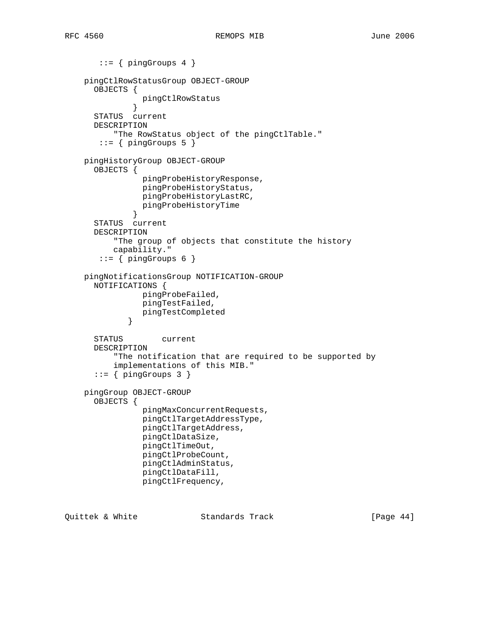```
::= { pingGroups 4 }
    pingCtlRowStatusGroup OBJECT-GROUP
      OBJECTS {
              pingCtlRowStatus<br>}
 }
      STATUS current
      DESCRIPTION
           "The RowStatus object of the pingCtlTable."
       ::= { pingGroups 5 }
    pingHistoryGroup OBJECT-GROUP
      OBJECTS {
                pingProbeHistoryResponse,
                 pingProbeHistoryStatus,
                pingProbeHistoryLastRC,
              pingProbeHistoryTime<br>}
 }
      STATUS current
      DESCRIPTION
           "The group of objects that constitute the history
          capability."
       ::= \{ pingGroups 6 \} pingNotificationsGroup NOTIFICATION-GROUP
      NOTIFICATIONS {
                pingProbeFailed,
                pingTestFailed,
             pingTestCompleted<br>}
 }
      STATUS current
      DESCRIPTION
           "The notification that are required to be supported by
           implementations of this MIB."
      ::= { pingGroups 3 }
    pingGroup OBJECT-GROUP
      OBJECTS {
                 pingMaxConcurrentRequests,
                pingCtlTargetAddressType,
                pingCtlTargetAddress,
                pingCtlDataSize,
                pingCtlTimeOut,
                pingCtlProbeCount,
                pingCtlAdminStatus,
                pingCtlDataFill,
                pingCtlFrequency,
```
Quittek & White Standards Track [Page 44]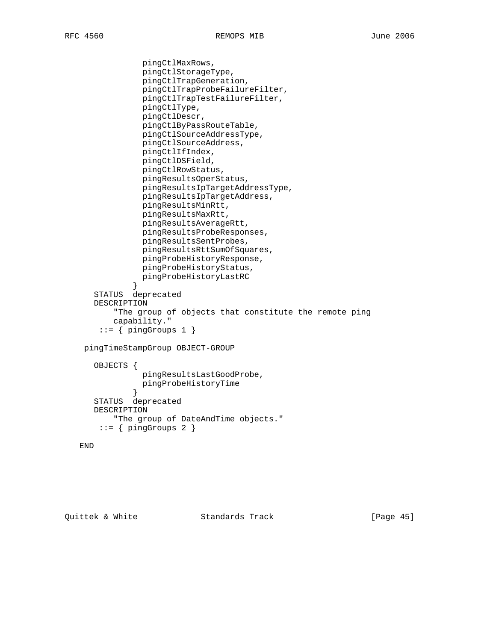pingCtlMaxRows, pingCtlStorageType, pingCtlTrapGeneration, pingCtlTrapProbeFailureFilter, pingCtlTrapTestFailureFilter, pingCtlType, pingCtlDescr, pingCtlByPassRouteTable, pingCtlSourceAddressType, pingCtlSourceAddress, pingCtlIfIndex, pingCtlDSField, pingCtlRowStatus, pingResultsOperStatus, pingResultsIpTargetAddressType, pingResultsIpTargetAddress, pingResultsMinRtt, pingResultsMaxRtt, pingResultsAverageRtt, pingResultsProbeResponses, pingResultsSentProbes, pingResultsRttSumOfSquares, pingProbeHistoryResponse, pingProbeHistoryStatus, pingProbeHistoryLastRC } STATUS deprecated DESCRIPTION "The group of objects that constitute the remote ping capability."  $::=$  { pingGroups 1 } pingTimeStampGroup OBJECT-GROUP OBJECTS { pingResultsLastGoodProbe, pingProbeHistoryTime } STATUS deprecated DESCRIPTION "The group of DateAndTime objects."  $::=$  { pingGroups 2 }

```
 END
```
Quittek & White Standards Track [Page 45]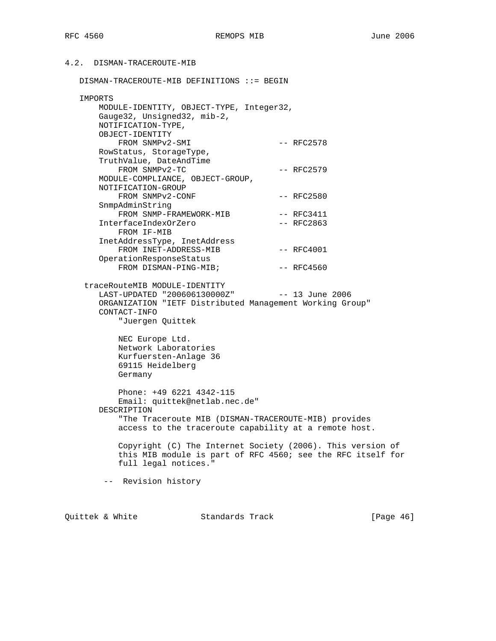## 4.2. DISMAN-TRACEROUTE-MIB

DISMAN-TRACEROUTE-MIB DEFINITIONS ::= BEGIN

| IMPORTS                                                  |              |
|----------------------------------------------------------|--------------|
| MODULE-IDENTITY, OBJECT-TYPE, Integer32,                 |              |
| Gauge32, Unsigned32, mib-2,                              |              |
| NOTIFICATION-TYPE,                                       |              |
| OBJECT-IDENTITY                                          |              |
| FROM SNMPv2-SMI                                          | $--$ RFC2578 |
| RowStatus, StorageType,                                  |              |
| TruthValue, DateAndTime                                  |              |
| FROM SNMPv2-TC                                           | $--$ RFC2579 |
| MODULE-COMPLIANCE, OBJECT-GROUP,                         |              |
| NOTIFICATION-GROUP                                       |              |
| FROM SNMPv2-CONF                                         | $--$ RFC2580 |
| SnmpAdminString                                          |              |
| FROM SNMP-FRAMEWORK-MIB                                  | $--$ RFC3411 |
| InterfaceIndexOrZero                                     | $--$ RFC2863 |
| FROM IF-MIB                                              |              |
| InetAddressType, InetAddress                             |              |
| FROM INET-ADDRESS-MIB                                    | $--$ RFC4001 |
| OperationResponseStatus                                  |              |
| FROM DISMAN-PING-MIB;                                    | $--$ RFC4560 |
| traceRouteMIB MODULE-IDENTITY                            |              |
| LAST-UPDATED "200606130000Z" -- 13 June 2006             |              |
| ORGANIZATION "IETF Distributed Management Working Group" |              |
| CONTACT-INFO                                             |              |
| "Juergen Ouittek                                         |              |
|                                                          |              |
| NEC Europe Ltd.                                          |              |

 Network Laboratories Kurfuersten-Anlage 36 69115 Heidelberg Germany

 Phone: +49 6221 4342-115 Email: quittek@netlab.nec.de" DESCRIPTION "The Traceroute MIB (DISMAN-TRACEROUTE-MIB) provides access to the traceroute capability at a remote host.

 Copyright (C) The Internet Society (2006). This version of this MIB module is part of RFC 4560; see the RFC itself for full legal notices."

-- Revision history

Quittek & White  $\sim$  Standards Track [Page 46]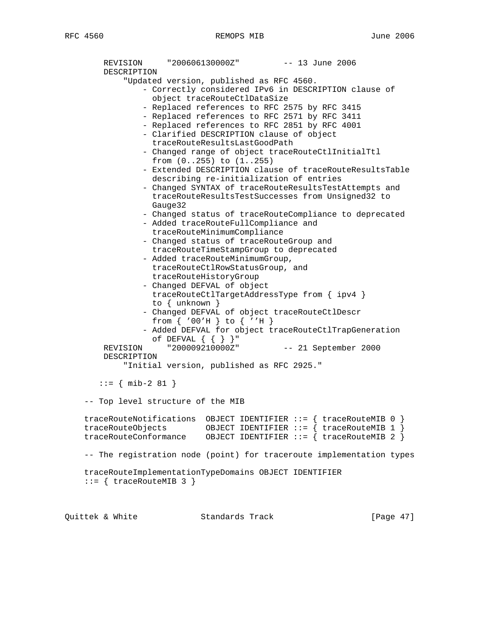REVISION "200606130000Z" -- 13 June 2006 DESCRIPTION "Updated version, published as RFC 4560. - Correctly considered IPv6 in DESCRIPTION clause of object traceRouteCtlDataSize - Replaced references to RFC 2575 by RFC 3415 - Replaced references to RFC 2571 by RFC 3411 - Replaced references to RFC 2851 by RFC 4001 - Clarified DESCRIPTION clause of object traceRouteResultsLastGoodPath - Changed range of object traceRouteCtlInitialTtl from (0..255) to (1..255) - Extended DESCRIPTION clause of traceRouteResultsTable describing re-initialization of entries - Changed SYNTAX of traceRouteResultsTestAttempts and traceRouteResultsTestSuccesses from Unsigned32 to Gauge32 - Changed status of traceRouteCompliance to deprecated - Added traceRouteFullCompliance and traceRouteMinimumCompliance - Changed status of traceRouteGroup and traceRouteTimeStampGroup to deprecated - Added traceRouteMinimumGroup, traceRouteCtlRowStatusGroup, and traceRouteHistoryGroup - Changed DEFVAL of object traceRouteCtlTargetAddressType from { ipv4 } to { unknown } - Changed DEFVAL of object traceRouteCtlDescr from { '00'H } to { ''H } - Added DEFVAL for object traceRouteCtlTrapGeneration of DEFVAL { { } }" REVISION "200009210000Z" -- 21 September 2000 DESCRIPTION "Initial version, published as RFC 2925." ::= { mib-2 81 } -- Top level structure of the MIB traceRouteNotifications OBJECT IDENTIFIER ::= { traceRouteMIB 0 } traceRouteObjects OBJECT IDENTIFIER ::= { traceRouteMIB 1 } traceRouteConformance OBJECT IDENTIFIER ::= { traceRouteMIB 2 } -- The registration node (point) for traceroute implementation types traceRouteImplementationTypeDomains OBJECT IDENTIFIER  $::=$  { traceRouteMIB 3 }

Quittek & White Standards Track [Page 47]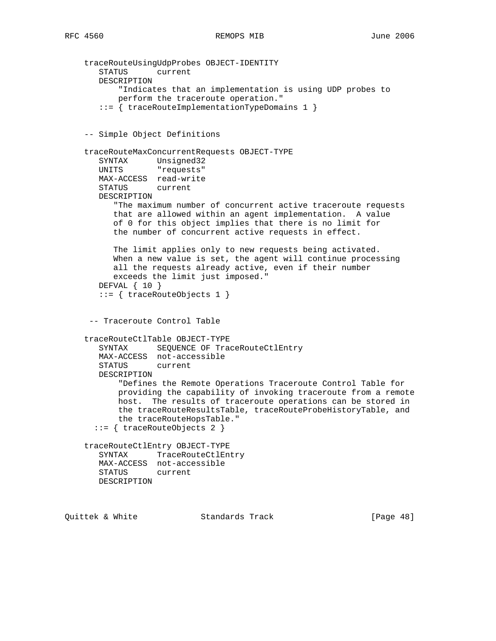```
 traceRouteUsingUdpProbes OBJECT-IDENTITY
       STATUS current
       DESCRIPTION
           "Indicates that an implementation is using UDP probes to
           perform the traceroute operation."
        ::= { traceRouteImplementationTypeDomains 1 }
     -- Simple Object Definitions
     traceRouteMaxConcurrentRequests OBJECT-TYPE
       SYNTAX Unsigned32
       UNITS "requests"
       MAX-ACCESS read-write
       STATUS current
       DESCRIPTION
          "The maximum number of concurrent active traceroute requests
          that are allowed within an agent implementation. A value
          of 0 for this object implies that there is no limit for
          the number of concurrent active requests in effect.
          The limit applies only to new requests being activated.
          When a new value is set, the agent will continue processing
          all the requests already active, even if their number
          exceeds the limit just imposed."
       DEFVAL { 10 }
        ::= { traceRouteObjects 1 }
     -- Traceroute Control Table
     traceRouteCtlTable OBJECT-TYPE
      SYNTAX SEQUENCE OF TraceRouteCtlEntry
       MAX-ACCESS not-accessible
       STATUS current
       DESCRIPTION
           "Defines the Remote Operations Traceroute Control Table for
           providing the capability of invoking traceroute from a remote
           host. The results of traceroute operations can be stored in
           the traceRouteResultsTable, traceRouteProbeHistoryTable, and
           the traceRouteHopsTable."
       ::= { traceRouteObjects 2 }
     traceRouteCtlEntry OBJECT-TYPE
       SYNTAX TraceRouteCtlEntry
       MAX-ACCESS not-accessible
       STATUS current
       DESCRIPTION
Quittek & White Standards Track [Page 48]
```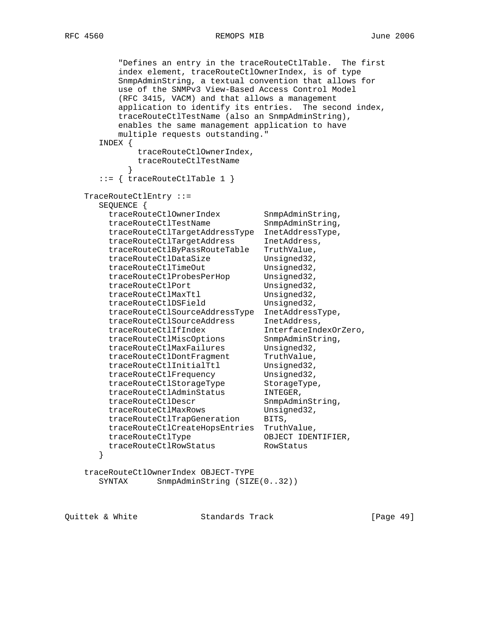```
 "Defines an entry in the traceRouteCtlTable. The first
          index element, traceRouteCtlOwnerIndex, is of type
          SnmpAdminString, a textual convention that allows for
          use of the SNMPv3 View-Based Access Control Model
          (RFC 3415, VACM) and that allows a management
          application to identify its entries. The second index,
          traceRouteCtlTestName (also an SnmpAdminString),
          enables the same management application to have
          multiple requests outstanding."
      INDEX {
             traceRouteCtlOwnerIndex,
           traceRouteCtlTestName
 }
      ::= { traceRouteCtlTable 1 }
    TraceRouteCtlEntry ::=
      SEQUENCE {
 traceRouteCtlOwnerIndex SnmpAdminString,
traceRouteCtlTestName SnmpAdminString,
        traceRouteCtlTargetAddressType InetAddressType,
        traceRouteCtlTargetAddress InetAddress,
        traceRouteCtlByPassRouteTable TruthValue,
 traceRouteCtlDataSize Unsigned32,
traceRouteCtlTimeOut Unsigned32,
traceRouteCtlProbesPerHop    Unsigned32,
traceRouteCtlPort Unsigned32,
traceRouteCtlMaxTtl Unsigned32,
traceRouteCtlDSField Unsigned32,
       traceRouteCtlSourceAddressType InetAddressType,<br>traceRouteCtlSourceAddress InetAddress,
 traceRouteCtlSourceAddress InetAddress,
 traceRouteCtlIfIndex InterfaceIndexOrZero,
 traceRouteCtlMiscOptions SnmpAdminString,
traceRouteCtlMaxFailures Unsigned32,
traceRouteCtlDontFragment TruthValue,
traceRouteCtlInitialTtl Unsigned32,
traceRouteCtlFrequency Unsigned32,
traceRouteCtlStorageType StorageType,
traceRouteCtlAdminStatus INTEGER,
traceRouteCtlDescr SnmpAdminString,
 traceRouteCtlMaxRows Unsigned32,
       traceRouteCtlTrapGeneration BITS,
        traceRouteCtlCreateHopsEntries TruthValue,
 traceRouteCtlType OBJECT IDENTIFIER,
 traceRouteCtlRowStatus RowStatus
      }
    traceRouteCtlOwnerIndex OBJECT-TYPE
```
SYNTAX SnmpAdminString (SIZE(0..32))

Quittek & White Standards Track [Page 49]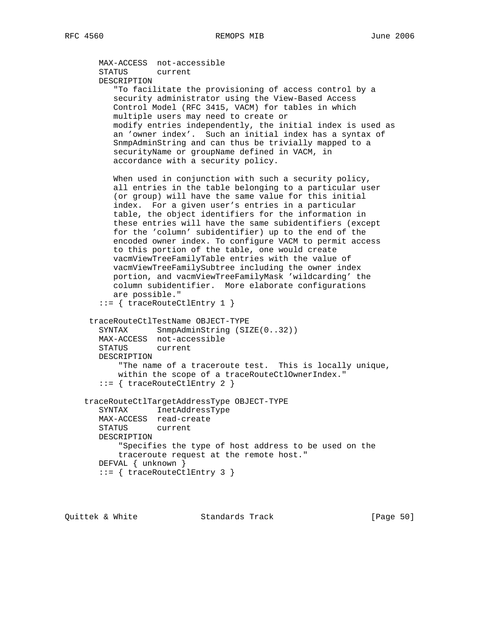```
 MAX-ACCESS not-accessible
   STATUS current
   DESCRIPTION
       "To facilitate the provisioning of access control by a
      security administrator using the View-Based Access
      Control Model (RFC 3415, VACM) for tables in which
      multiple users may need to create or
      modify entries independently, the initial index is used as
      an 'owner index'. Such an initial index has a syntax of
      SnmpAdminString and can thus be trivially mapped to a
      securityName or groupName defined in VACM, in
      accordance with a security policy.
     When used in conjunction with such a security policy,
      all entries in the table belonging to a particular user
      (or group) will have the same value for this initial
      index. For a given user's entries in a particular
      table, the object identifiers for the information in
      these entries will have the same subidentifiers (except
      for the 'column' subidentifier) up to the end of the
      encoded owner index. To configure VACM to permit access
      to this portion of the table, one would create
      vacmViewTreeFamilyTable entries with the value of
      vacmViewTreeFamilySubtree including the owner index
      portion, and vacmViewTreeFamilyMask 'wildcarding' the
      column subidentifier. More elaborate configurations
      are possible."
    ::= { traceRouteCtlEntry 1 }
  traceRouteCtlTestName OBJECT-TYPE
  SYNTAX SnmpAdminString (SIZE(0..32))
   MAX-ACCESS not-accessible
   STATUS current
   DESCRIPTION
       "The name of a traceroute test. This is locally unique,
       within the scope of a traceRouteCtlOwnerIndex."
    ::= { traceRouteCtlEntry 2 }
 traceRouteCtlTargetAddressType OBJECT-TYPE
   SYNTAX InetAddressType
   MAX-ACCESS read-create
   STATUS current
   DESCRIPTION
       "Specifies the type of host address to be used on the
       traceroute request at the remote host."
   DEFVAL { unknown }
   ::= { traceRouteCtlEntry 3 }
```
Quittek & White Standards Track [Page 50]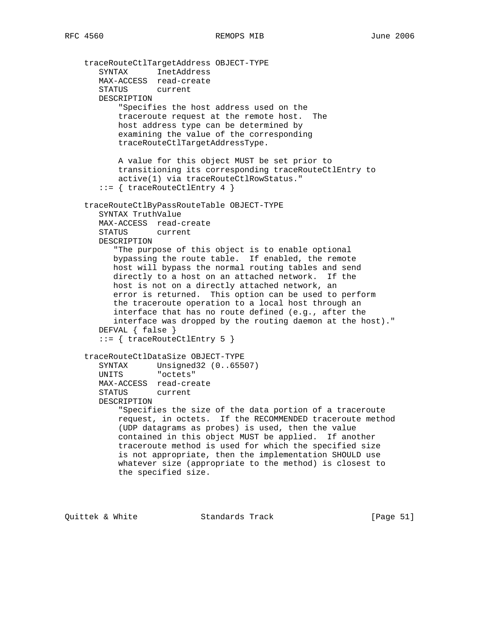```
 traceRouteCtlTargetAddress OBJECT-TYPE
       SYNTAX InetAddress
       MAX-ACCESS read-create
       STATUS current
       DESCRIPTION
           "Specifies the host address used on the
           traceroute request at the remote host. The
           host address type can be determined by
           examining the value of the corresponding
           traceRouteCtlTargetAddressType.
           A value for this object MUST be set prior to
           transitioning its corresponding traceRouteCtlEntry to
           active(1) via traceRouteCtlRowStatus."
       ::= { traceRouteCtlEntry 4 }
    traceRouteCtlByPassRouteTable OBJECT-TYPE
       SYNTAX TruthValue
       MAX-ACCESS read-create
       STATUS current
       DESCRIPTION
          "The purpose of this object is to enable optional
          bypassing the route table. If enabled, the remote
          host will bypass the normal routing tables and send
          directly to a host on an attached network. If the
          host is not on a directly attached network, an
          error is returned. This option can be used to perform
          the traceroute operation to a local host through an
          interface that has no route defined (e.g., after the
          interface was dropped by the routing daemon at the host)."
       DEFVAL { false }
       ::= { traceRouteCtlEntry 5 }
    traceRouteCtlDataSize OBJECT-TYPE
 SYNTAX Unsigned32 (0..65507)
 UNITS "octets"
       MAX-ACCESS read-create
       STATUS current
       DESCRIPTION
           "Specifies the size of the data portion of a traceroute
           request, in octets. If the RECOMMENDED traceroute method
           (UDP datagrams as probes) is used, then the value
           contained in this object MUST be applied. If another
           traceroute method is used for which the specified size
           is not appropriate, then the implementation SHOULD use
           whatever size (appropriate to the method) is closest to
           the specified size.
```
Quittek & White Standards Track [Page 51]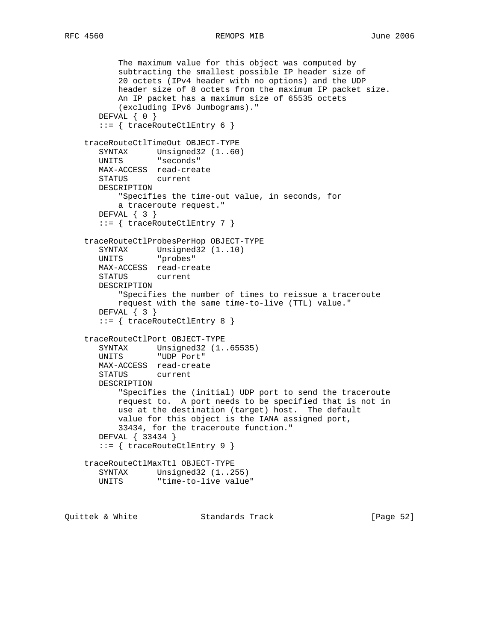## RFC 4560 REMOPS MIB June 2006

```
 The maximum value for this object was computed by
           subtracting the smallest possible IP header size of
           20 octets (IPv4 header with no options) and the UDP
           header size of 8 octets from the maximum IP packet size.
           An IP packet has a maximum size of 65535 octets
           (excluding IPv6 Jumbograms)."
      DEFVAL { 0 }
       ::= { traceRouteCtlEntry 6 }
    traceRouteCtlTimeOut OBJECT-TYPE
      SYNTAX Unsigned32 (1..60)
       UNITS "seconds"
       MAX-ACCESS read-create
       STATUS current
       DESCRIPTION
           "Specifies the time-out value, in seconds, for
           a traceroute request."
       DEFVAL { 3 }
       ::= { traceRouteCtlEntry 7 }
    traceRouteCtlProbesPerHop OBJECT-TYPE
 SYNTAX Unsigned32 (1..10)
 UNITS "probes"
       MAX-ACCESS read-create
       STATUS current
       DESCRIPTION
           "Specifies the number of times to reissue a traceroute
           request with the same time-to-live (TTL) value."
       DEFVAL { 3 }
       ::= { traceRouteCtlEntry 8 }
    traceRouteCtlPort OBJECT-TYPE
       SYNTAX Unsigned32 (1..65535)
       UNITS "UDP Port"
       MAX-ACCESS read-create
       STATUS current
       DESCRIPTION
           "Specifies the (initial) UDP port to send the traceroute
           request to. A port needs to be specified that is not in
           use at the destination (target) host. The default
           value for this object is the IANA assigned port,
           33434, for the traceroute function."
       DEFVAL { 33434 }
       ::= { traceRouteCtlEntry 9 }
    traceRouteCtlMaxTtl OBJECT-TYPE
       SYNTAX Unsigned32 (1..255)
       UNITS "time-to-live value"
```
Quittek & White Standards Track [Page 52]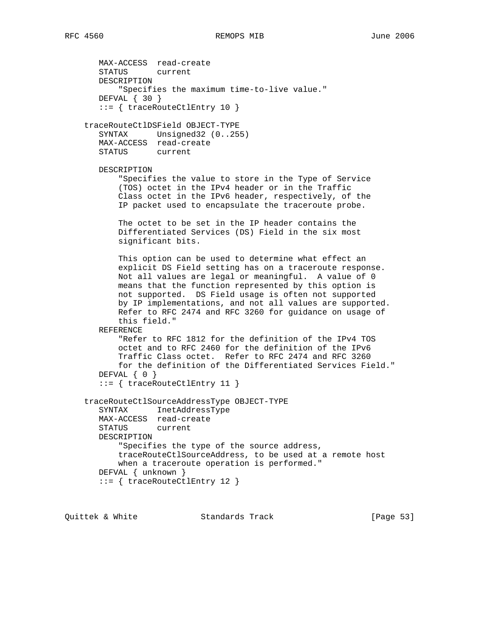MAX-ACCESS read-create STATUS current DESCRIPTION "Specifies the maximum time-to-live value." DEFVAL { 30 } ::= { traceRouteCtlEntry 10 } traceRouteCtlDSField OBJECT-TYPE SYNTAX Unsigned32 (0..255) MAX-ACCESS read-create STATUS current DESCRIPTION "Specifies the value to store in the Type of Service (TOS) octet in the IPv4 header or in the Traffic Class octet in the IPv6 header, respectively, of the IP packet used to encapsulate the traceroute probe. The octet to be set in the IP header contains the Differentiated Services (DS) Field in the six most significant bits. This option can be used to determine what effect an explicit DS Field setting has on a traceroute response. Not all values are legal or meaningful. A value of 0 means that the function represented by this option is not supported. DS Field usage is often not supported by IP implementations, and not all values are supported. Refer to RFC 2474 and RFC 3260 for guidance on usage of this field." REFERENCE "Refer to RFC 1812 for the definition of the IPv4 TOS octet and to RFC 2460 for the definition of the IPv6 Traffic Class octet. Refer to RFC 2474 and RFC 3260 for the definition of the Differentiated Services Field." DEFVAL { 0 } ::= { traceRouteCtlEntry 11 } traceRouteCtlSourceAddressType OBJECT-TYPE SYNTAX InetAddressType MAX-ACCESS read-create STATUS current DESCRIPTION "Specifies the type of the source address, traceRouteCtlSourceAddress, to be used at a remote host when a traceroute operation is performed." DEFVAL { unknown } ::= { traceRouteCtlEntry 12 }

Quittek & White Standards Track [Page 53]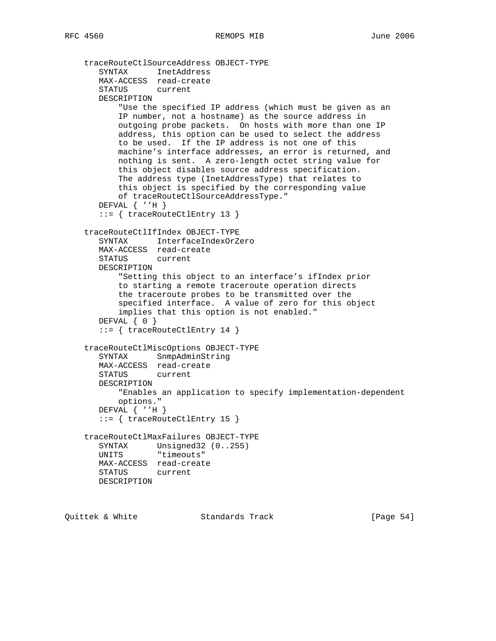```
 traceRouteCtlSourceAddress OBJECT-TYPE
 SYNTAX InetAddress
 MAX-ACCESS read-create
       STATUS current
       DESCRIPTION
           "Use the specified IP address (which must be given as an
           IP number, not a hostname) as the source address in
           outgoing probe packets. On hosts with more than one IP
           address, this option can be used to select the address
           to be used. If the IP address is not one of this
           machine's interface addresses, an error is returned, and
           nothing is sent. A zero-length octet string value for
           this object disables source address specification.
           The address type (InetAddressType) that relates to
           this object is specified by the corresponding value
           of traceRouteCtlSourceAddressType."
       DEFVAL { ''H }
       ::= { traceRouteCtlEntry 13 }
    traceRouteCtlIfIndex OBJECT-TYPE
       SYNTAX InterfaceIndexOrZero
       MAX-ACCESS read-create
       STATUS current
       DESCRIPTION
           "Setting this object to an interface's ifIndex prior
           to starting a remote traceroute operation directs
           the traceroute probes to be transmitted over the
           specified interface. A value of zero for this object
           implies that this option is not enabled."
       DEFVAL { 0 }
       ::= { traceRouteCtlEntry 14 }
    traceRouteCtlMiscOptions OBJECT-TYPE
       SYNTAX SnmpAdminString
       MAX-ACCESS read-create
       STATUS current
       DESCRIPTION
           "Enables an application to specify implementation-dependent
           options."
       DEFVAL { ''H }
       ::= { traceRouteCtlEntry 15 }
    traceRouteCtlMaxFailures OBJECT-TYPE
       SYNTAX Unsigned32 (0..255)
       UNITS "timeouts"
       MAX-ACCESS read-create
       STATUS current
       DESCRIPTION
```
Quittek & White Standards Track [Page 54]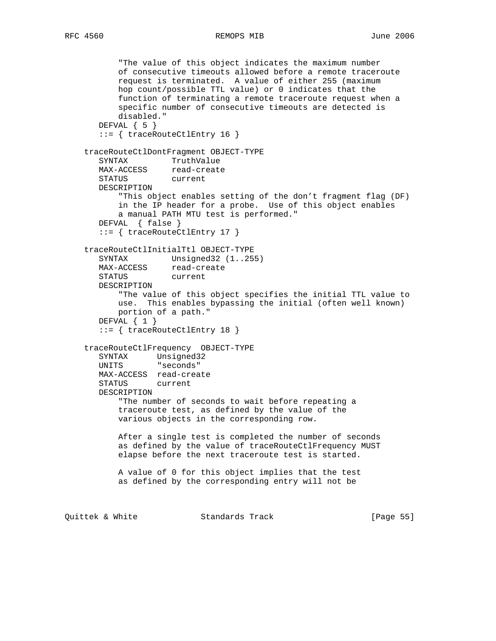RFC 4560 REMOPS MIB June 2006

```
 "The value of this object indicates the maximum number
           of consecutive timeouts allowed before a remote traceroute
           request is terminated. A value of either 255 (maximum
           hop count/possible TTL value) or 0 indicates that the
           function of terminating a remote traceroute request when a
           specific number of consecutive timeouts are detected is
           disabled."
      DEFVAL \{ 5 \} ::= { traceRouteCtlEntry 16 }
     traceRouteCtlDontFragment OBJECT-TYPE
      SYNTAX TruthValue<br>MAX-ACCESS read-create
      SINIAA<br>MAX-ACCESS
       STATUS current
       DESCRIPTION
           "This object enables setting of the don't fragment flag (DF)
           in the IP header for a probe. Use of this object enables
           a manual PATH MTU test is performed."
       DEFVAL { false }
       ::= { traceRouteCtlEntry 17 }
     traceRouteCtlInitialTtl OBJECT-TYPE
      SYNTAX Unsigned32 (1..255)
      MAX-ACCESS read-create
       STATUS current
       DESCRIPTION
            "The value of this object specifies the initial TTL value to
           use. This enables bypassing the initial (often well known)
           portion of a path."
       DEFVAL { 1 }
        ::= { traceRouteCtlEntry 18 }
     traceRouteCtlFrequency OBJECT-TYPE
       SYNTAX Unsigned32
       UNITS "seconds"
       MAX-ACCESS read-create
       STATUS current
       DESCRIPTION
           "The number of seconds to wait before repeating a
           traceroute test, as defined by the value of the
           various objects in the corresponding row.
           After a single test is completed the number of seconds
           as defined by the value of traceRouteCtlFrequency MUST
           elapse before the next traceroute test is started.
           A value of 0 for this object implies that the test
           as defined by the corresponding entry will not be
Quittek & White Standards Track [Page 55]
```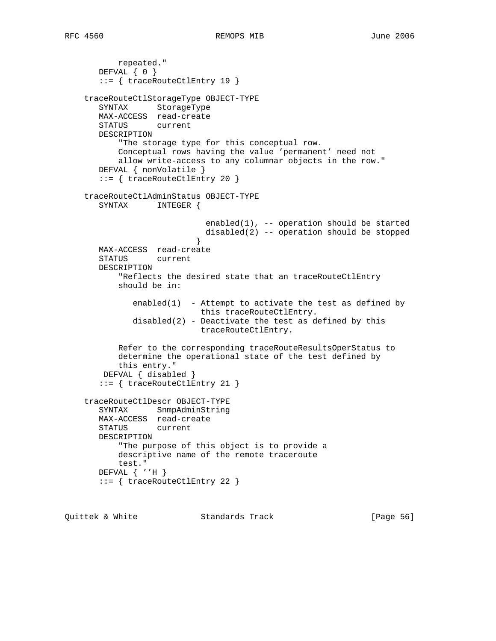```
 repeated."
      DEFVAL \{ 0 \} ::= { traceRouteCtlEntry 19 }
    traceRouteCtlStorageType OBJECT-TYPE
       SYNTAX StorageType
       MAX-ACCESS read-create
       STATUS current
       DESCRIPTION
           "The storage type for this conceptual row.
           Conceptual rows having the value 'permanent' need not
           allow write-access to any columnar objects in the row."
       DEFVAL { nonVolatile }
       ::= { traceRouteCtlEntry 20 }
    traceRouteCtlAdminStatus OBJECT-TYPE
       SYNTAX INTEGER {
                            enabled(1), -- operation should be started
                            disabled(2) -- operation should be stopped
 }
       MAX-ACCESS read-create
       STATUS current
       DESCRIPTION
           "Reflects the desired state that an traceRouteCtlEntry
           should be in:
             enabled(1) - Attempt to activate the test as defined by
                           this traceRouteCtlEntry.
             disabled(2) - Deactivate the test as defined by this
                           traceRouteCtlEntry.
           Refer to the corresponding traceRouteResultsOperStatus to
           determine the operational state of the test defined by
           this entry."
        DEFVAL { disabled }
       ::= { traceRouteCtlEntry 21 }
    traceRouteCtlDescr OBJECT-TYPE
       SYNTAX SnmpAdminString
       MAX-ACCESS read-create
       STATUS current
       DESCRIPTION
           "The purpose of this object is to provide a
           descriptive name of the remote traceroute
           test."
       DEFVAL { ''H }
       ::= { traceRouteCtlEntry 22 }
```
Quittek & White  $S$ tandards Track [Page 56]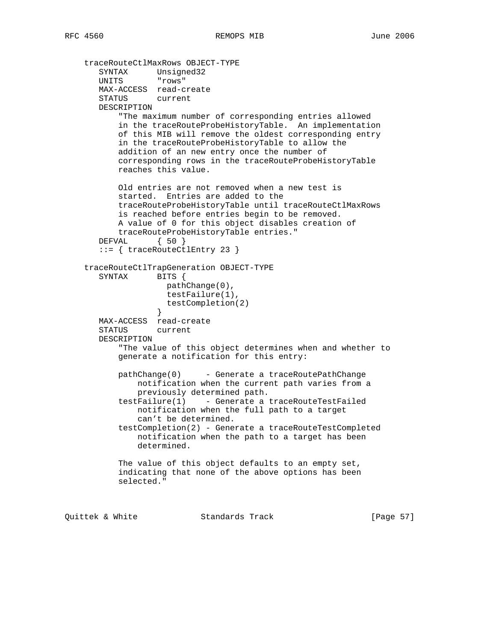```
 traceRouteCtlMaxRows OBJECT-TYPE
 SYNTAX Unsigned32
 UNITS "rows"
       MAX-ACCESS read-create
       STATUS current
       DESCRIPTION
           "The maximum number of corresponding entries allowed
           in the traceRouteProbeHistoryTable. An implementation
           of this MIB will remove the oldest corresponding entry
           in the traceRouteProbeHistoryTable to allow the
           addition of an new entry once the number of
           corresponding rows in the traceRouteProbeHistoryTable
           reaches this value.
           Old entries are not removed when a new test is
           started. Entries are added to the
           traceRouteProbeHistoryTable until traceRouteCtlMaxRows
           is reached before entries begin to be removed.
           A value of 0 for this object disables creation of
           traceRouteProbeHistoryTable entries."
       DEFVAL { 50 }
       ::= { traceRouteCtlEntry 23 }
    traceRouteCtlTrapGeneration OBJECT-TYPE
      SYNTAX BITS {
                    pathChange(0),
                     testFailure(1),
                     testCompletion(2)
 }
       MAX-ACCESS read-create
       STATUS current
       DESCRIPTION
           "The value of this object determines when and whether to
           generate a notification for this entry:
           pathChange(0) - Generate a traceRoutePathChange
               notification when the current path varies from a
               previously determined path.
           testFailure(1) - Generate a traceRouteTestFailed
               notification when the full path to a target
               can't be determined.
           testCompletion(2) - Generate a traceRouteTestCompleted
               notification when the path to a target has been
               determined.
           The value of this object defaults to an empty set,
           indicating that none of the above options has been
           selected."
```
Quittek & White Standards Track [Page 57]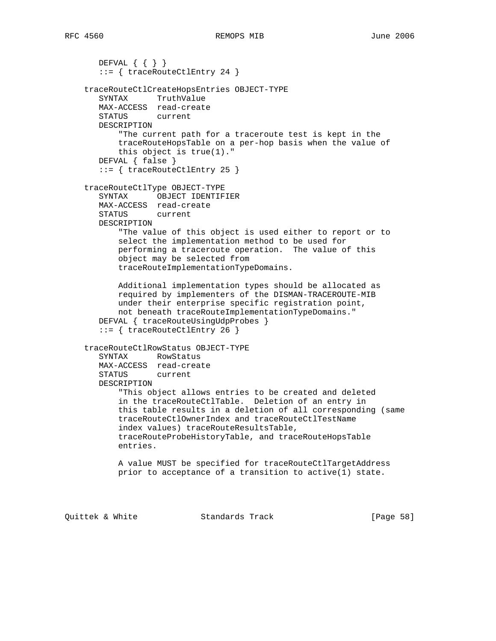```
DEFVAL \{ \} ::= { traceRouteCtlEntry 24 }
 traceRouteCtlCreateHopsEntries OBJECT-TYPE
   SYNTAX TruthValue
   MAX-ACCESS read-create
   STATUS current
   DESCRIPTION
       "The current path for a traceroute test is kept in the
       traceRouteHopsTable on a per-hop basis when the value of
       this object is true(1)."
   DEFVAL { false }
   ::= { traceRouteCtlEntry 25 }
 traceRouteCtlType OBJECT-TYPE
   SYNTAX OBJECT IDENTIFIER
   MAX-ACCESS read-create
   STATUS current
   DESCRIPTION
       "The value of this object is used either to report or to
       select the implementation method to be used for
       performing a traceroute operation. The value of this
       object may be selected from
       traceRouteImplementationTypeDomains.
       Additional implementation types should be allocated as
       required by implementers of the DISMAN-TRACEROUTE-MIB
       under their enterprise specific registration point,
       not beneath traceRouteImplementationTypeDomains."
  DEFVAL { traceRouteUsingUdpProbes }
    ::= { traceRouteCtlEntry 26 }
 traceRouteCtlRowStatus OBJECT-TYPE
   SYNTAX RowStatus
   MAX-ACCESS read-create
   STATUS current
   DESCRIPTION
       "This object allows entries to be created and deleted
       in the traceRouteCtlTable. Deletion of an entry in
       this table results in a deletion of all corresponding (same
       traceRouteCtlOwnerIndex and traceRouteCtlTestName
       index values) traceRouteResultsTable,
       traceRouteProbeHistoryTable, and traceRouteHopsTable
       entries.
       A value MUST be specified for traceRouteCtlTargetAddress
       prior to acceptance of a transition to active(1) state.
```
Quittek & White Standards Track [Page 58]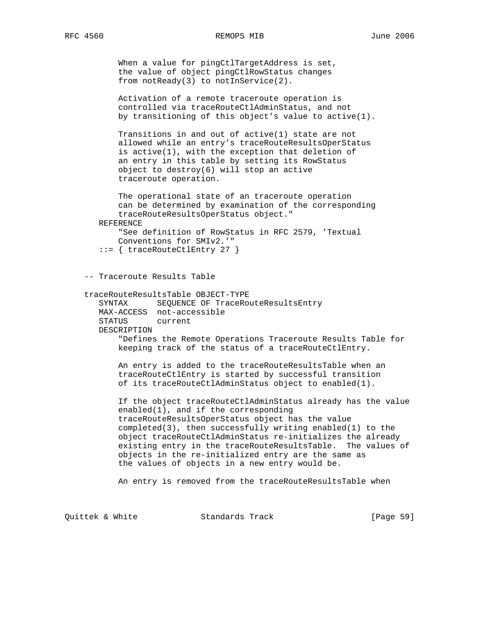When a value for pingCtlTargetAddress is set, the value of object pingCtlRowStatus changes from notReady(3) to notInService(2).

 Activation of a remote traceroute operation is controlled via traceRouteCtlAdminStatus, and not by transitioning of this object's value to active(1).

 Transitions in and out of active(1) state are not allowed while an entry's traceRouteResultsOperStatus is active(1), with the exception that deletion of an entry in this table by setting its RowStatus object to destroy(6) will stop an active traceroute operation.

 The operational state of an traceroute operation can be determined by examination of the corresponding traceRouteResultsOperStatus object."

REFERENCE

 "See definition of RowStatus in RFC 2579, 'Textual Conventions for SMIv2.'"

```
 ::= { traceRouteCtlEntry 27 }
```
-- Traceroute Results Table

## traceRouteResultsTable OBJECT-TYPE

 SYNTAX SEQUENCE OF TraceRouteResultsEntry MAX-ACCESS not-accessible STATUS current DESCRIPTION "Defines the Remote Operations Traceroute Results Table for keeping track of the status of a traceRouteCtlEntry.

 An entry is added to the traceRouteResultsTable when an traceRouteCtlEntry is started by successful transition of its traceRouteCtlAdminStatus object to enabled(1).

 If the object traceRouteCtlAdminStatus already has the value enabled(1), and if the corresponding traceRouteResultsOperStatus object has the value completed(3), then successfully writing enabled(1) to the object traceRouteCtlAdminStatus re-initializes the already existing entry in the traceRouteResultsTable. The values of objects in the re-initialized entry are the same as the values of objects in a new entry would be.

An entry is removed from the traceRouteResultsTable when

Quittek & White Standards Track [Page 59]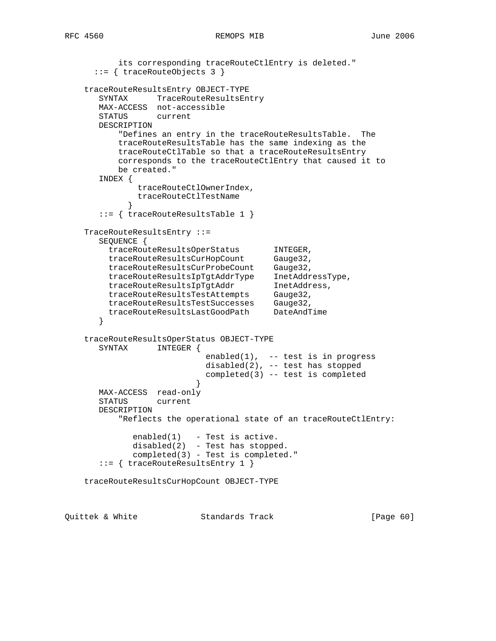```
 its corresponding traceRouteCtlEntry is deleted."
      ::= { traceRouteObjects 3 }
    traceRouteResultsEntry OBJECT-TYPE
       SYNTAX TraceRouteResultsEntry
       MAX-ACCESS not-accessible
       STATUS current
       DESCRIPTION
           "Defines an entry in the traceRouteResultsTable. The
          traceRouteResultsTable has the same indexing as the
          traceRouteCtlTable so that a traceRouteResultsEntry
          corresponds to the traceRouteCtlEntry that caused it to
          be created."
       INDEX {
              traceRouteCtlOwnerIndex,
              traceRouteCtlTestName
 }
       ::= { traceRouteResultsTable 1 }
    TraceRouteResultsEntry ::=
       SEQUENCE {
 traceRouteResultsOperStatus INTEGER,
traceRouteResultsCurHopCount Gauge32,
 traceRouteResultsCurProbeCount Gauge32,
 traceRouteResultsIpTgtAddrType InetAddressType,
 traceRouteResultsIpTgtAddr InetAddress,
 traceRouteResultsTestAttempts Gauge32,
 traceRouteResultsTestSuccesses Gauge32,
 traceRouteResultsLastGoodPath DateAndTime
       }
    traceRouteResultsOperStatus OBJECT-TYPE
       SYNTAX INTEGER {
                           enabled(1), -- test is in progress
                           disabled(2), -- test has stopped
                           completed(3) -- test is completed
 }
       MAX-ACCESS read-only
       STATUS current
       DESCRIPTION
           "Reflects the operational state of an traceRouteCtlEntry:
            enabeled(1) - Test is active.
            disabled(2) - Test has stopped.
             completed(3) - Test is completed."
       ::= { traceRouteResultsEntry 1 }
    traceRouteResultsCurHopCount OBJECT-TYPE
```
Quittek & White Standards Track [Page 60]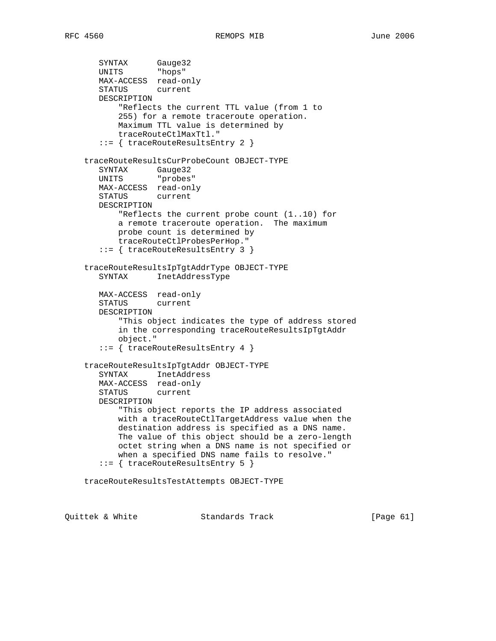```
 SYNTAX Gauge32
 UNITS "hops"
       MAX-ACCESS read-only
       STATUS current
       DESCRIPTION
           "Reflects the current TTL value (from 1 to
           255) for a remote traceroute operation.
           Maximum TTL value is determined by
           traceRouteCtlMaxTtl."
       ::= { traceRouteResultsEntry 2 }
    traceRouteResultsCurProbeCount OBJECT-TYPE
 SYNTAX Gauge32
 UNITS "probes"
       MAX-ACCESS read-only
       STATUS current
       DESCRIPTION
           "Reflects the current probe count (1..10) for
           a remote traceroute operation. The maximum
           probe count is determined by
           traceRouteCtlProbesPerHop."
       ::= { traceRouteResultsEntry 3 }
    traceRouteResultsIpTgtAddrType OBJECT-TYPE
       SYNTAX InetAddressType
       MAX-ACCESS read-only
       STATUS current
       DESCRIPTION
           "This object indicates the type of address stored
           in the corresponding traceRouteResultsIpTgtAddr
           object."
       ::= { traceRouteResultsEntry 4 }
    traceRouteResultsIpTgtAddr OBJECT-TYPE
       SYNTAX InetAddress
       MAX-ACCESS read-only
       STATUS current
       DESCRIPTION
           "This object reports the IP address associated
           with a traceRouteCtlTargetAddress value when the
           destination address is specified as a DNS name.
           The value of this object should be a zero-length
           octet string when a DNS name is not specified or
           when a specified DNS name fails to resolve."
       ::= { traceRouteResultsEntry 5 }
    traceRouteResultsTestAttempts OBJECT-TYPE
```
Quittek & White  $S$  Standards Track [Page 61]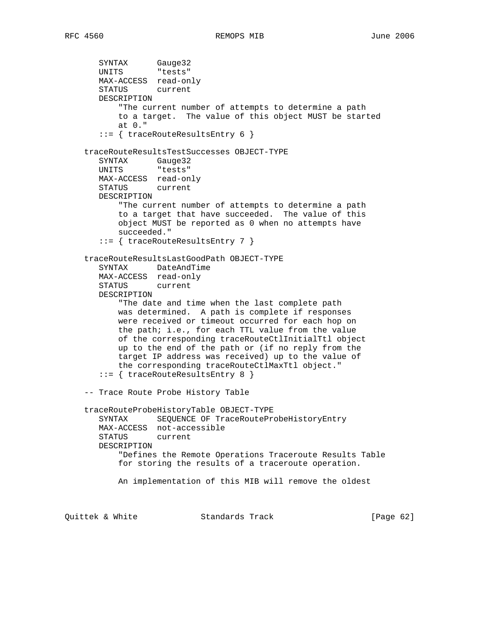```
 SYNTAX Gauge32
UNITS "tests"
       MAX-ACCESS read-only
       STATUS current
       DESCRIPTION
           "The current number of attempts to determine a path
           to a target. The value of this object MUST be started
           at 0."
       ::= { traceRouteResultsEntry 6 }
    traceRouteResultsTestSuccesses OBJECT-TYPE
       SYNTAX Gauge32
       UNITS "tests"
       MAX-ACCESS read-only
       STATUS current
       DESCRIPTION
           "The current number of attempts to determine a path
           to a target that have succeeded. The value of this
           object MUST be reported as 0 when no attempts have
           succeeded."
       ::= { traceRouteResultsEntry 7 }
    traceRouteResultsLastGoodPath OBJECT-TYPE
       SYNTAX DateAndTime
       MAX-ACCESS read-only
       STATUS current
       DESCRIPTION
           "The date and time when the last complete path
           was determined. A path is complete if responses
           were received or timeout occurred for each hop on
           the path; i.e., for each TTL value from the value
           of the corresponding traceRouteCtlInitialTtl object
           up to the end of the path or (if no reply from the
           target IP address was received) up to the value of
           the corresponding traceRouteCtlMaxTtl object."
       ::= { traceRouteResultsEntry 8 }
    -- Trace Route Probe History Table
    traceRouteProbeHistoryTable OBJECT-TYPE
       SYNTAX SEQUENCE OF TraceRouteProbeHistoryEntry
       MAX-ACCESS not-accessible
       STATUS current
       DESCRIPTION
           "Defines the Remote Operations Traceroute Results Table
           for storing the results of a traceroute operation.
           An implementation of this MIB will remove the oldest
```
Quittek & White Standards Track [Page 62]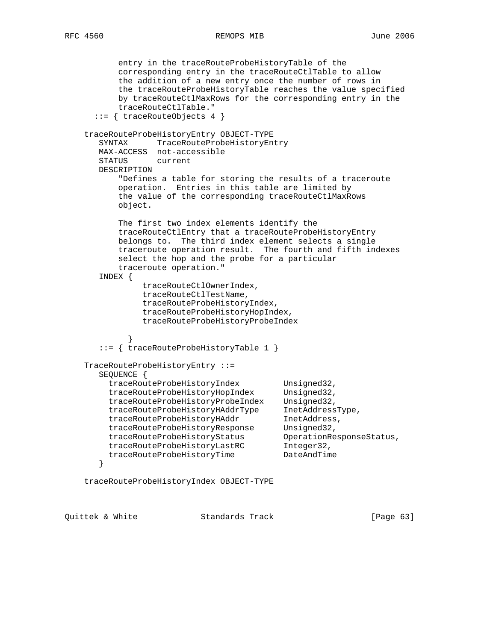```
 entry in the traceRouteProbeHistoryTable of the
           corresponding entry in the traceRouteCtlTable to allow
           the addition of a new entry once the number of rows in
           the traceRouteProbeHistoryTable reaches the value specified
           by traceRouteCtlMaxRows for the corresponding entry in the
           traceRouteCtlTable."
       ::= { traceRouteObjects 4 }
    traceRouteProbeHistoryEntry OBJECT-TYPE
       SYNTAX TraceRouteProbeHistoryEntry
       MAX-ACCESS not-accessible
       STATUS current
       DESCRIPTION
           "Defines a table for storing the results of a traceroute
           operation. Entries in this table are limited by
           the value of the corresponding traceRouteCtlMaxRows
           object.
           The first two index elements identify the
           traceRouteCtlEntry that a traceRouteProbeHistoryEntry
           belongs to. The third index element selects a single
           traceroute operation result. The fourth and fifth indexes
           select the hop and the probe for a particular
           traceroute operation."
       INDEX {
                traceRouteCtlOwnerIndex,
                traceRouteCtlTestName,
                traceRouteProbeHistoryIndex,
                traceRouteProbeHistoryHopIndex,
                traceRouteProbeHistoryProbeIndex
 }
        ::= { traceRouteProbeHistoryTable 1 }
    TraceRouteProbeHistoryEntry ::=
       SEQUENCE {
        traceRouteProbeHistoryIndex Unsigned32,<br>traceRouteProbeHistoryHopIndex Unsigned32,<br>traceRouteProbeHistoryHopIndex Unsigned32,
 traceRouteProbeHistoryHopIndex Unsigned32,
 traceRouteProbeHistoryProbeIndex Unsigned32,
 traceRouteProbeHistoryHAddrType InetAddressType,
traceRouteProbeHistoryHAddr     InetAddress,
 traceRouteProbeHistoryResponse Unsigned32,
 traceRouteProbeHistoryStatus OperationResponseStatus,
 traceRouteProbeHistoryLastRC Integer32,
traceRouteProbeHistoryTime    DateAndTime
       }
    traceRouteProbeHistoryIndex OBJECT-TYPE
```
Quittek & White Standards Track [Page 63]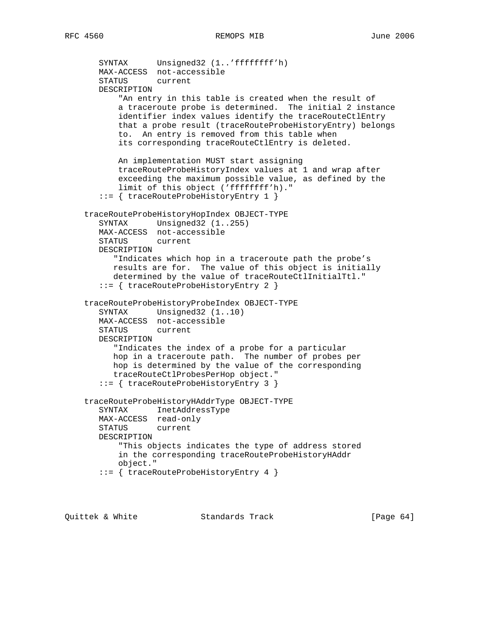```
 SYNTAX Unsigned32 (1..'ffffffff'h)
   MAX-ACCESS not-accessible
   STATUS current
   DESCRIPTION
        "An entry in this table is created when the result of
       a traceroute probe is determined. The initial 2 instance
       identifier index values identify the traceRouteCtlEntry
       that a probe result (traceRouteProbeHistoryEntry) belongs
       to. An entry is removed from this table when
       its corresponding traceRouteCtlEntry is deleted.
       An implementation MUST start assigning
       traceRouteProbeHistoryIndex values at 1 and wrap after
       exceeding the maximum possible value, as defined by the
       limit of this object ('ffffffff'h)."
    ::= { traceRouteProbeHistoryEntry 1 }
 traceRouteProbeHistoryHopIndex OBJECT-TYPE
   SYNTAX Unsigned32 (1..255)
   MAX-ACCESS not-accessible
   STATUS current
   DESCRIPTION
      "Indicates which hop in a traceroute path the probe's
      results are for. The value of this object is initially
      determined by the value of traceRouteCtlInitialTtl."
    ::= { traceRouteProbeHistoryEntry 2 }
 traceRouteProbeHistoryProbeIndex OBJECT-TYPE
  SYNTAX Unsigned32 (1..10)
   MAX-ACCESS not-accessible
   STATUS current
   DESCRIPTION
      "Indicates the index of a probe for a particular
      hop in a traceroute path. The number of probes per
      hop is determined by the value of the corresponding
      traceRouteCtlProbesPerHop object."
    ::= { traceRouteProbeHistoryEntry 3 }
 traceRouteProbeHistoryHAddrType OBJECT-TYPE
   SYNTAX InetAddressType
   MAX-ACCESS read-only
   STATUS current
   DESCRIPTION
       "This objects indicates the type of address stored
       in the corresponding traceRouteProbeHistoryHAddr
       object."
    ::= { traceRouteProbeHistoryEntry 4 }
```
Quittek & White Standards Track [Page 64]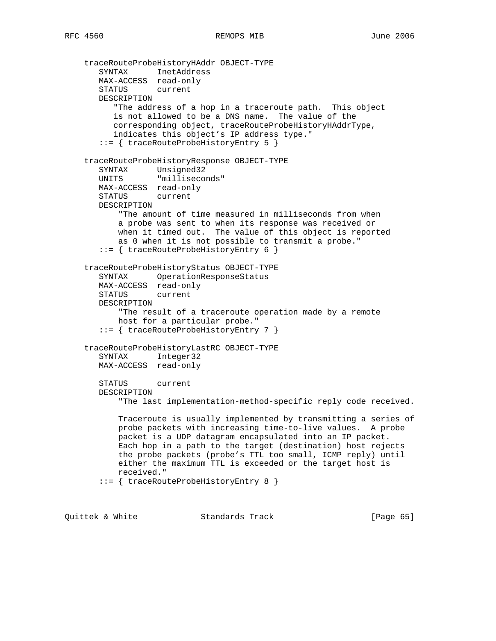```
 traceRouteProbeHistoryHAddr OBJECT-TYPE
 SYNTAX InetAddress
 MAX-ACCESS read-only
       STATUS current
       DESCRIPTION
          "The address of a hop in a traceroute path. This object
          is not allowed to be a DNS name. The value of the
          corresponding object, traceRouteProbeHistoryHAddrType,
          indicates this object's IP address type."
       ::= { traceRouteProbeHistoryEntry 5 }
    traceRouteProbeHistoryResponse OBJECT-TYPE
 SYNTAX Unsigned32
 UNITS "milliseconds"
       MAX-ACCESS read-only
       STATUS current
       DESCRIPTION
           "The amount of time measured in milliseconds from when
           a probe was sent to when its response was received or
           when it timed out. The value of this object is reported
           as 0 when it is not possible to transmit a probe."
       ::= { traceRouteProbeHistoryEntry 6 }
    traceRouteProbeHistoryStatus OBJECT-TYPE
       SYNTAX OperationResponseStatus
       MAX-ACCESS read-only
       STATUS current
       DESCRIPTION
           "The result of a traceroute operation made by a remote
           host for a particular probe."
       ::= { traceRouteProbeHistoryEntry 7 }
    traceRouteProbeHistoryLastRC OBJECT-TYPE
       SYNTAX Integer32
       MAX-ACCESS read-only
       STATUS current
       DESCRIPTION
           "The last implementation-method-specific reply code received.
           Traceroute is usually implemented by transmitting a series of
           probe packets with increasing time-to-live values. A probe
           packet is a UDP datagram encapsulated into an IP packet.
           Each hop in a path to the target (destination) host rejects
           the probe packets (probe's TTL too small, ICMP reply) until
           either the maximum TTL is exceeded or the target host is
           received."
       ::= { traceRouteProbeHistoryEntry 8 }
```
Quittek & White Standards Track [Page 65]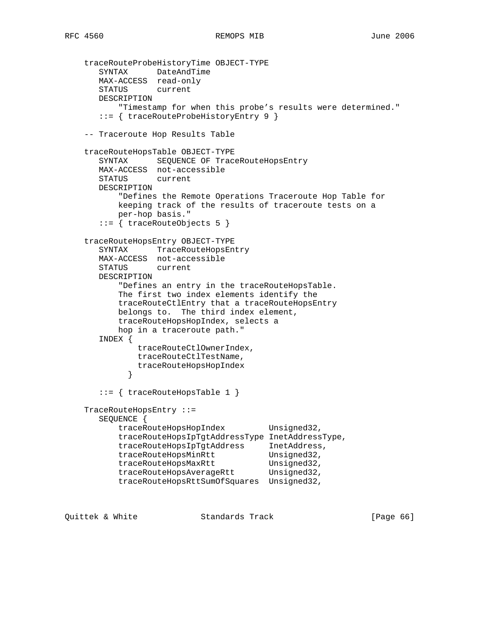```
 traceRouteProbeHistoryTime OBJECT-TYPE
 SYNTAX DateAndTime
 MAX-ACCESS read-only
       STATUS current
       DESCRIPTION
           "Timestamp for when this probe's results were determined."
       ::= { traceRouteProbeHistoryEntry 9 }
    -- Traceroute Hop Results Table
    traceRouteHopsTable OBJECT-TYPE
       SYNTAX SEQUENCE OF TraceRouteHopsEntry
       MAX-ACCESS not-accessible
       STATUS current
       DESCRIPTION
           "Defines the Remote Operations Traceroute Hop Table for
          keeping track of the results of traceroute tests on a
          per-hop basis."
       ::= { traceRouteObjects 5 }
    traceRouteHopsEntry OBJECT-TYPE
       SYNTAX TraceRouteHopsEntry
       MAX-ACCESS not-accessible
       STATUS current
       DESCRIPTION
           "Defines an entry in the traceRouteHopsTable.
           The first two index elements identify the
           traceRouteCtlEntry that a traceRouteHopsEntry
           belongs to. The third index element,
          traceRouteHopsHopIndex, selects a
           hop in a traceroute path."
       INDEX {
              traceRouteCtlOwnerIndex,
              traceRouteCtlTestName,
             traceRouteHopsHopIndex
 }
       ::= { traceRouteHopsTable 1 }
    TraceRouteHopsEntry ::=
       SEQUENCE {
         traceRouteHopsHopIndex Unsigned32,
           traceRouteHopsIpTgtAddressType InetAddressType,
 traceRouteHopsIpTgtAddress InetAddress,
traceRouteHopsMinRtt Unsigned32,
traceRouteHopsMaxRtt Unsigned32,
traceRouteHopsAverageRtt Unsigned32,
           traceRouteHopsRttSumOfSquares Unsigned32,
```
Quittek & White Standards Track [Page 66]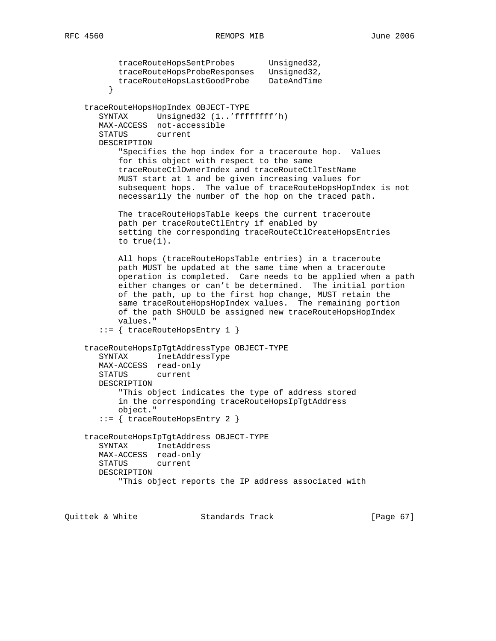```
 traceRouteHopsSentProbes Unsigned32,
           traceRouteHopsProbeResponses Unsigned32,
           traceRouteHopsLastGoodProbe DateAndTime
 }
    traceRouteHopsHopIndex OBJECT-TYPE
       SYNTAX Unsigned32 (1..'ffffffff'h)
       MAX-ACCESS not-accessible
       STATUS current
       DESCRIPTION
           "Specifies the hop index for a traceroute hop. Values
           for this object with respect to the same
           traceRouteCtlOwnerIndex and traceRouteCtlTestName
           MUST start at 1 and be given increasing values for
           subsequent hops. The value of traceRouteHopsHopIndex is not
           necessarily the number of the hop on the traced path.
           The traceRouteHopsTable keeps the current traceroute
           path per traceRouteCtlEntry if enabled by
           setting the corresponding traceRouteCtlCreateHopsEntries
           to true(1).
           All hops (traceRouteHopsTable entries) in a traceroute
           path MUST be updated at the same time when a traceroute
           operation is completed. Care needs to be applied when a path
           either changes or can't be determined. The initial portion
           of the path, up to the first hop change, MUST retain the
           same traceRouteHopsHopIndex values. The remaining portion
           of the path SHOULD be assigned new traceRouteHopsHopIndex
           values."
        ::= { traceRouteHopsEntry 1 }
    traceRouteHopsIpTgtAddressType OBJECT-TYPE
       SYNTAX InetAddressType
       MAX-ACCESS read-only
       STATUS current
       DESCRIPTION
           "This object indicates the type of address stored
           in the corresponding traceRouteHopsIpTgtAddress
           object."
       ::= { traceRouteHopsEntry 2 }
    traceRouteHopsIpTgtAddress OBJECT-TYPE
       SYNTAX InetAddress
       MAX-ACCESS read-only
       STATUS current
       DESCRIPTION
            "This object reports the IP address associated with
```
Quittek & White Standards Track [Page 67]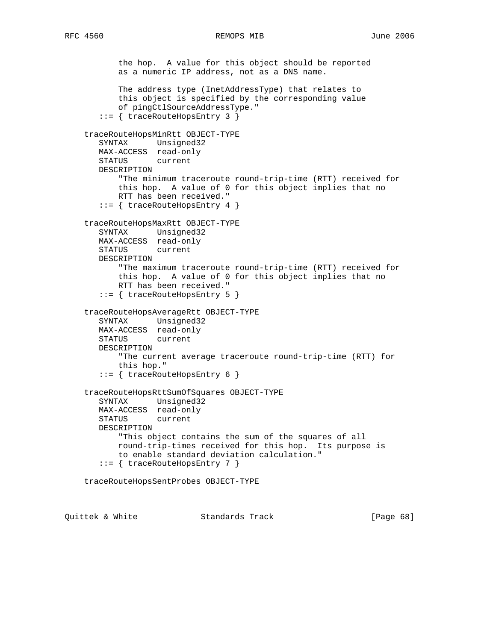```
 the hop. A value for this object should be reported
       as a numeric IP address, not as a DNS name.
       The address type (InetAddressType) that relates to
       this object is specified by the corresponding value
       of pingCtlSourceAddressType."
    ::= { traceRouteHopsEntry 3 }
 traceRouteHopsMinRtt OBJECT-TYPE
   SYNTAX Unsigned32
   MAX-ACCESS read-only
   STATUS current
   DESCRIPTION
       "The minimum traceroute round-trip-time (RTT) received for
       this hop. A value of 0 for this object implies that no
       RTT has been received."
    ::= { traceRouteHopsEntry 4 }
 traceRouteHopsMaxRtt OBJECT-TYPE
   SYNTAX Unsigned32
   MAX-ACCESS read-only
   STATUS current
   DESCRIPTION
        "The maximum traceroute round-trip-time (RTT) received for
       this hop. A value of 0 for this object implies that no
       RTT has been received."
    ::= { traceRouteHopsEntry 5 }
 traceRouteHopsAverageRtt OBJECT-TYPE
   SYNTAX Unsigned32
   MAX-ACCESS read-only
   STATUS current
   DESCRIPTION
        "The current average traceroute round-trip-time (RTT) for
       this hop."
    ::= { traceRouteHopsEntry 6 }
 traceRouteHopsRttSumOfSquares OBJECT-TYPE
   SYNTAX Unsigned32
   MAX-ACCESS read-only
   STATUS current
   DESCRIPTION
       "This object contains the sum of the squares of all
       round-trip-times received for this hop. Its purpose is
       to enable standard deviation calculation."
    ::= { traceRouteHopsEntry 7 }
 traceRouteHopsSentProbes OBJECT-TYPE
```
Quittek & White Standards Track [Page 68]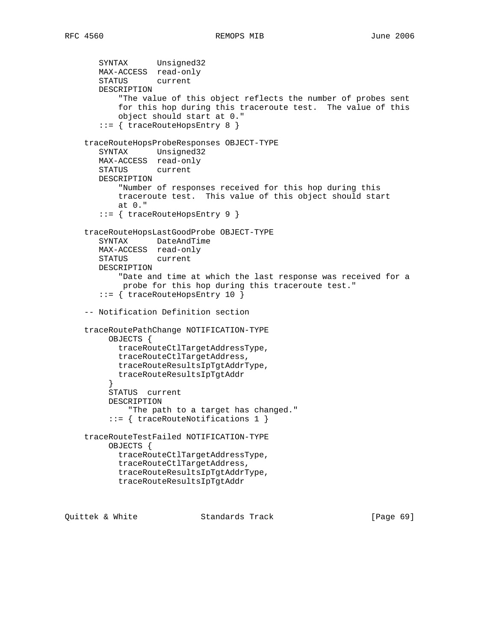```
 SYNTAX Unsigned32
   MAX-ACCESS read-only
   STATUS current
   DESCRIPTION
        "The value of this object reflects the number of probes sent
        for this hop during this traceroute test. The value of this
        object should start at 0."
    ::= { traceRouteHopsEntry 8 }
 traceRouteHopsProbeResponses OBJECT-TYPE
   SYNTAX Unsigned32
   MAX-ACCESS read-only
   STATUS current
   DESCRIPTION
        "Number of responses received for this hop during this
       traceroute test. This value of this object should start
       at 0."
    ::= { traceRouteHopsEntry 9 }
 traceRouteHopsLastGoodProbe OBJECT-TYPE
   SYNTAX DateAndTime
   MAX-ACCESS read-only
   STATUS current
   DESCRIPTION
        "Date and time at which the last response was received for a
        probe for this hop during this traceroute test."
    ::= { traceRouteHopsEntry 10 }
 -- Notification Definition section
 traceRoutePathChange NOTIFICATION-TYPE
     OBJECTS {
       traceRouteCtlTargetAddressType,
       traceRouteCtlTargetAddress,
       traceRouteResultsIpTgtAddrType,
       traceRouteResultsIpTgtAddr
      }
     STATUS current
     DESCRIPTION
          "The path to a target has changed."
      ::= { traceRouteNotifications 1 }
 traceRouteTestFailed NOTIFICATION-TYPE
     OBJECTS {
       traceRouteCtlTargetAddressType,
       traceRouteCtlTargetAddress,
       traceRouteResultsIpTgtAddrType,
       traceRouteResultsIpTgtAddr
```
Quittek & White Standards Track [Page 69]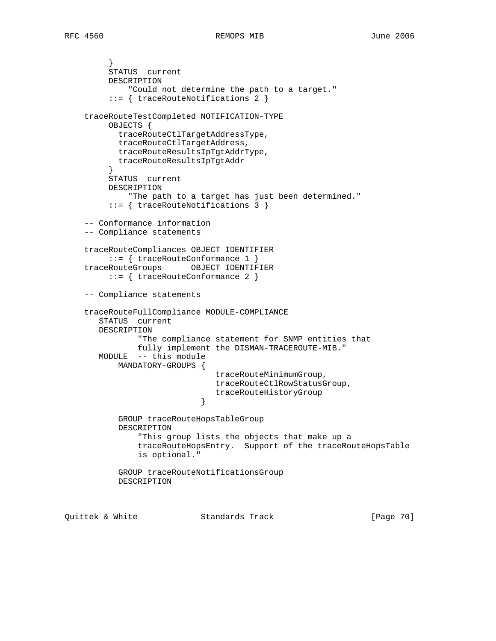} STATUS current DESCRIPTION "Could not determine the path to a target." ::= { traceRouteNotifications 2 } traceRouteTestCompleted NOTIFICATION-TYPE OBJECTS { traceRouteCtlTargetAddressType, traceRouteCtlTargetAddress, traceRouteResultsIpTgtAddrType, traceRouteResultsIpTgtAddr } STATUS current DESCRIPTION "The path to a target has just been determined." ::= { traceRouteNotifications 3 } -- Conformance information -- Compliance statements traceRouteCompliances OBJECT IDENTIFIER ::= { traceRouteConformance 1 } traceRouteGroups OBJECT IDENTIFIER ::= { traceRouteConformance 2 } -- Compliance statements traceRouteFullCompliance MODULE-COMPLIANCE STATUS current DESCRIPTION "The compliance statement for SNMP entities that fully implement the DISMAN-TRACEROUTE-MIB." MODULE -- this module MANDATORY-GROUPS { traceRouteMinimumGroup, traceRouteCtlRowStatusGroup, traceRouteHistoryGroup<br>} } GROUP traceRouteHopsTableGroup DESCRIPTION "This group lists the objects that make up a traceRouteHopsEntry. Support of the traceRouteHopsTable is optional." GROUP traceRouteNotificationsGroup DESCRIPTION

Quittek & White Standards Track [Page 70]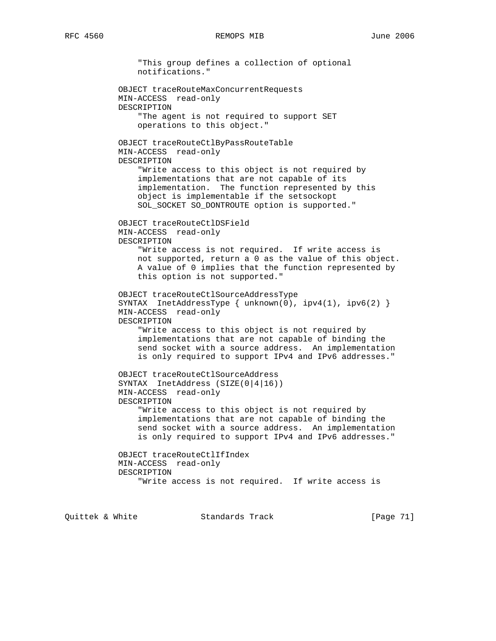"This group defines a collection of optional notifications." OBJECT traceRouteMaxConcurrentRequests MIN-ACCESS read-only DESCRIPTION "The agent is not required to support SET operations to this object." OBJECT traceRouteCtlByPassRouteTable MIN-ACCESS read-only DESCRIPTION "Write access to this object is not required by implementations that are not capable of its implementation. The function represented by this object is implementable if the setsockopt SOL\_SOCKET SO\_DONTROUTE option is supported." OBJECT traceRouteCtlDSField MIN-ACCESS read-only DESCRIPTION "Write access is not required. If write access is not supported, return a 0 as the value of this object. A value of 0 implies that the function represented by this option is not supported." OBJECT traceRouteCtlSourceAddressType SYNTAX InetAddressType { unknown(0), ipv4(1), ipv6(2) } MIN-ACCESS read-only DESCRIPTION "Write access to this object is not required by implementations that are not capable of binding the send socket with a source address. An implementation is only required to support IPv4 and IPv6 addresses." OBJECT traceRouteCtlSourceAddress SYNTAX InetAddress (SIZE(0|4|16)) MIN-ACCESS read-only DESCRIPTION "Write access to this object is not required by implementations that are not capable of binding the send socket with a source address. An implementation is only required to support IPv4 and IPv6 addresses." OBJECT traceRouteCtlIfIndex MIN-ACCESS read-only DESCRIPTION "Write access is not required. If write access is

Quittek & White Standards Track [Page 71]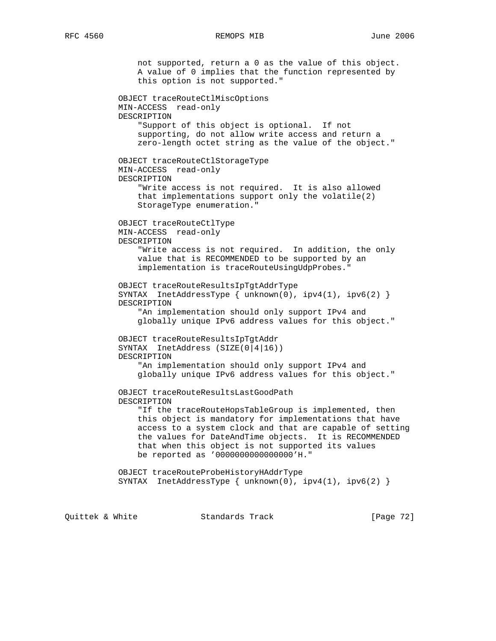not supported, return a 0 as the value of this object. A value of 0 implies that the function represented by this option is not supported." OBJECT traceRouteCtlMiscOptions MIN-ACCESS read-only DESCRIPTION "Support of this object is optional. If not supporting, do not allow write access and return a zero-length octet string as the value of the object." OBJECT traceRouteCtlStorageType MIN-ACCESS read-only DESCRIPTION "Write access is not required. It is also allowed that implementations support only the volatile(2) StorageType enumeration." OBJECT traceRouteCtlType MIN-ACCESS read-only DESCRIPTION "Write access is not required. In addition, the only value that is RECOMMENDED to be supported by an implementation is traceRouteUsingUdpProbes." OBJECT traceRouteResultsIpTgtAddrType SYNTAX InetAddressType { unknown(0), ipv4(1), ipv6(2) } DESCRIPTION "An implementation should only support IPv4 and globally unique IPv6 address values for this object." OBJECT traceRouteResultsIpTgtAddr SYNTAX InetAddress (SIZE(0|4|16)) DESCRIPTION "An implementation should only support IPv4 and globally unique IPv6 address values for this object." OBJECT traceRouteResultsLastGoodPath DESCRIPTION "If the traceRouteHopsTableGroup is implemented, then this object is mandatory for implementations that have access to a system clock and that are capable of setting the values for DateAndTime objects. It is RECOMMENDED that when this object is not supported its values be reported as '0000000000000000'H." OBJECT traceRouteProbeHistoryHAddrType SYNTAX InetAddressType { unknown(0), ipv4(1), ipv6(2) } Quittek & White Standards Track [Page 72]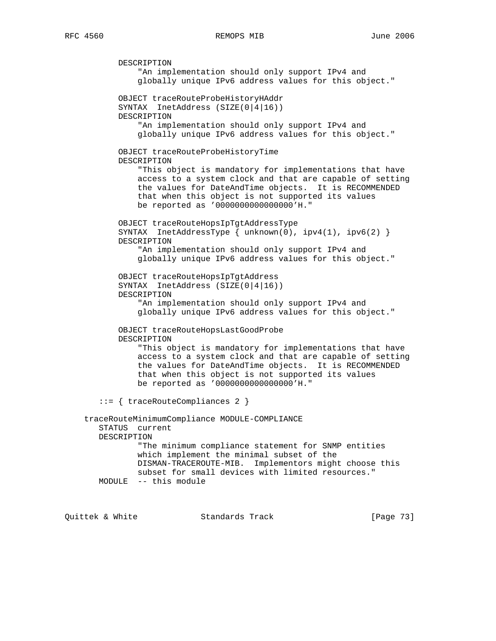DESCRIPTION "An implementation should only support IPv4 and globally unique IPv6 address values for this object." OBJECT traceRouteProbeHistoryHAddr SYNTAX InetAddress (SIZE(0|4|16)) DESCRIPTION "An implementation should only support IPv4 and globally unique IPv6 address values for this object." OBJECT traceRouteProbeHistoryTime DESCRIPTION "This object is mandatory for implementations that have access to a system clock and that are capable of setting the values for DateAndTime objects. It is RECOMMENDED that when this object is not supported its values be reported as '0000000000000000'H." OBJECT traceRouteHopsIpTgtAddressType SYNTAX InetAddressType  $\{ \text{unknown}(0), \text{ipv4}(1), \text{ipv6}(2) \}$  DESCRIPTION "An implementation should only support IPv4 and globally unique IPv6 address values for this object." OBJECT traceRouteHopsIpTgtAddress SYNTAX InetAddress (SIZE(0|4|16)) DESCRIPTION "An implementation should only support IPv4 and globally unique IPv6 address values for this object." OBJECT traceRouteHopsLastGoodProbe DESCRIPTION "This object is mandatory for implementations that have access to a system clock and that are capable of setting the values for DateAndTime objects. It is RECOMMENDED that when this object is not supported its values be reported as '0000000000000000'H." ::= { traceRouteCompliances 2 } traceRouteMinimumCompliance MODULE-COMPLIANCE STATUS current DESCRIPTION "The minimum compliance statement for SNMP entities which implement the minimal subset of the DISMAN-TRACEROUTE-MIB. Implementors might choose this subset for small devices with limited resources." MODULE -- this module

Quittek & White Standards Track [Page 73]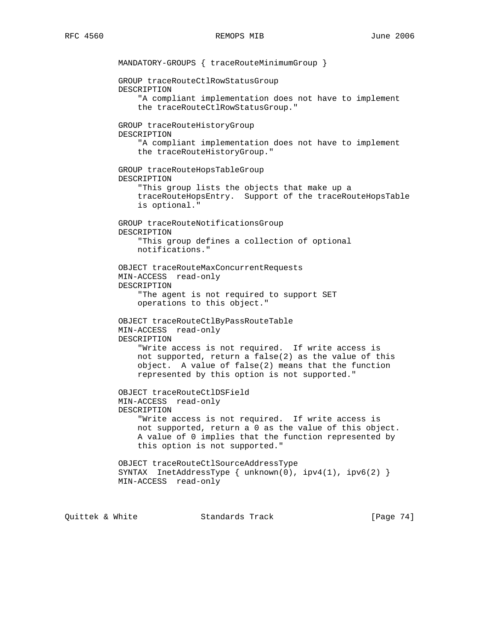MANDATORY-GROUPS { traceRouteMinimumGroup } GROUP traceRouteCtlRowStatusGroup DESCRIPTION "A compliant implementation does not have to implement the traceRouteCtlRowStatusGroup." GROUP traceRouteHistoryGroup DESCRIPTION "A compliant implementation does not have to implement the traceRouteHistoryGroup." GROUP traceRouteHopsTableGroup DESCRIPTION "This group lists the objects that make up a traceRouteHopsEntry. Support of the traceRouteHopsTable is optional." GROUP traceRouteNotificationsGroup DESCRIPTION "This group defines a collection of optional notifications." OBJECT traceRouteMaxConcurrentRequests MIN-ACCESS read-only DESCRIPTION "The agent is not required to support SET operations to this object." OBJECT traceRouteCtlByPassRouteTable MIN-ACCESS read-only DESCRIPTION "Write access is not required. If write access is not supported, return a false(2) as the value of this object. A value of false(2) means that the function represented by this option is not supported." OBJECT traceRouteCtlDSField MIN-ACCESS read-only DESCRIPTION "Write access is not required. If write access is not supported, return a 0 as the value of this object. A value of 0 implies that the function represented by this option is not supported." OBJECT traceRouteCtlSourceAddressType SYNTAX InetAddressType { unknown(0), ipv4(1), ipv6(2) } MIN-ACCESS read-only

Quittek & White Standards Track [Page 74]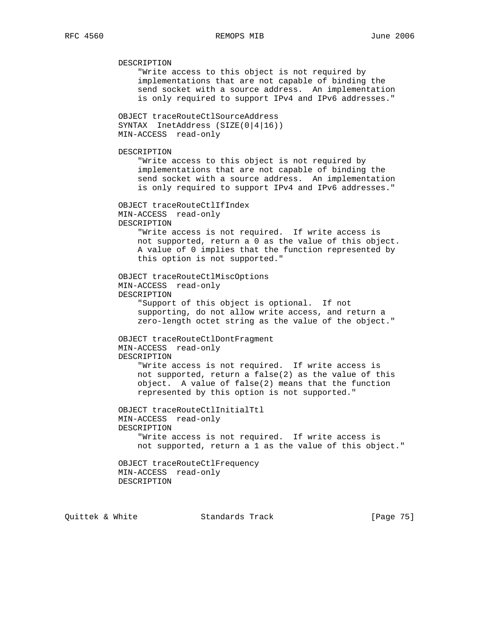DESCRIPTION "Write access to this object is not required by implementations that are not capable of binding the send socket with a source address. An implementation is only required to support IPv4 and IPv6 addresses." OBJECT traceRouteCtlSourceAddress SYNTAX InetAddress (SIZE(0|4|16)) MIN-ACCESS read-only DESCRIPTION "Write access to this object is not required by implementations that are not capable of binding the send socket with a source address. An implementation is only required to support IPv4 and IPv6 addresses." OBJECT traceRouteCtlIfIndex MIN-ACCESS read-only DESCRIPTION "Write access is not required. If write access is not supported, return a 0 as the value of this object. A value of 0 implies that the function represented by this option is not supported." OBJECT traceRouteCtlMiscOptions MIN-ACCESS read-only DESCRIPTION "Support of this object is optional. If not supporting, do not allow write access, and return a zero-length octet string as the value of the object." OBJECT traceRouteCtlDontFragment MIN-ACCESS read-only DESCRIPTION "Write access is not required. If write access is not supported, return a false(2) as the value of this object. A value of false(2) means that the function represented by this option is not supported." OBJECT traceRouteCtlInitialTtl MIN-ACCESS read-only DESCRIPTION "Write access is not required. If write access is not supported, return a 1 as the value of this object." OBJECT traceRouteCtlFrequency MIN-ACCESS read-only DESCRIPTION

Quittek & White Standards Track [Page 75]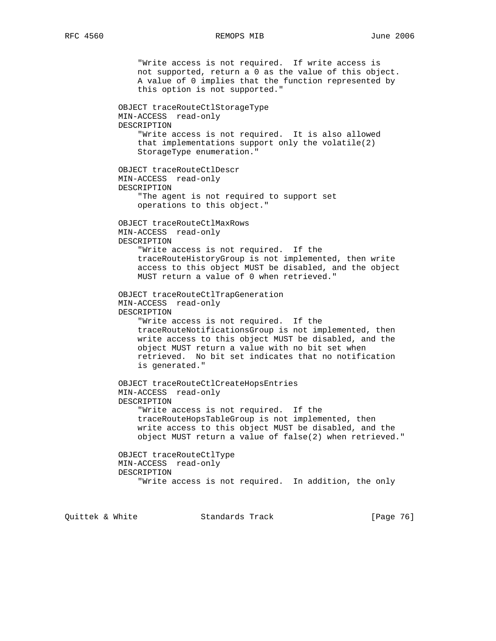"Write access is not required. If write access is not supported, return a 0 as the value of this object. A value of 0 implies that the function represented by this option is not supported." OBJECT traceRouteCtlStorageType MIN-ACCESS read-only DESCRIPTION "Write access is not required. It is also allowed that implementations support only the volatile(2) StorageType enumeration." OBJECT traceRouteCtlDescr MIN-ACCESS read-only DESCRIPTION "The agent is not required to support set operations to this object." OBJECT traceRouteCtlMaxRows MIN-ACCESS read-only DESCRIPTION "Write access is not required. If the traceRouteHistoryGroup is not implemented, then write access to this object MUST be disabled, and the object MUST return a value of 0 when retrieved." OBJECT traceRouteCtlTrapGeneration MIN-ACCESS read-only DESCRIPTION "Write access is not required. If the traceRouteNotificationsGroup is not implemented, then write access to this object MUST be disabled, and the object MUST return a value with no bit set when retrieved. No bit set indicates that no notification is generated." OBJECT traceRouteCtlCreateHopsEntries MIN-ACCESS read-only DESCRIPTION "Write access is not required. If the traceRouteHopsTableGroup is not implemented, then write access to this object MUST be disabled, and the object MUST return a value of false(2) when retrieved." OBJECT traceRouteCtlType MIN-ACCESS read-only DESCRIPTION "Write access is not required. In addition, the only

Quittek & White Standards Track [Page 76]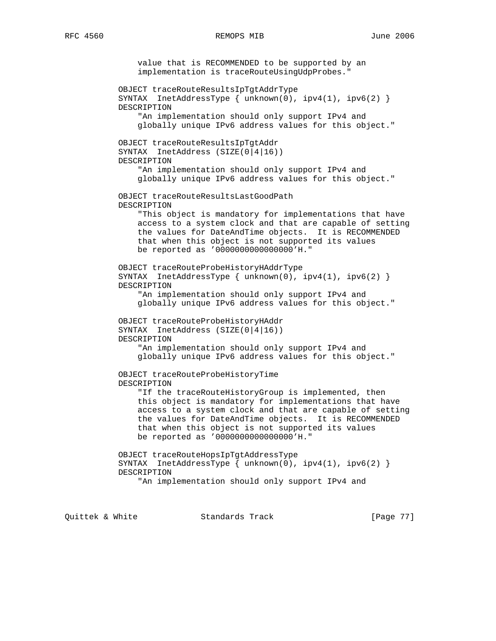value that is RECOMMENDED to be supported by an implementation is traceRouteUsingUdpProbes." OBJECT traceRouteResultsIpTgtAddrType SYNTAX InetAddressType { unknown(0), ipv4(1), ipv6(2) } DESCRIPTION "An implementation should only support IPv4 and globally unique IPv6 address values for this object." OBJECT traceRouteResultsIpTgtAddr SYNTAX InetAddress (SIZE(0|4|16)) DESCRIPTION "An implementation should only support IPv4 and globally unique IPv6 address values for this object." OBJECT traceRouteResultsLastGoodPath DESCRIPTION "This object is mandatory for implementations that have access to a system clock and that are capable of setting the values for DateAndTime objects. It is RECOMMENDED that when this object is not supported its values be reported as '0000000000000000'H." OBJECT traceRouteProbeHistoryHAddrType SYNTAX InetAddressType { unknown(0), ipv4(1), ipv6(2) } DESCRIPTION "An implementation should only support IPv4 and globally unique IPv6 address values for this object." OBJECT traceRouteProbeHistoryHAddr SYNTAX InetAddress (SIZE(0|4|16)) DESCRIPTION "An implementation should only support IPv4 and globally unique IPv6 address values for this object." OBJECT traceRouteProbeHistoryTime DESCRIPTION "If the traceRouteHistoryGroup is implemented, then this object is mandatory for implementations that have access to a system clock and that are capable of setting the values for DateAndTime objects. It is RECOMMENDED that when this object is not supported its values be reported as '0000000000000000'H." OBJECT traceRouteHopsIpTgtAddressType SYNTAX InetAddressType { unknown(0), ipv4(1), ipv6(2) } DESCRIPTION "An implementation should only support IPv4 and

Quittek & White Standards Track [Page 77]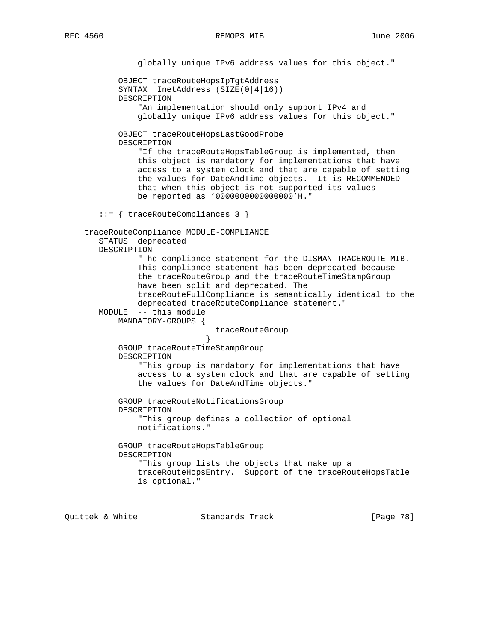globally unique IPv6 address values for this object." OBJECT traceRouteHopsIpTgtAddress SYNTAX InetAddress (SIZE(0|4|16)) DESCRIPTION "An implementation should only support IPv4 and globally unique IPv6 address values for this object." OBJECT traceRouteHopsLastGoodProbe DESCRIPTION "If the traceRouteHopsTableGroup is implemented, then this object is mandatory for implementations that have access to a system clock and that are capable of setting the values for DateAndTime objects. It is RECOMMENDED that when this object is not supported its values be reported as '0000000000000000'H." ::= { traceRouteCompliances 3 } traceRouteCompliance MODULE-COMPLIANCE STATUS deprecated DESCRIPTION "The compliance statement for the DISMAN-TRACEROUTE-MIB. This compliance statement has been deprecated because the traceRouteGroup and the traceRouteTimeStampGroup have been split and deprecated. The traceRouteFullCompliance is semantically identical to the deprecated traceRouteCompliance statement." MODULE -- this module MANDATORY-GROUPS { traceRouteGroup<br>} } GROUP traceRouteTimeStampGroup DESCRIPTION "This group is mandatory for implementations that have access to a system clock and that are capable of setting the values for DateAndTime objects." GROUP traceRouteNotificationsGroup DESCRIPTION "This group defines a collection of optional notifications." GROUP traceRouteHopsTableGroup DESCRIPTION "This group lists the objects that make up a traceRouteHopsEntry. Support of the traceRouteHopsTable is optional."

Quittek & White Standards Track [Page 78]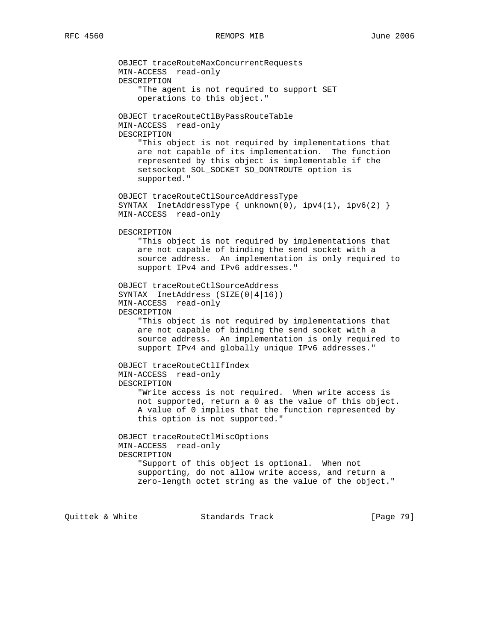OBJECT traceRouteMaxConcurrentRequests MIN-ACCESS read-only DESCRIPTION "The agent is not required to support SET operations to this object." OBJECT traceRouteCtlByPassRouteTable MIN-ACCESS read-only DESCRIPTION "This object is not required by implementations that are not capable of its implementation. The function represented by this object is implementable if the setsockopt SOL\_SOCKET SO\_DONTROUTE option is supported." OBJECT traceRouteCtlSourceAddressType SYNTAX InetAddressType { unknown(0), ipv4(1), ipv6(2) } MIN-ACCESS read-only DESCRIPTION "This object is not required by implementations that are not capable of binding the send socket with a source address. An implementation is only required to support IPv4 and IPv6 addresses." OBJECT traceRouteCtlSourceAddress SYNTAX InetAddress (SIZE(0|4|16)) MIN-ACCESS read-only DESCRIPTION "This object is not required by implementations that are not capable of binding the send socket with a source address. An implementation is only required to support IPv4 and globally unique IPv6 addresses." OBJECT traceRouteCtlIfIndex MIN-ACCESS read-only DESCRIPTION "Write access is not required. When write access is not supported, return a 0 as the value of this object. A value of 0 implies that the function represented by this option is not supported." OBJECT traceRouteCtlMiscOptions MIN-ACCESS read-only DESCRIPTION "Support of this object is optional. When not supporting, do not allow write access, and return a zero-length octet string as the value of the object."

Quittek & White  $S$ tandards Track [Page 79]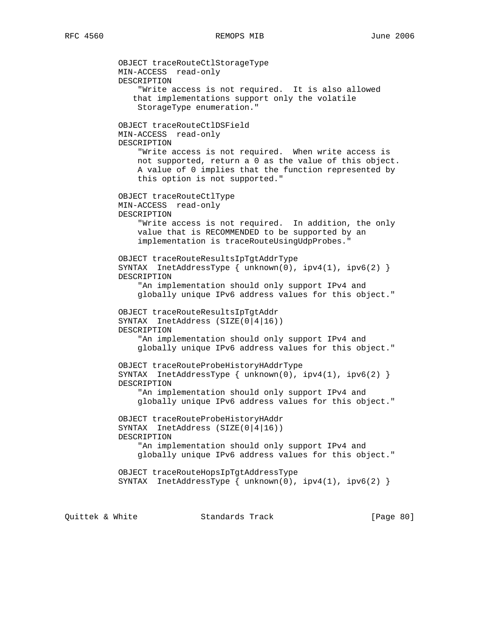OBJECT traceRouteCtlStorageType MIN-ACCESS read-only DESCRIPTION "Write access is not required. It is also allowed that implementations support only the volatile StorageType enumeration." OBJECT traceRouteCtlDSField MIN-ACCESS read-only DESCRIPTION "Write access is not required. When write access is not supported, return a 0 as the value of this object. A value of 0 implies that the function represented by this option is not supported." OBJECT traceRouteCtlType MIN-ACCESS read-only DESCRIPTION "Write access is not required. In addition, the only value that is RECOMMENDED to be supported by an implementation is traceRouteUsingUdpProbes." OBJECT traceRouteResultsIpTgtAddrType SYNTAX InetAddressType { unknown(0), ipv4(1), ipv6(2) } DESCRIPTION "An implementation should only support IPv4 and globally unique IPv6 address values for this object." OBJECT traceRouteResultsIpTgtAddr SYNTAX InetAddress (SIZE(0|4|16)) DESCRIPTION "An implementation should only support IPv4 and globally unique IPv6 address values for this object." OBJECT traceRouteProbeHistoryHAddrType SYNTAX InetAddressType { unknown(0), ipv4(1), ipv6(2) } DESCRIPTION "An implementation should only support IPv4 and globally unique IPv6 address values for this object." OBJECT traceRouteProbeHistoryHAddr SYNTAX InetAddress (SIZE(0|4|16)) DESCRIPTION "An implementation should only support IPv4 and globally unique IPv6 address values for this object." OBJECT traceRouteHopsIpTgtAddressType SYNTAX InetAddressType { unknown(0), ipv4(1), ipv6(2) } Quittek & White Standards Track [Page 80]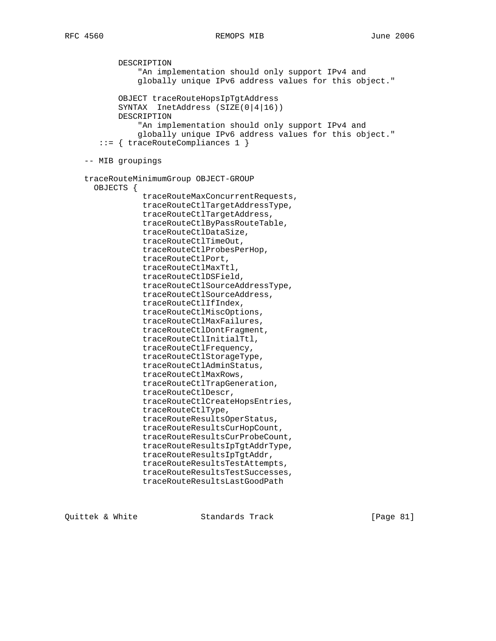DESCRIPTION "An implementation should only support IPv4 and globally unique IPv6 address values for this object." OBJECT traceRouteHopsIpTgtAddress SYNTAX InetAddress (SIZE(0|4|16)) DESCRIPTION "An implementation should only support IPv4 and globally unique IPv6 address values for this object." ::= { traceRouteCompliances 1 } -- MIB groupings traceRouteMinimumGroup OBJECT-GROUP OBJECTS { traceRouteMaxConcurrentRequests, traceRouteCtlTargetAddressType, traceRouteCtlTargetAddress, traceRouteCtlByPassRouteTable, traceRouteCtlDataSize, traceRouteCtlTimeOut, traceRouteCtlProbesPerHop, traceRouteCtlPort, traceRouteCtlMaxTtl, traceRouteCtlDSField, traceRouteCtlSourceAddressType, traceRouteCtlSourceAddress, traceRouteCtlIfIndex, traceRouteCtlMiscOptions, traceRouteCtlMaxFailures, traceRouteCtlDontFragment, traceRouteCtlInitialTtl, traceRouteCtlFrequency, traceRouteCtlStorageType, traceRouteCtlAdminStatus, traceRouteCtlMaxRows, traceRouteCtlTrapGeneration, traceRouteCtlDescr, traceRouteCtlCreateHopsEntries, traceRouteCtlType, traceRouteResultsOperStatus, traceRouteResultsCurHopCount, traceRouteResultsCurProbeCount, traceRouteResultsIpTgtAddrType, traceRouteResultsIpTgtAddr, traceRouteResultsTestAttempts, traceRouteResultsTestSuccesses, traceRouteResultsLastGoodPath

Quittek & White Standards Track [Page 81]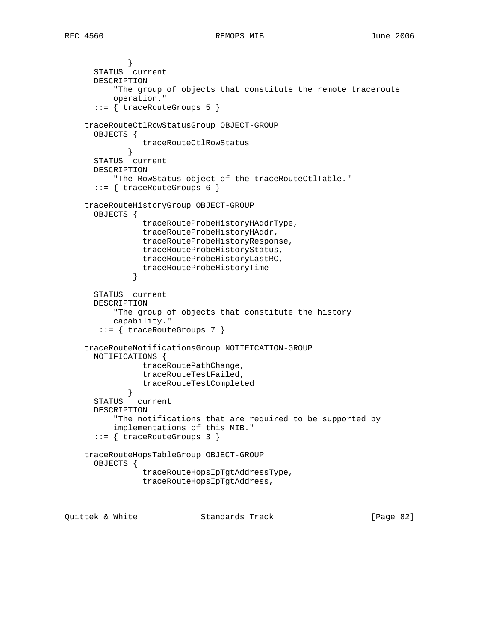} STATUS current DESCRIPTION "The group of objects that constitute the remote traceroute operation." ::= { traceRouteGroups 5 } traceRouteCtlRowStatusGroup OBJECT-GROUP OBJECTS { traceRouteCtlRowStatus } STATUS current DESCRIPTION "The RowStatus object of the traceRouteCtlTable." ::= { traceRouteGroups 6 } traceRouteHistoryGroup OBJECT-GROUP OBJECTS { traceRouteProbeHistoryHAddrType, traceRouteProbeHistoryHAddr, traceRouteProbeHistoryResponse, traceRouteProbeHistoryStatus, traceRouteProbeHistoryLastRC, traceRouteProbeHistoryTime } STATUS current DESCRIPTION "The group of objects that constitute the history capability." ::= { traceRouteGroups 7 } traceRouteNotificationsGroup NOTIFICATION-GROUP NOTIFICATIONS { traceRoutePathChange, traceRouteTestFailed, traceRouteTestCompleted } STATUS current DESCRIPTION "The notifications that are required to be supported by implementations of this MIB." ::= { traceRouteGroups 3 } traceRouteHopsTableGroup OBJECT-GROUP OBJECTS { traceRouteHopsIpTgtAddressType, traceRouteHopsIpTgtAddress,

Quittek & White Standards Track [Page 82]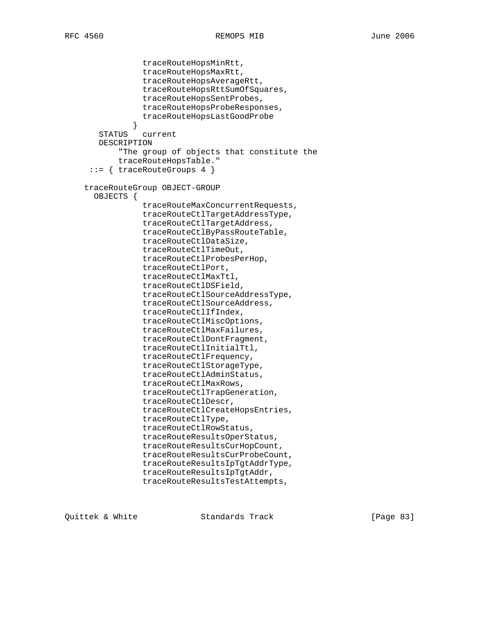```
 traceRouteHopsMinRtt,
                 traceRouteHopsMaxRtt,
                 traceRouteHopsAverageRtt,
                 traceRouteHopsRttSumOfSquares,
                 traceRouteHopsSentProbes,
                 traceRouteHopsProbeResponses,
                 traceRouteHopsLastGoodProbe
 }
        STATUS current
        DESCRIPTION
            "The group of objects that constitute the
            traceRouteHopsTable."
      ::= { traceRouteGroups 4 }
     traceRouteGroup OBJECT-GROUP
      OBJECTS {
                 traceRouteMaxConcurrentRequests,
                 traceRouteCtlTargetAddressType,
                 traceRouteCtlTargetAddress,
                 traceRouteCtlByPassRouteTable,
                 traceRouteCtlDataSize,
                 traceRouteCtlTimeOut,
                 traceRouteCtlProbesPerHop,
                 traceRouteCtlPort,
                 traceRouteCtlMaxTtl,
                 traceRouteCtlDSField,
                 traceRouteCtlSourceAddressType,
                 traceRouteCtlSourceAddress,
                 traceRouteCtlIfIndex,
                 traceRouteCtlMiscOptions,
                 traceRouteCtlMaxFailures,
                 traceRouteCtlDontFragment,
                 traceRouteCtlInitialTtl,
                 traceRouteCtlFrequency,
                 traceRouteCtlStorageType,
                 traceRouteCtlAdminStatus,
                 traceRouteCtlMaxRows,
                 traceRouteCtlTrapGeneration,
                 traceRouteCtlDescr,
                 traceRouteCtlCreateHopsEntries,
                 traceRouteCtlType,
                 traceRouteCtlRowStatus,
                 traceRouteResultsOperStatus,
                 traceRouteResultsCurHopCount,
                 traceRouteResultsCurProbeCount,
                 traceRouteResultsIpTgtAddrType,
                 traceRouteResultsIpTgtAddr,
                 traceRouteResultsTestAttempts,
```
Quittek & White Standards Track [Page 83]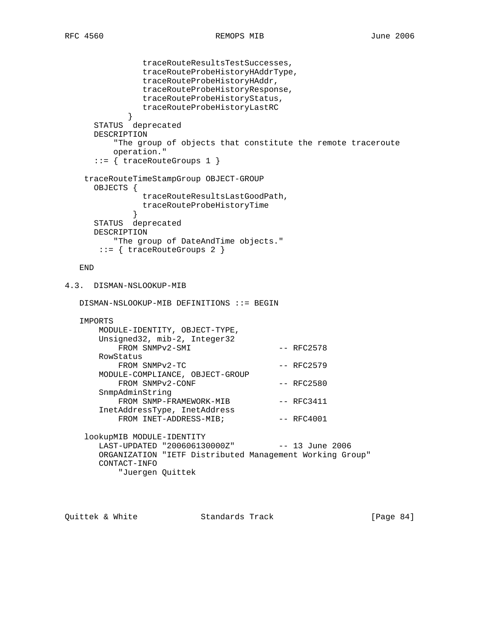```
 traceRouteResultsTestSuccesses,
                traceRouteProbeHistoryHAddrType,
               traceRouteProbeHistoryHAddr,
               traceRouteProbeHistoryResponse,
               traceRouteProbeHistoryStatus,
               traceRouteProbeHistoryLastRC
 }
      STATUS deprecated
      DESCRIPTION
          "The group of objects that constitute the remote traceroute
          operation."
      ::= { traceRouteGroups 1 }
    traceRouteTimeStampGroup OBJECT-GROUP
      OBJECTS {
               traceRouteResultsLastGoodPath,
               traceRouteProbeHistoryTime
 }
      STATUS deprecated
      DESCRIPTION
          "The group of DateAndTime objects."
       ::= { traceRouteGroups 2 }
   END
4.3. DISMAN-NSLOOKUP-MIB
   DISMAN-NSLOOKUP-MIB DEFINITIONS ::= BEGIN
   IMPORTS
       MODULE-IDENTITY, OBJECT-TYPE,
       Unsigned32, mib-2, Integer32
          FROM SNMPv2-SMI -- RFC2578
       RowStatus
         FROM SNMPv2-TC -- RFC2579
       MODULE-COMPLIANCE, OBJECT-GROUP
         FROM SNMPv2-CONF -- RFC2580
       SnmpAdminString
          FROM SNMP-FRAMEWORK-MIB -- RFC3411
       InetAddressType, InetAddress
          FROM INET-ADDRESS-MIB; -- RFC4001
    lookupMIB MODULE-IDENTITY
      LAST-UPDATED "200606130000Z" -- 13 June 2006
       ORGANIZATION "IETF Distributed Management Working Group"
       CONTACT-INFO
           "Juergen Quittek
```
Quittek & White Standards Track [Page 84]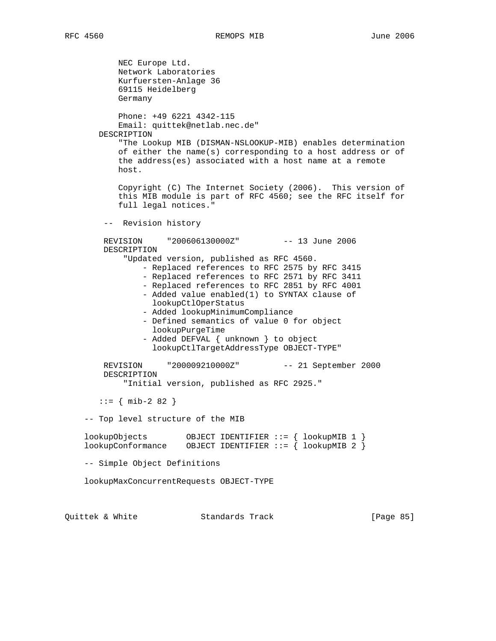NEC Europe Ltd. Network Laboratories Kurfuersten-Anlage 36 69115 Heidelberg Germany Phone: +49 6221 4342-115 Email: quittek@netlab.nec.de" DESCRIPTION "The Lookup MIB (DISMAN-NSLOOKUP-MIB) enables determination of either the name(s) corresponding to a host address or of the address(es) associated with a host name at a remote host. Copyright (C) The Internet Society (2006). This version of this MIB module is part of RFC 4560; see the RFC itself for full legal notices." -- Revision history REVISION "200606130000Z" -- 13 June 2006 DESCRIPTION "Updated version, published as RFC 4560. - Replaced references to RFC 2575 by RFC 3415 - Replaced references to RFC 2571 by RFC 3411 - Replaced references to RFC 2851 by RFC 4001 - Added value enabled(1) to SYNTAX clause of lookupCtlOperStatus - Added lookupMinimumCompliance - Defined semantics of value 0 for object lookupPurgeTime - Added DEFVAL { unknown } to object lookupCtlTargetAddressType OBJECT-TYPE" REVISION "200009210000Z" -- 21 September 2000 DESCRIPTION "Initial version, published as RFC 2925."  $::=$  { mib-2 82 } -- Top level structure of the MIB lookupObjects OBJECT IDENTIFIER ::= { lookupMIB 1 } lookupConformance OBJECT IDENTIFIER ::= { lookupMIB 2 } -- Simple Object Definitions lookupMaxConcurrentRequests OBJECT-TYPE Quittek & White Standards Track [Page 85]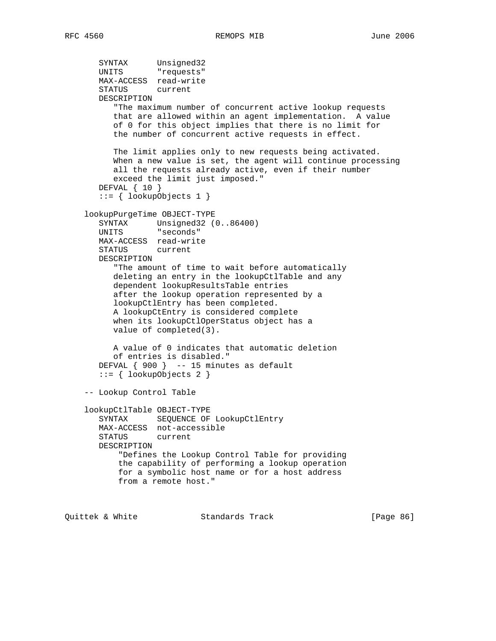```
 SYNTAX Unsigned32
UNITS "requests"
       MAX-ACCESS read-write
       STATUS current
       DESCRIPTION
          "The maximum number of concurrent active lookup requests
          that are allowed within an agent implementation. A value
          of 0 for this object implies that there is no limit for
          the number of concurrent active requests in effect.
          The limit applies only to new requests being activated.
          When a new value is set, the agent will continue processing
          all the requests already active, even if their number
          exceed the limit just imposed."
       DEFVAL { 10 }
       ::= { lookupObjects 1 }
    lookupPurgeTime OBJECT-TYPE
       SYNTAX Unsigned32 (0..86400)
       UNITS "seconds"
       MAX-ACCESS read-write
       STATUS current
       DESCRIPTION
          "The amount of time to wait before automatically
          deleting an entry in the lookupCtlTable and any
          dependent lookupResultsTable entries
          after the lookup operation represented by a
          lookupCtlEntry has been completed.
          A lookupCtEntry is considered complete
          when its lookupCtlOperStatus object has a
          value of completed(3).
          A value of 0 indicates that automatic deletion
          of entries is disabled."
      DEFVAL { 900 } -- 15 minutes as default
       ::= { lookupObjects 2 }
    -- Lookup Control Table
    lookupCtlTable OBJECT-TYPE
       SYNTAX SEQUENCE OF LookupCtlEntry
       MAX-ACCESS not-accessible
       STATUS current
       DESCRIPTION
           "Defines the Lookup Control Table for providing
           the capability of performing a lookup operation
           for a symbolic host name or for a host address
           from a remote host."
```
Quittek & White Standards Track [Page 86]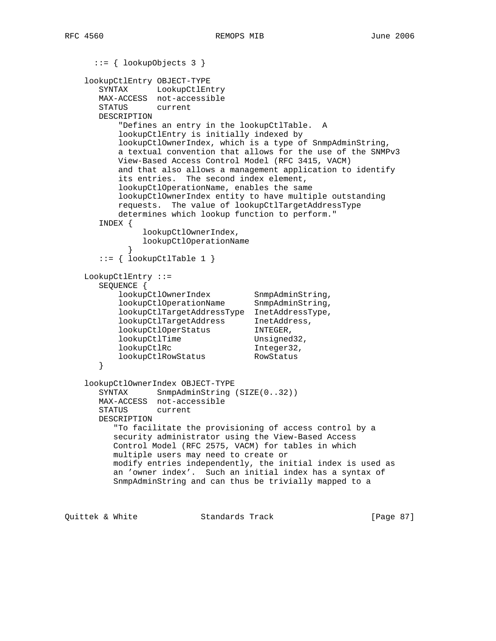```
 ::= { lookupObjects 3 }
    lookupCtlEntry OBJECT-TYPE
       SYNTAX LookupCtlEntry
       MAX-ACCESS not-accessible
       STATUS current
       DESCRIPTION
           "Defines an entry in the lookupCtlTable. A
           lookupCtlEntry is initially indexed by
           lookupCtlOwnerIndex, which is a type of SnmpAdminString,
           a textual convention that allows for the use of the SNMPv3
           View-Based Access Control Model (RFC 3415, VACM)
           and that also allows a management application to identify
           its entries. The second index element,
           lookupCtlOperationName, enables the same
           lookupCtlOwnerIndex entity to have multiple outstanding
           requests. The value of lookupCtlTargetAddressType
           determines which lookup function to perform."
       INDEX {
               lookupCtlOwnerIndex,
               lookupCtlOperationName
 }
      ::= { lookupCtlTable 1 }
    LookupCtlEntry ::=
       SEQUENCE {
lookupCtlOwnerIndex SnmpAdminString,
 lookupCtlOperationName SnmpAdminString,
           lookupCtlTargetAddressType InetAddressType,
 lookupCtlTargetAddress InetAddress,
 lookupCtlOperStatus INTEGER,
lookupCtlTime Unsigned32,
           lookupCtlRc Integer32,
          lookupCtlRowStatus
       }
    lookupCtlOwnerIndex OBJECT-TYPE
      SYNTAX SnmpAdminString (SIZE(0..32))
       MAX-ACCESS not-accessible
       STATUS current
       DESCRIPTION
          "To facilitate the provisioning of access control by a
          security administrator using the View-Based Access
          Control Model (RFC 2575, VACM) for tables in which
          multiple users may need to create or
          modify entries independently, the initial index is used as
          an 'owner index'. Such an initial index has a syntax of
          SnmpAdminString and can thus be trivially mapped to a
```
Quittek & White Standards Track [Page 87]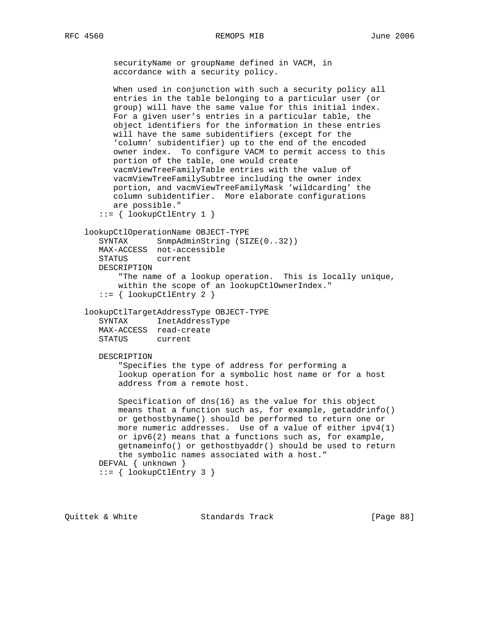securityName or groupName defined in VACM, in accordance with a security policy.

 When used in conjunction with such a security policy all entries in the table belonging to a particular user (or group) will have the same value for this initial index. For a given user's entries in a particular table, the object identifiers for the information in these entries will have the same subidentifiers (except for the 'column' subidentifier) up to the end of the encoded owner index. To configure VACM to permit access to this portion of the table, one would create vacmViewTreeFamilyTable entries with the value of vacmViewTreeFamilySubtree including the owner index portion, and vacmViewTreeFamilyMask 'wildcarding' the column subidentifier. More elaborate configurations are possible."  $::=$  { lookupCtlEntry 1 } lookupCtlOperationName OBJECT-TYPE SYNTAX SnmpAdminString (SIZE(0..32)) MAX-ACCESS not-accessible STATUS current DESCRIPTION "The name of a lookup operation. This is locally unique, within the scope of an lookupCtlOwnerIndex." ::= { lookupCtlEntry 2 } lookupCtlTargetAddressType OBJECT-TYPE SYNTAX InetAddressType MAX-ACCESS read-create STATUS current DESCRIPTION "Specifies the type of address for performing a lookup operation for a symbolic host name or for a host address from a remote host. Specification of dns(16) as the value for this object means that a function such as, for example, getaddrinfo() or gethostbyname() should be performed to return one or more numeric addresses. Use of a value of either ipv4(1) or ipv6(2) means that a functions such as, for example, getnameinfo() or gethostbyaddr() should be used to return the symbolic names associated with a host." DEFVAL { unknown } ::= { lookupCtlEntry 3 }

Quittek & White Standards Track [Page 88]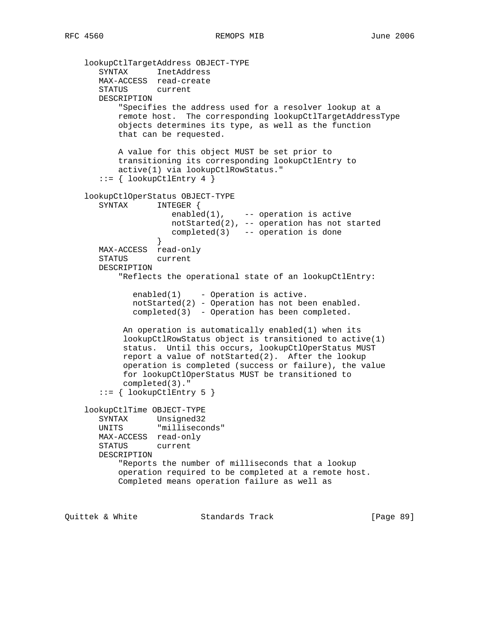```
 lookupCtlTargetAddress OBJECT-TYPE
 SYNTAX InetAddress
 MAX-ACCESS read-create
       STATUS current
       DESCRIPTION
           "Specifies the address used for a resolver lookup at a
           remote host. The corresponding lookupCtlTargetAddressType
           objects determines its type, as well as the function
           that can be requested.
           A value for this object MUST be set prior to
           transitioning its corresponding lookupCtlEntry to
           active(1) via lookupCtlRowStatus."
      ::= \{ lookupCtlEntry 4 \} lookupCtlOperStatus OBJECT-TYPE
       SYNTAX INTEGER {
                    enabled(1), -- operation is active
                      notStarted(2), -- operation has not started
                  completed(3) -- operation is done }
 }
       MAX-ACCESS read-only
       STATUS current
       DESCRIPTION
           "Reflects the operational state of an lookupCtlEntry:
             enabled(1) - Operation is active.
              notStarted(2) - Operation has not been enabled.
              completed(3) - Operation has been completed.
            An operation is automatically enabled(1) when its
            lookupCtlRowStatus object is transitioned to active(1)
            status. Until this occurs, lookupCtlOperStatus MUST
            report a value of notStarted(2). After the lookup
            operation is completed (success or failure), the value
            for lookupCtlOperStatus MUST be transitioned to
            completed(3)."
      ::= \{ lookupCtlEntry 5 \} lookupCtlTime OBJECT-TYPE
      SYNTAX Unsigned32
       UNITS "milliseconds"
       MAX-ACCESS read-only
       STATUS current
       DESCRIPTION
           "Reports the number of milliseconds that a lookup
           operation required to be completed at a remote host.
           Completed means operation failure as well as
```
Quittek & White Standards Track [Page 89]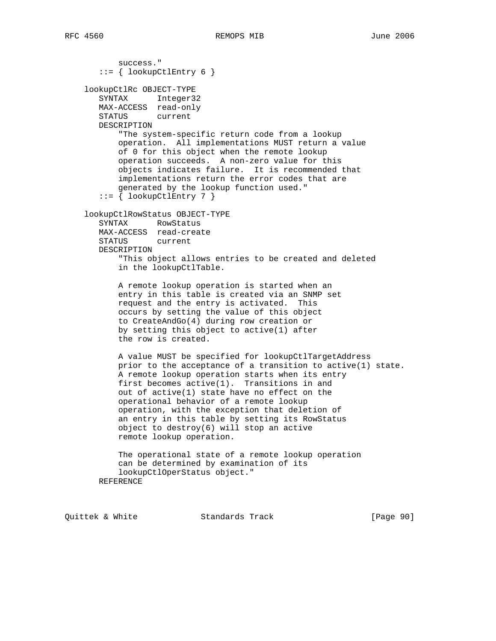success."  $::=$  { lookupCtlEntry 6 } lookupCtlRc OBJECT-TYPE SYNTAX Integer32 MAX-ACCESS read-only STATUS current DESCRIPTION "The system-specific return code from a lookup operation. All implementations MUST return a value of 0 for this object when the remote lookup operation succeeds. A non-zero value for this objects indicates failure. It is recommended that implementations return the error codes that are generated by the lookup function used."  $::= \{$  lookupCtlEntry 7  $\}$  lookupCtlRowStatus OBJECT-TYPE SYNTAX RowStatus MAX-ACCESS read-create STATUS current DESCRIPTION "This object allows entries to be created and deleted in the lookupCtlTable. A remote lookup operation is started when an entry in this table is created via an SNMP set request and the entry is activated. This occurs by setting the value of this object to CreateAndGo(4) during row creation or by setting this object to active(1) after the row is created. A value MUST be specified for lookupCtlTargetAddress prior to the acceptance of a transition to active(1) state. A remote lookup operation starts when its entry first becomes active(1). Transitions in and out of active(1) state have no effect on the operational behavior of a remote lookup operation, with the exception that deletion of an entry in this table by setting its RowStatus object to destroy(6) will stop an active remote lookup operation. The operational state of a remote lookup operation can be determined by examination of its lookupCtlOperStatus object." REFERENCE

Quittek & White Standards Track [Page 90]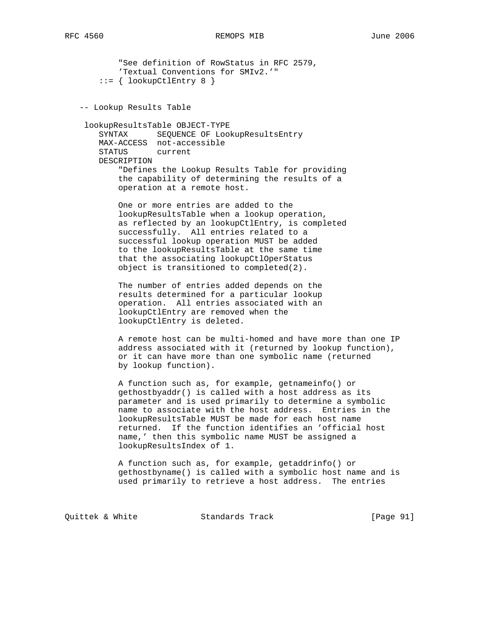"See definition of RowStatus in RFC 2579, 'Textual Conventions for SMIv2.'"  $::=$  { lookupCtlEntry 8 } -- Lookup Results Table lookupResultsTable OBJECT-TYPE SYNTAX SEQUENCE OF LookupResultsEntry MAX-ACCESS not-accessible STATUS current DESCRIPTION "Defines the Lookup Results Table for providing the capability of determining the results of a operation at a remote host. One or more entries are added to the lookupResultsTable when a lookup operation, as reflected by an lookupCtlEntry, is completed successfully. All entries related to a successful lookup operation MUST be added to the lookupResultsTable at the same time that the associating lookupCtlOperStatus object is transitioned to completed(2). The number of entries added depends on the results determined for a particular lookup operation. All entries associated with an lookupCtlEntry are removed when the lookupCtlEntry is deleted. A remote host can be multi-homed and have more than one IP address associated with it (returned by lookup function), or it can have more than one symbolic name (returned by lookup function). A function such as, for example, getnameinfo() or gethostbyaddr() is called with a host address as its parameter and is used primarily to determine a symbolic name to associate with the host address. Entries in the lookupResultsTable MUST be made for each host name returned. If the function identifies an 'official host name,' then this symbolic name MUST be assigned a lookupResultsIndex of 1.

> A function such as, for example, getaddrinfo() or gethostbyname() is called with a symbolic host name and is used primarily to retrieve a host address. The entries

Quittek & White Standards Track [Page 91]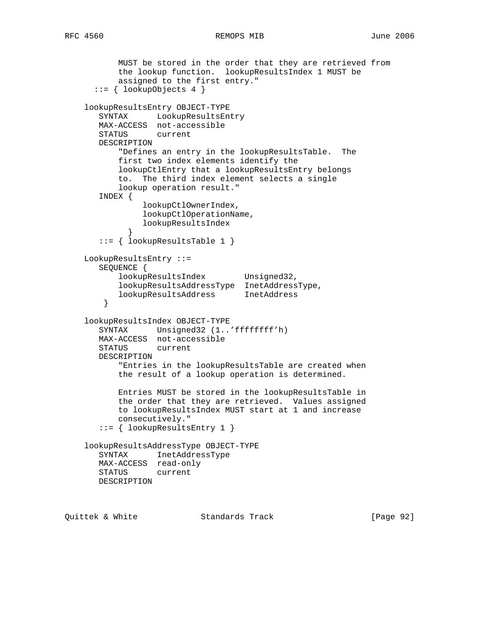```
 MUST be stored in the order that they are retrieved from
 the lookup function. lookupResultsIndex 1 MUST be
 assigned to the first entry."
      ::= { lookupObjects 4 }
    lookupResultsEntry OBJECT-TYPE
       SYNTAX LookupResultsEntry
       MAX-ACCESS not-accessible
       STATUS current
       DESCRIPTION
           "Defines an entry in the lookupResultsTable. The
           first two index elements identify the
           lookupCtlEntry that a lookupResultsEntry belongs
           to. The third index element selects a single
           lookup operation result."
       INDEX {
                lookupCtlOwnerIndex,
                lookupCtlOperationName,
                lookupResultsIndex
 }
       ::= { lookupResultsTable 1 }
    LookupResultsEntry ::=
       SEQUENCE {
           lookupResultsIndex Unsigned32,
 lookupResultsAddressType InetAddressType,
 lookupResultsAddress InetAddress
        }
    lookupResultsIndex OBJECT-TYPE
       SYNTAX Unsigned32 (1..'ffffffff'h)
       MAX-ACCESS not-accessible
       STATUS current
       DESCRIPTION
           "Entries in the lookupResultsTable are created when
           the result of a lookup operation is determined.
           Entries MUST be stored in the lookupResultsTable in
           the order that they are retrieved. Values assigned
           to lookupResultsIndex MUST start at 1 and increase
           consecutively."
       ::= { lookupResultsEntry 1 }
    lookupResultsAddressType OBJECT-TYPE
       SYNTAX InetAddressType
       MAX-ACCESS read-only
       STATUS current
       DESCRIPTION
```
Quittek & White Standards Track [Page 92]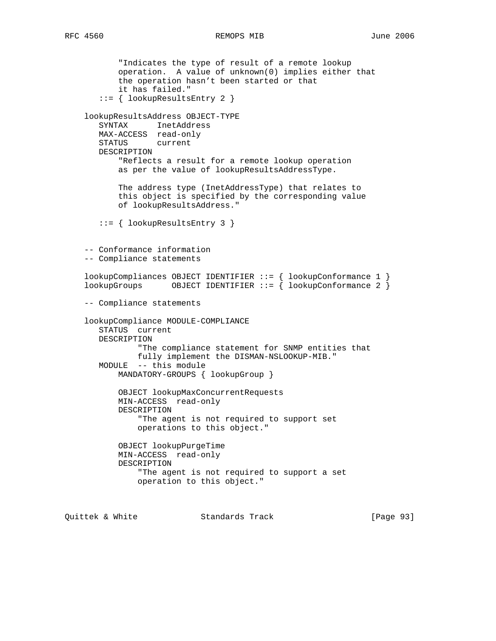"Indicates the type of result of a remote lookup operation. A value of unknown(0) implies either that the operation hasn't been started or that it has failed." ::= { lookupResultsEntry 2 } lookupResultsAddress OBJECT-TYPE SYNTAX InetAddress MAX-ACCESS read-only STATUS current DESCRIPTION "Reflects a result for a remote lookup operation as per the value of lookupResultsAddressType. The address type (InetAddressType) that relates to this object is specified by the corresponding value of lookupResultsAddress." ::= { lookupResultsEntry 3 } -- Conformance information -- Compliance statements lookupCompliances OBJECT IDENTIFIER ::= { lookupConformance 1 }  $\overline{\text{lookup}}$  100  $\overline{\text{every}}$  0BJECT IDENTIFIER ::= { lookupConformance 2 } -- Compliance statements lookupCompliance MODULE-COMPLIANCE STATUS current DESCRIPTION "The compliance statement for SNMP entities that fully implement the DISMAN-NSLOOKUP-MIB." MODULE -- this module MANDATORY-GROUPS { lookupGroup } OBJECT lookupMaxConcurrentRequests MIN-ACCESS read-only DESCRIPTION "The agent is not required to support set operations to this object." OBJECT lookupPurgeTime MIN-ACCESS read-only DESCRIPTION "The agent is not required to support a set operation to this object."

Quittek & White Standards Track [Page 93]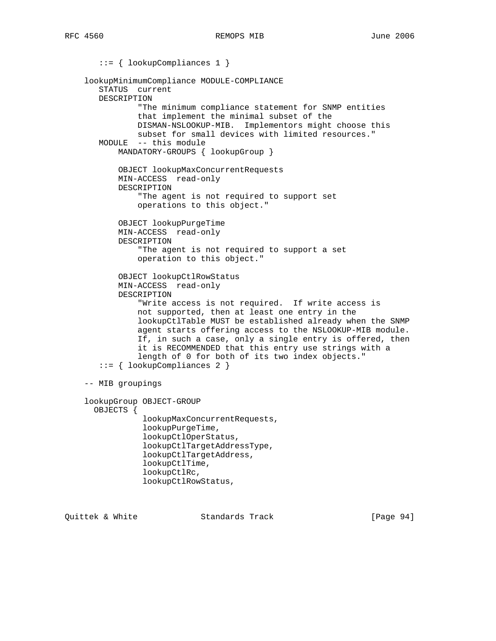::= { lookupCompliances 1 } lookupMinimumCompliance MODULE-COMPLIANCE STATUS current DESCRIPTION "The minimum compliance statement for SNMP entities that implement the minimal subset of the DISMAN-NSLOOKUP-MIB. Implementors might choose this subset for small devices with limited resources." MODULE -- this module MANDATORY-GROUPS { lookupGroup } OBJECT lookupMaxConcurrentRequests MIN-ACCESS read-only DESCRIPTION "The agent is not required to support set operations to this object." OBJECT lookupPurgeTime MIN-ACCESS read-only DESCRIPTION "The agent is not required to support a set operation to this object." OBJECT lookupCtlRowStatus MIN-ACCESS read-only DESCRIPTION "Write access is not required. If write access is not supported, then at least one entry in the lookupCtlTable MUST be established already when the SNMP agent starts offering access to the NSLOOKUP-MIB module. If, in such a case, only a single entry is offered, then it is RECOMMENDED that this entry use strings with a length of 0 for both of its two index objects." ::= { lookupCompliances 2 } -- MIB groupings lookupGroup OBJECT-GROUP OBJECTS { lookupMaxConcurrentRequests, lookupPurgeTime, lookupCtlOperStatus, lookupCtlTargetAddressType, lookupCtlTargetAddress, lookupCtlTime, lookupCtlRc, lookupCtlRowStatus,

Quittek & White Standards Track [Page 94]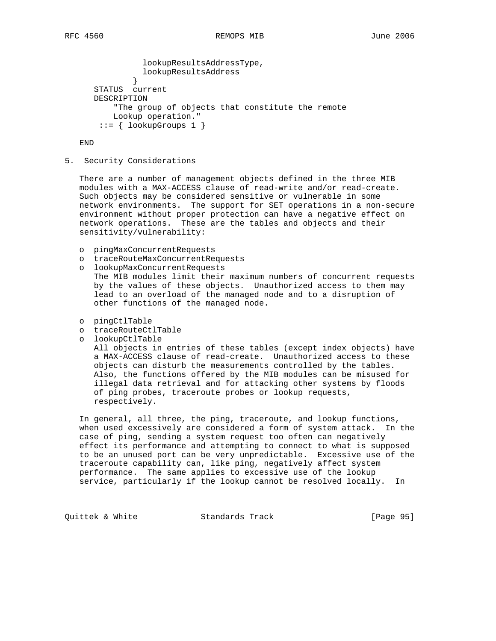```
 lookupResultsAddressType,
             lookupResultsAddress<br>}
 }
      STATUS current
      DESCRIPTION
          "The group of objects that constitute the remote
          Lookup operation."
      ::= { lookupGroups 1 }
```
END

5. Security Considerations

 There are a number of management objects defined in the three MIB modules with a MAX-ACCESS clause of read-write and/or read-create. Such objects may be considered sensitive or vulnerable in some network environments. The support for SET operations in a non-secure environment without proper protection can have a negative effect on network operations. These are the tables and objects and their sensitivity/vulnerability:

- o pingMaxConcurrentRequests
- o traceRouteMaxConcurrentRequests
- o lookupMaxConcurrentRequests The MIB modules limit their maximum numbers of concurrent requests by the values of these objects. Unauthorized access to them may lead to an overload of the managed node and to a disruption of other functions of the managed node.
- o pingCtlTable
- o traceRouteCtlTable
- o lookupCtlTable

 All objects in entries of these tables (except index objects) have a MAX-ACCESS clause of read-create. Unauthorized access to these objects can disturb the measurements controlled by the tables. Also, the functions offered by the MIB modules can be misused for illegal data retrieval and for attacking other systems by floods of ping probes, traceroute probes or lookup requests, respectively.

 In general, all three, the ping, traceroute, and lookup functions, when used excessively are considered a form of system attack. In the case of ping, sending a system request too often can negatively effect its performance and attempting to connect to what is supposed to be an unused port can be very unpredictable. Excessive use of the traceroute capability can, like ping, negatively affect system performance. The same applies to excessive use of the lookup service, particularly if the lookup cannot be resolved locally. In

Quittek & White Standards Track [Page 95]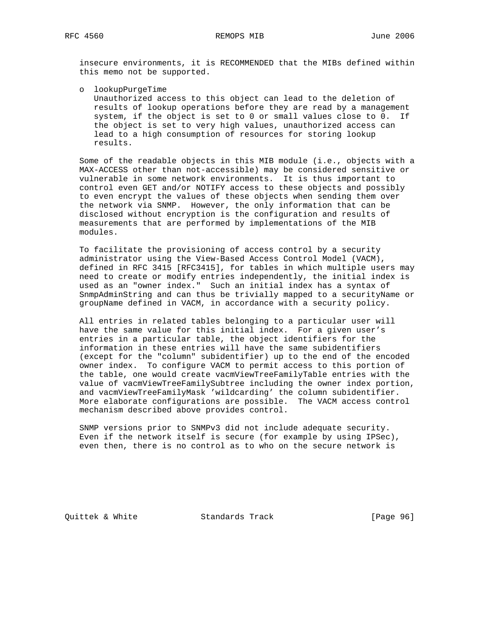insecure environments, it is RECOMMENDED that the MIBs defined within this memo not be supported.

o lookupPurgeTime

 Unauthorized access to this object can lead to the deletion of results of lookup operations before they are read by a management system, if the object is set to 0 or small values close to 0. If the object is set to very high values, unauthorized access can lead to a high consumption of resources for storing lookup results.

 Some of the readable objects in this MIB module (i.e., objects with a MAX-ACCESS other than not-accessible) may be considered sensitive or vulnerable in some network environments. It is thus important to control even GET and/or NOTIFY access to these objects and possibly to even encrypt the values of these objects when sending them over the network via SNMP. However, the only information that can be disclosed without encryption is the configuration and results of measurements that are performed by implementations of the MIB modules.

 To facilitate the provisioning of access control by a security administrator using the View-Based Access Control Model (VACM), defined in RFC 3415 [RFC3415], for tables in which multiple users may need to create or modify entries independently, the initial index is used as an "owner index." Such an initial index has a syntax of SnmpAdminString and can thus be trivially mapped to a securityName or groupName defined in VACM, in accordance with a security policy.

 All entries in related tables belonging to a particular user will have the same value for this initial index. For a given user's entries in a particular table, the object identifiers for the information in these entries will have the same subidentifiers (except for the "column" subidentifier) up to the end of the encoded owner index. To configure VACM to permit access to this portion of the table, one would create vacmViewTreeFamilyTable entries with the value of vacmViewTreeFamilySubtree including the owner index portion, and vacmViewTreeFamilyMask 'wildcarding' the column subidentifier. More elaborate configurations are possible. The VACM access control mechanism described above provides control.

 SNMP versions prior to SNMPv3 did not include adequate security. Even if the network itself is secure (for example by using IPSec), even then, there is no control as to who on the secure network is

Quittek & White Standards Track [Page 96]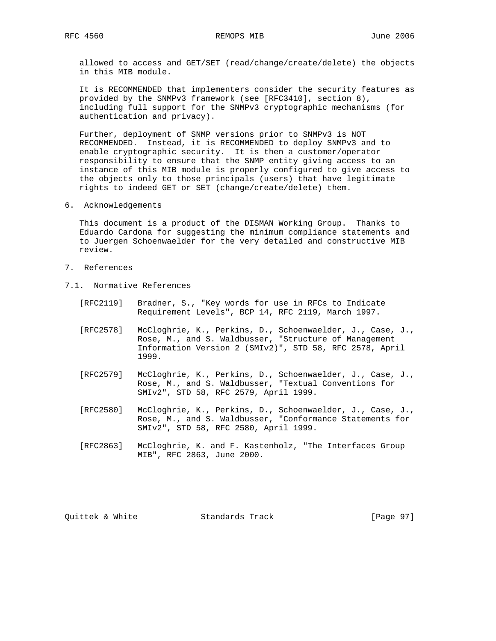allowed to access and GET/SET (read/change/create/delete) the objects in this MIB module.

 It is RECOMMENDED that implementers consider the security features as provided by the SNMPv3 framework (see [RFC3410], section 8), including full support for the SNMPv3 cryptographic mechanisms (for authentication and privacy).

 Further, deployment of SNMP versions prior to SNMPv3 is NOT RECOMMENDED. Instead, it is RECOMMENDED to deploy SNMPv3 and to enable cryptographic security. It is then a customer/operator responsibility to ensure that the SNMP entity giving access to an instance of this MIB module is properly configured to give access to the objects only to those principals (users) that have legitimate rights to indeed GET or SET (change/create/delete) them.

6. Acknowledgements

 This document is a product of the DISMAN Working Group. Thanks to Eduardo Cardona for suggesting the minimum compliance statements and to Juergen Schoenwaelder for the very detailed and constructive MIB review.

- 7. References
- 7.1. Normative References
	- [RFC2119] Bradner, S., "Key words for use in RFCs to Indicate Requirement Levels", BCP 14, RFC 2119, March 1997.
	- [RFC2578] McCloghrie, K., Perkins, D., Schoenwaelder, J., Case, J., Rose, M., and S. Waldbusser, "Structure of Management Information Version 2 (SMIv2)", STD 58, RFC 2578, April 1999.
	- [RFC2579] McCloghrie, K., Perkins, D., Schoenwaelder, J., Case, J., Rose, M., and S. Waldbusser, "Textual Conventions for SMIv2", STD 58, RFC 2579, April 1999.
	- [RFC2580] McCloghrie, K., Perkins, D., Schoenwaelder, J., Case, J., Rose, M., and S. Waldbusser, "Conformance Statements for SMIv2", STD 58, RFC 2580, April 1999.
	- [RFC2863] McCloghrie, K. and F. Kastenholz, "The Interfaces Group MIB", RFC 2863, June 2000.

Quittek & White Standards Track [Page 97]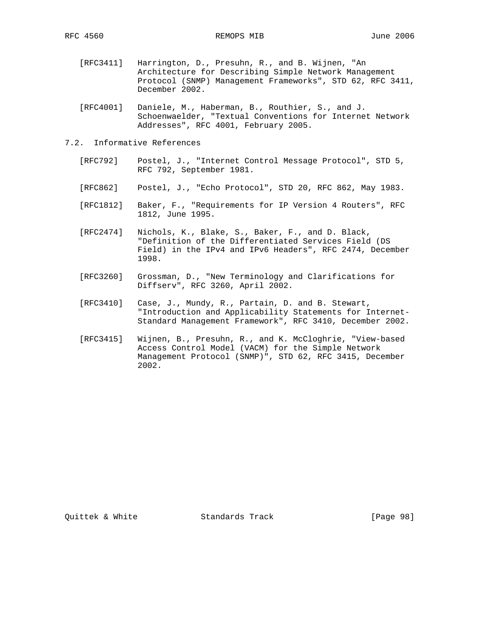- [RFC3411] Harrington, D., Presuhn, R., and B. Wijnen, "An Architecture for Describing Simple Network Management Protocol (SNMP) Management Frameworks", STD 62, RFC 3411, December 2002.
- [RFC4001] Daniele, M., Haberman, B., Routhier, S., and J. Schoenwaelder, "Textual Conventions for Internet Network Addresses", RFC 4001, February 2005.
- 7.2. Informative References
	- [RFC792] Postel, J., "Internet Control Message Protocol", STD 5, RFC 792, September 1981.
	- [RFC862] Postel, J., "Echo Protocol", STD 20, RFC 862, May 1983.
	- [RFC1812] Baker, F., "Requirements for IP Version 4 Routers", RFC 1812, June 1995.
	- [RFC2474] Nichols, K., Blake, S., Baker, F., and D. Black, "Definition of the Differentiated Services Field (DS Field) in the IPv4 and IPv6 Headers", RFC 2474, December 1998.
	- [RFC3260] Grossman, D., "New Terminology and Clarifications for Diffserv", RFC 3260, April 2002.
	- [RFC3410] Case, J., Mundy, R., Partain, D. and B. Stewart, "Introduction and Applicability Statements for Internet- Standard Management Framework", RFC 3410, December 2002.
	- [RFC3415] Wijnen, B., Presuhn, R., and K. McCloghrie, "View-based Access Control Model (VACM) for the Simple Network Management Protocol (SNMP)", STD 62, RFC 3415, December 2002.

Quittek & White Standards Track [Page 98]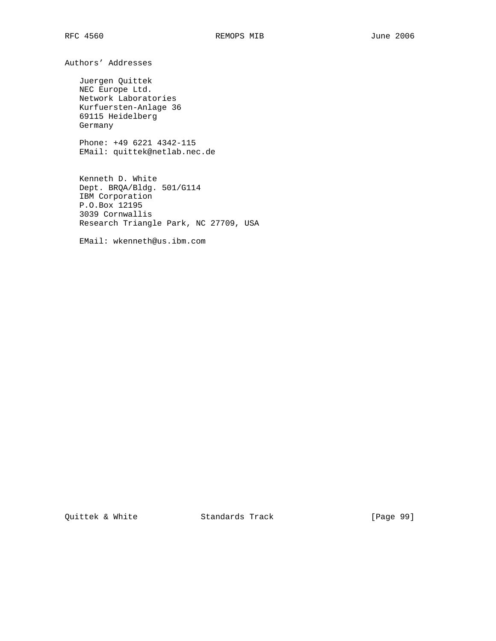Authors' Addresses

 Juergen Quittek NEC Europe Ltd. Network Laboratories Kurfuersten-Anlage 36 69115 Heidelberg Germany

 Phone: +49 6221 4342-115 EMail: quittek@netlab.nec.de

 Kenneth D. White Dept. BRQA/Bldg. 501/G114 IBM Corporation P.O.Box 12195 3039 Cornwallis Research Triangle Park, NC 27709, USA

EMail: wkenneth@us.ibm.com

Quittek & White Standards Track [Page 99]